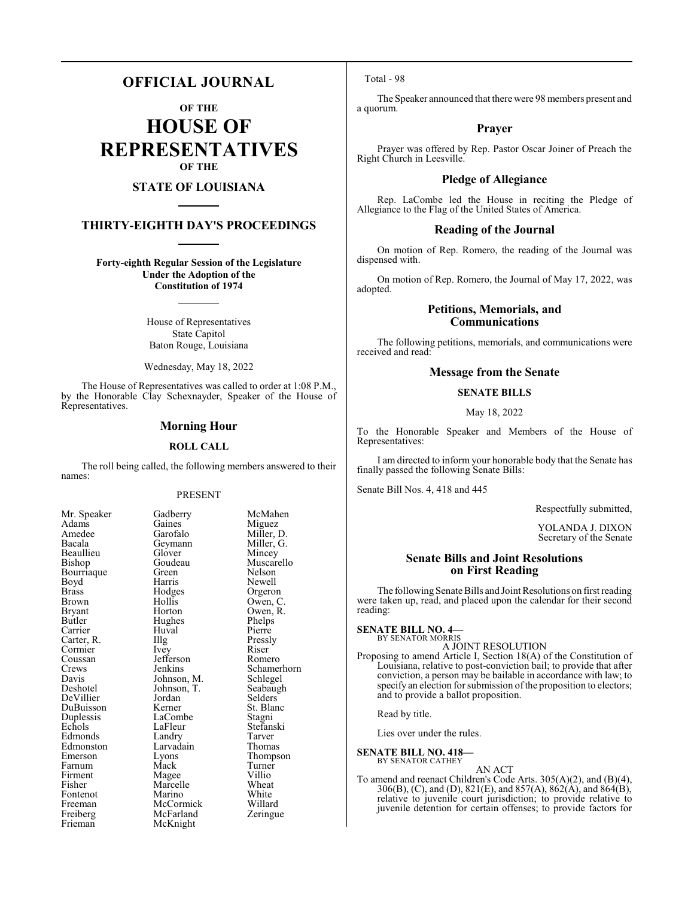### **OFFICIAL JOURNAL**

**OF THE**

**HOUSE OF REPRESENTATIVES OF THE**

#### **STATE OF LOUISIANA**

#### **THIRTY-EIGHTH DAY'S PROCEEDINGS**

**Forty-eighth Regular Session of the Legislature Under the Adoption of the Constitution of 1974**

> House of Representatives State Capitol Baton Rouge, Louisiana

Wednesday, May 18, 2022

The House of Representatives was called to order at 1:08 P.M., by the Honorable Clay Schexnayder, Speaker of the House of Representatives.

#### **Morning Hour**

#### **ROLL CALL**

The roll being called, the following members answered to their names:

#### PRESENT

Gaines<br>Garofalo

Glover<br>Goudeau

Huval<br>Illg

LaCombe<br>LaFleur

Larvadain<br>Lyons

| Mr. Speaker            |
|------------------------|
| Adams                  |
| Amedee                 |
| Bacala                 |
| Beaullieu              |
| Bishop                 |
| Bourriaque             |
| Boyd                   |
| <b>Brass</b>           |
| <b>Brown</b>           |
| Bryant                 |
| Butler                 |
| Carrier                |
| Carter, R.<br>Cormier  |
|                        |
| Coussan                |
| Crews                  |
| Davis                  |
| Deshotel               |
| DeVillier              |
| DuBuisson<br>Duplessis |
|                        |
| Echols                 |
| Edmonds                |
| Edmonston              |
| Emerson                |
| Farnum                 |
| Firment                |
| Fisher                 |
| Fontenot               |
| Freeman                |
| Freiberg               |
| Frieman                |

Gadberry McMahen<br>Gaines Miguez Miller, D.<br>Miller, G. Geymann Miller, Glover Miller, C Goudeau Muscarello<br>Green Nelson Bourriaque Green Nelson Harris Newell<br>Hodges Orgero Hodges Orgeron<br>Hollis Owen, C Hollis Owen, C.<br>Horton Owen, R. Owen, R.<br>Phelps Hughes Phelps<br>Huval Pierre The Pressly<br>
The Pressly<br>
Riser Cormier Ivey Riser Jefferson Romero<br>Jenkins Schamer Schamerhorn<br>Schlegel Johnson, M. Schlegel<br>Johnson, T. Seabaugh Johnson, T.<br>Jordan Jordan Selders<br>Kerner St. Blan St. Blanc<br>Stagni Stefanski<br>Tarver Eandry Tarver<br>
Larvadain Thomas Eyons Thompson<br>
Mack Turner Turner<br>Villio Magee Villio<br>
Marcelle Wheat Marcelle Wheat<br>
Marino White Marino White<br>
McCormick Willard McCormick Willard<br>
McFarland Zeringue McFarland McKnight

Total - 98

The Speaker announced that there were 98 members present and a quorum.

#### **Prayer**

Prayer was offered by Rep. Pastor Oscar Joiner of Preach the Right Church in Leesville.

#### **Pledge of Allegiance**

Rep. LaCombe led the House in reciting the Pledge of Allegiance to the Flag of the United States of America.

#### **Reading of the Journal**

On motion of Rep. Romero, the reading of the Journal was dispensed with.

On motion of Rep. Romero, the Journal of May 17, 2022, was adopted.

#### **Petitions, Memorials, and Communications**

The following petitions, memorials, and communications were received and read:

#### **Message from the Senate**

#### **SENATE BILLS**

#### May 18, 2022

To the Honorable Speaker and Members of the House of Representatives:

I am directed to inform your honorable body that the Senate has finally passed the following Senate Bills:

Senate Bill Nos. 4, 418 and 445

Respectfully submitted,

YOLANDA J. DIXON Secretary of the Senate

#### **Senate Bills and Joint Resolutions on First Reading**

The following Senate Bills and Joint Resolutions on first reading were taken up, read, and placed upon the calendar for their second reading:

### **SENATE BILL NO. 4—** BY SENATOR MORRIS

- A JOINT RESOLUTION
- Proposing to amend Article I, Section 18(A) of the Constitution of Louisiana, relative to post-conviction bail; to provide that after conviction, a person may be bailable in accordance with law; to specify an election for submission of the proposition to electors; and to provide a ballot proposition.

Read by title.

Lies over under the rules.

**SENATE BILL NO. 418—**

BY SENATOR CATHEY

AN ACT

To amend and reenact Children's Code Arts. 305(A)(2), and (B)(4), 306(B), (C), and (D), 821(E), and 857(A), 862(A), and 864(B), relative to juvenile court jurisdiction; to provide relative to juvenile detention for certain offenses; to provide factors for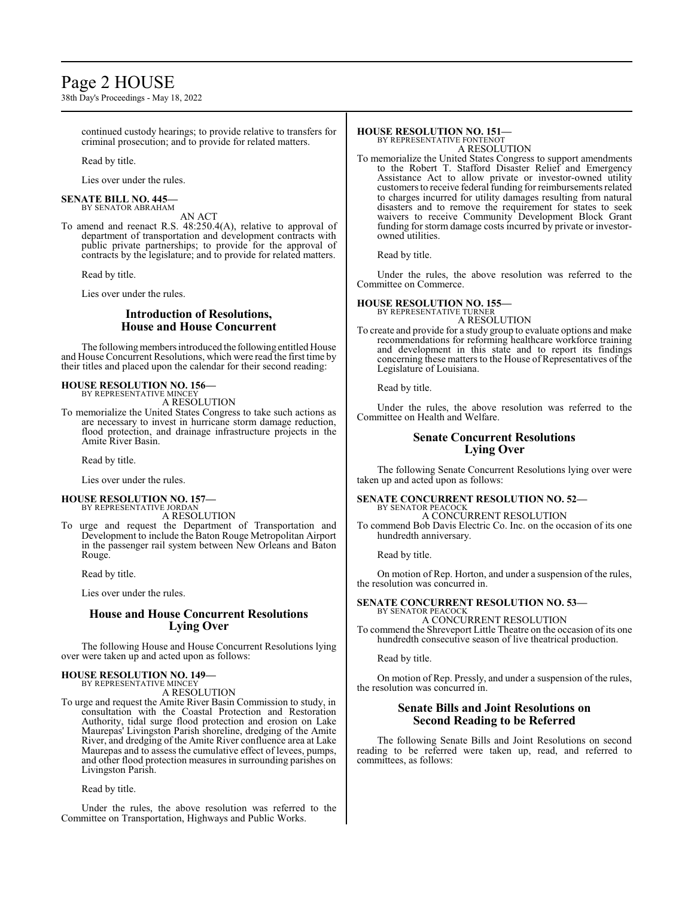### Page 2 HOUSE

38th Day's Proceedings - May 18, 2022

continued custody hearings; to provide relative to transfers for criminal prosecution; and to provide for related matters.

Read by title.

Lies over under the rules.

#### **SENATE BILL NO. 445—** BY SENATOR ABRAHAM

AN ACT

To amend and reenact R.S. 48:250.4(A), relative to approval of department of transportation and development contracts with public private partnerships; to provide for the approval of contracts by the legislature; and to provide for related matters.

Read by title.

Lies over under the rules.

#### **Introduction of Resolutions, House and House Concurrent**

The following members introduced the following entitled House and House Concurrent Resolutions, which were read the first time by their titles and placed upon the calendar for their second reading:

#### **HOUSE RESOLUTION NO. 156—** BY REPRESENTATIVE MINCEY

A RESOLUTION

To memorialize the United States Congress to take such actions as are necessary to invest in hurricane storm damage reduction, flood protection, and drainage infrastructure projects in the Amite River Basin.

Read by title.

Lies over under the rules.

#### **HOUSE RESOLUTION NO. 157—** BY REPRESENTATIVE JORDAN

A RESOLUTION

To urge and request the Department of Transportation and Development to include the Baton Rouge Metropolitan Airport in the passenger rail system between New Orleans and Baton Rouge.

Read by title.

Lies over under the rules.

#### **House and House Concurrent Resolutions Lying Over**

The following House and House Concurrent Resolutions lying over were taken up and acted upon as follows:

#### **HOUSE RESOLUTION NO. 149—**

BY REPRESENTATIVE MINCEY A RESOLUTION

To urge and request the Amite River Basin Commission to study, in consultation with the Coastal Protection and Restoration Authority, tidal surge flood protection and erosion on Lake Maurepas' Livingston Parish shoreline, dredging of the Amite River, and dredging of the Amite River confluence area at Lake Maurepas and to assess the cumulative effect of levees, pumps, and other flood protection measures in surrounding parishes on Livingston Parish.

Read by title.

Under the rules, the above resolution was referred to the Committee on Transportation, Highways and Public Works.

#### **HOUSE RESOLUTION NO. 151—**

BY REPRESENTATIVE FONTENOT A RESOLUTION

To memorialize the United States Congress to support amendments to the Robert T. Stafford Disaster Relief and Emergency Assistance Act to allow private or investor-owned utility customers to receive federal funding for reimbursements related to charges incurred for utility damages resulting from natural disasters and to remove the requirement for states to seek waivers to receive Community Development Block Grant funding for storm damage costs incurred by private or investorowned utilities.

Read by title.

Under the rules, the above resolution was referred to the Committee on Commerce.

## **HOUSE RESOLUTION NO. 155—** BY REPRESENTATIVE TURNER

A RESOLUTION

To create and provide for a study group to evaluate options and make recommendations for reforming healthcare workforce training and development in this state and to report its findings concerning these matters to the House of Representatives of the Legislature of Louisiana.

Read by title.

Under the rules, the above resolution was referred to the Committee on Health and Welfare.

#### **Senate Concurrent Resolutions Lying Over**

The following Senate Concurrent Resolutions lying over were taken up and acted upon as follows:

#### **SENATE CONCURRENT RESOLUTION NO. 52—** BY SENATOR PEACOCK

A CONCURRENT RESOLUTION

To commend Bob Davis Electric Co. Inc. on the occasion of its one hundredth anniversary.

Read by title.

On motion of Rep. Horton, and under a suspension of the rules, the resolution was concurred in.

#### **SENATE CONCURRENT RESOLUTION NO. 53—** BY SENATOR PEACOCK

A CONCURRENT RESOLUTION

To commend the Shreveport Little Theatre on the occasion of its one hundredth consecutive season of live theatrical production.

Read by title.

On motion of Rep. Pressly, and under a suspension of the rules, the resolution was concurred in.

#### **Senate Bills and Joint Resolutions on Second Reading to be Referred**

The following Senate Bills and Joint Resolutions on second reading to be referred were taken up, read, and referred to committees, as follows: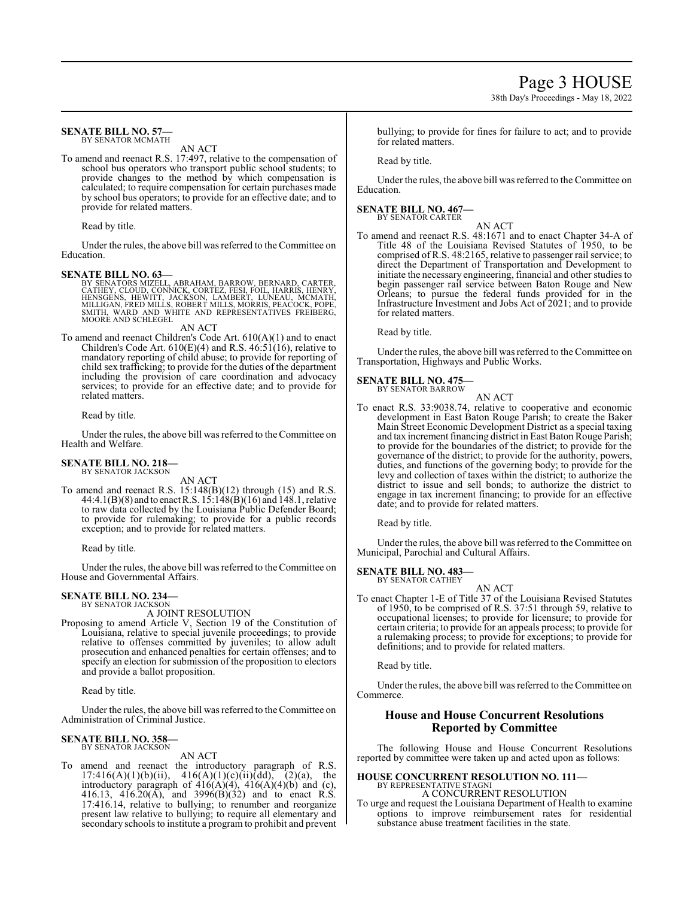#### **SENATE BILL NO. 57—** BY SENATOR MCMATH

AN ACT

To amend and reenact R.S. 17:497, relative to the compensation of school bus operators who transport public school students; to provide changes to the method by which compensation is calculated; to require compensation for certain purchases made by school bus operators; to provide for an effective date; and to provide for related matters.

Read by title.

Under the rules, the above bill was referred to the Committee on Education.

SENATE BILL NO. 63—<br>BY SENATORS MIZELL, ABRAHAM, BARROW, BERNARD, CARTER,<br>CATHEY, CLOUD, CONNICK, CORTEZ, FESI, FOIL, HARRIS, HENRY,<br>CENTER, CLOUD, CONNICK, CORTEZ, FESI, FOIL, HARRIS, HENRY,<br>HENSGENS, HEWITT, JACKSON, LAM

AN ACT

To amend and reenact Children's Code Art. 610(A)(1) and to enact Children's Code Art.  $610(E)(4)$  and R.S.  $46:51(16)$ , relative to mandatory reporting of child abuse; to provide for reporting of child sex trafficking; to provide for the duties of the department including the provision of care coordination and advocacy services; to provide for an effective date; and to provide for related matters.

Read by title.

Under the rules, the above bill was referred to the Committee on Health and Welfare.

#### **SENATE BILL NO. 218—** BY SENATOR JACKSON

AN ACT

To amend and reenact R.S. 15:148(B)(12) through (15) and R.S. 44:4.1(B)(8) and to enact R.S.  $1\overline{3}$ :148(B)(16) and 148.1, relative to raw data collected by the Louisiana Public Defender Board; to provide for rulemaking; to provide for a public records exception; and to provide for related matters.

Read by title.

Under the rules, the above bill was referred to the Committee on House and Governmental Affairs.

#### **SENATE BILL NO. 234—** BY SENATOR JACKSON

A JOINT RESOLUTION

Proposing to amend Article V, Section 19 of the Constitution of Louisiana, relative to special juvenile proceedings; to provide relative to offenses committed by juveniles; to allow adult prosecution and enhanced penalties for certain offenses; and to specify an election for submission of the proposition to electors and provide a ballot proposition.

Read by title.

Under the rules, the above bill was referred to theCommittee on Administration of Criminal Justice.

#### **SENATE BILL NO. 358—** BY SENATOR JACKSON

AN ACT

To amend and reenact the introductory paragraph of R.S. 17:416(A)(1)(b)(ii), 416(A)(1)(c)(ii)(dd), (2)(a), the introductory paragraph of  $416(A)(4)$ ,  $416(A)(4)(b)$  and (c), 416.13, 416.20(A), and 3996(B)(32) and to enact R.S. 17:416.14, relative to bullying; to renumber and reorganize present law relative to bullying; to require all elementary and secondary schools to institute a program to prohibit and prevent bullying; to provide for fines for failure to act; and to provide for related matters.

Read by title.

Under the rules, the above bill was referred to the Committee on Education.

#### **SENATE BILL NO. 467—** BY SENATOR CARTER

AN ACT

To amend and reenact R.S. 48:1671 and to enact Chapter 34-A of Title 48 of the Louisiana Revised Statutes of 1950, to be comprised of R.S. 48:2165, relative to passenger rail service; to direct the Department of Transportation and Development to initiate the necessary engineering, financial and other studies to begin passenger rail service between Baton Rouge and New Orleans; to pursue the federal funds provided for in the Infrastructure Investment and Jobs Act of 2021; and to provide for related matters.

Read by title.

Under the rules, the above bill was referred to the Committee on Transportation, Highways and Public Works.

#### **SENATE BILL NO. 475—** BY SENATOR BARROW

AN ACT To enact R.S. 33:9038.74, relative to cooperative and economic development in East Baton Rouge Parish; to create the Baker Main Street Economic Development District as a special taxing and tax increment financing district in East Baton Rouge Parish; to provide for the boundaries of the district; to provide for the governance of the district; to provide for the authority, powers, duties, and functions of the governing body; to provide for the levy and collection of taxes within the district; to authorize the district to issue and sell bonds; to authorize the district to engage in tax increment financing; to provide for an effective date; and to provide for related matters.

Read by title.

Under the rules, the above bill was referred to the Committee on Municipal, Parochial and Cultural Affairs.

#### **SENATE BILL NO. 483—** BY SENATOR CATHEY

AN ACT To enact Chapter 1-E of Title 37 of the Louisiana Revised Statutes of 1950, to be comprised of R.S. 37:51 through 59, relative to occupational licenses; to provide for licensure; to provide for certain criteria; to provide for an appeals process; to provide for a rulemaking process; to provide for exceptions; to provide for definitions; and to provide for related matters.

Read by title.

Under the rules, the above bill was referred to the Committee on Commerce.

#### **House and House Concurrent Resolutions Reported by Committee**

The following House and House Concurrent Resolutions reported by committee were taken up and acted upon as follows:

### **HOUSE CONCURRENT RESOLUTION NO. 111—**

BY REPRESENTATIVE STAGNI A CONCURRENT RESOLUTION

To urge and request the Louisiana Department of Health to examine options to improve reimbursement rates for residential substance abuse treatment facilities in the state.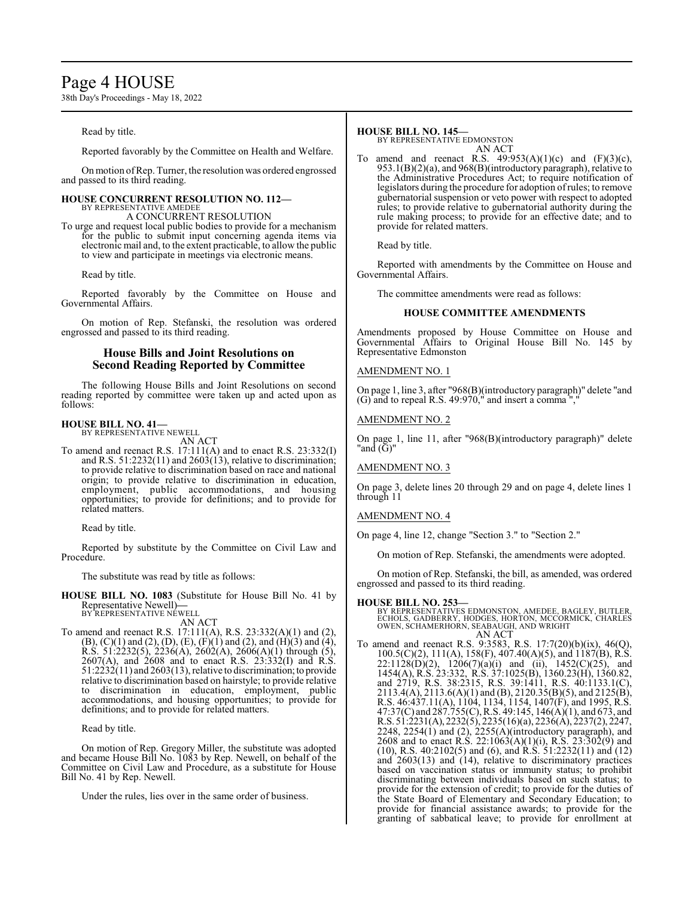### Page 4 HOUSE

38th Day's Proceedings - May 18, 2022

Read by title.

Reported favorably by the Committee on Health and Welfare.

Onmotion ofRep. Turner, the resolution was ordered engrossed and passed to its third reading.

### **HOUSE CONCURRENT RESOLUTION NO. 112—** BY REPRESENTATIVE AMEDEE

A CONCURRENT RESOLUTION

To urge and request local public bodies to provide for a mechanism for the public to submit input concerning agenda items via electronic mail and, to the extent practicable, to allow the public to view and participate in meetings via electronic means.

Read by title.

Reported favorably by the Committee on House and Governmental Affairs.

On motion of Rep. Stefanski, the resolution was ordered engrossed and passed to its third reading.

#### **House Bills and Joint Resolutions on Second Reading Reported by Committee**

The following House Bills and Joint Resolutions on second reading reported by committee were taken up and acted upon as follows:

#### **HOUSE BILL NO. 41—** BY REPRESENTATIVE NEWELL

AN ACT

To amend and reenact R.S. 17:111(A) and to enact R.S. 23:332(I) and R.S.  $51:2232(11)$  and  $2603(13)$ , relative to discrimination; to provide relative to discrimination based on race and national origin; to provide relative to discrimination in education, employment, public accommodations, and housing opportunities; to provide for definitions; and to provide for related matters.

Read by title.

Reported by substitute by the Committee on Civil Law and Procedure.

The substitute was read by title as follows:

**HOUSE BILL NO. 1083** (Substitute for House Bill No. 41 by Representative Newell)**—** BY REPRESENTATIVE NEWELL

AN ACT

To amend and reenact R.S. 17:111(A), R.S. 23:332(A)(1) and (2),  $(B)$ ,  $(C)(1)$  and  $(2)$ ,  $(D)$ ,  $(E)$ ,  $(F)(1)$  and  $(2)$ , and  $(H)(3)$  and  $(4)$ , R.S. 51:2232(5), 2236(A), 2602(A), 2606(A)(1) through (5), 2607(A), and 2608 and to enact R.S. 23:332(I) and R.S.  $51:2232(11)$  and  $2603(13)$ , relative to discrimination; to provide relative to discrimination based on hairstyle; to provide relative to discrimination in education, employment, public accommodations, and housing opportunities; to provide for definitions; and to provide for related matters.

Read by title.

On motion of Rep. Gregory Miller, the substitute was adopted and became House Bill No. 1083 by Rep. Newell, on behalf of the Committee on Civil Law and Procedure, as a substitute for House Bill No. 41 by Rep. Newell.

Under the rules, lies over in the same order of business.

#### **HOUSE BILL NO. 145—**

BY REPRESENTATIVE EDMONSTON AN ACT

To amend and reenact R.S.  $49:953(A)(1)(c)$  and  $(F)(3)(c)$ , 953.1(B)(2)(a), and 968(B)(introductory paragraph), relative to the Administrative Procedures Act; to require notification of legislators during the procedure for adoption ofrules; to remove gubernatorial suspension or veto power with respect to adopted rules; to provide relative to gubernatorial authority during the rule making process; to provide for an effective date; and to provide for related matters.

Read by title.

Reported with amendments by the Committee on House and Governmental Affairs.

The committee amendments were read as follows:

#### **HOUSE COMMITTEE AMENDMENTS**

Amendments proposed by House Committee on House and Governmental Affairs to Original House Bill No. 145 by Representative Edmonston

#### AMENDMENT NO. 1

On page 1, line 3, after "968(B)(introductory paragraph)" delete "and (G) and to repeal R.S. 49:970," and insert a comma ","

#### AMENDMENT NO. 2

On page 1, line 11, after "968(B)(introductory paragraph)" delete "and (G)"

#### AMENDMENT NO. 3

On page 3, delete lines 20 through 29 and on page 4, delete lines 1 through 11

#### AMENDMENT NO. 4

On page 4, line 12, change "Section 3." to "Section 2."

On motion of Rep. Stefanski, the amendments were adopted.

On motion of Rep. Stefanski, the bill, as amended, was ordered engrossed and passed to its third reading.

**HOUSE BILL NO. 253—** BY REPRESENTATIVES EDMONSTON, AMEDEE, BAGLEY, BUTLER, ECHOLS, GADBERRY, HODGES, HORTON, MCCORMICK, CHARLES OWEN, SCHAMERHORN, SEABAUGH, AND WRIGHT AN ACT

To amend and reenact R.S. 9:3583, R.S. 17:7(20)(b)(ix), 46(Q), 100.5(C)(2), 111(A), 158(F), 407.40(A)(5), and 1187(B), R.S.  $22:1128(D)(2)$ ,  $1206(7)(a)(i)$  and (ii),  $1452(C)(25)$ , and 1454(A), R.S. 23:332, R.S. 37:1025(B), 1360.23(H), 1360.82, and 2719, R.S. 38:2315, R.S. 39:1411, R.S. 40:1133.1(C), 2113.4(A), 2113.6(A)(1) and (B), 2120.35(B)(5), and 2125(B), R.S. 46:437.11(A), 1104, 1134, 1154, 1407(F), and 1995, R.S. 47:37(C) and 287.755(C), R.S. 49:145, 146(A)(1), and 673, and R.S. 51:2231(A), 2232(5), 2235(16)(a), 2236(A), 2237(2), 2247, 2248, 2254(1) and (2), 2255(A)(introductory paragraph), and 2608 and to enact R.S. 22:1063(A)(1)(i), R.S. 23:302(9) and (10), R.S. 40:2102(5) and (6), and R.S. 51:2232(11) and (12) and  $2603(13)$  and  $(14)$ , relative to discriminatory practices based on vaccination status or immunity status; to prohibit discriminating between individuals based on such status; to provide for the extension of credit; to provide for the duties of the State Board of Elementary and Secondary Education; to provide for financial assistance awards; to provide for the granting of sabbatical leave; to provide for enrollment at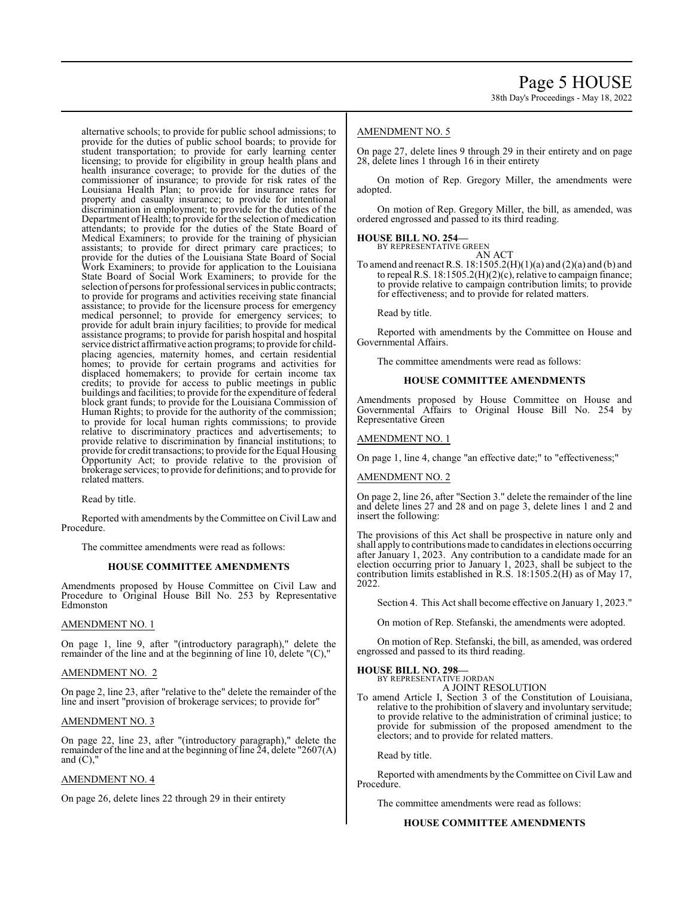alternative schools; to provide for public school admissions; to provide for the duties of public school boards; to provide for student transportation; to provide for early learning center licensing; to provide for eligibility in group health plans and health insurance coverage; to provide for the duties of the commissioner of insurance; to provide for risk rates of the Louisiana Health Plan; to provide for insurance rates for property and casualty insurance; to provide for intentional discrimination in employment; to provide for the duties of the Department of Health; to provide for the selection of medication attendants; to provide for the duties of the State Board of Medical Examiners; to provide for the training of physician assistants; to provide for direct primary care practices; to provide for the duties of the Louisiana State Board of Social Work Examiners; to provide for application to the Louisiana State Board of Social Work Examiners; to provide for the selection of persons for professional services in public contracts; to provide for programs and activities receiving state financial assistance; to provide for the licensure process for emergency medical personnel; to provide for emergency services; to provide for adult brain injury facilities; to provide for medical assistance programs; to provide for parish hospital and hospital service district affirmative action programs; to provide for childplacing agencies, maternity homes, and certain residential homes; to provide for certain programs and activities for displaced homemakers; to provide for certain income tax credits; to provide for access to public meetings in public buildings and facilities; to provide for the expenditure of federal block grant funds; to provide for the Louisiana Commission of Human Rights; to provide for the authority of the commission; to provide for local human rights commissions; to provide relative to discriminatory practices and advertisements; to provide relative to discrimination by financial institutions; to provide for credit transactions; to provide for the Equal Housing Opportunity Act; to provide relative to the provision of brokerage services; to provide for definitions; and to provide for related matters.

Read by title.

Reported with amendments by the Committee on Civil Law and Procedure.

The committee amendments were read as follows:

#### **HOUSE COMMITTEE AMENDMENTS**

Amendments proposed by House Committee on Civil Law and Procedure to Original House Bill No. 253 by Representative Edmonston

#### AMENDMENT NO. 1

On page 1, line 9, after "(introductory paragraph)," delete the remainder of the line and at the beginning of line 10, delete "(C),"

#### AMENDMENT NO. 2

On page 2, line 23, after "relative to the" delete the remainder of the line and insert "provision of brokerage services; to provide for"

#### AMENDMENT NO. 3

On page 22, line 23, after "(introductory paragraph)," delete the remainder of the line and at the beginning of line  $\tilde{2}4$ , delete "2607(A) and  $(C)$ ,

#### AMENDMENT NO. 4

On page 26, delete lines 22 through 29 in their entirety

#### AMENDMENT NO. 5

On page 27, delete lines 9 through 29 in their entirety and on page 28, delete lines 1 through 16 in their entirety

On motion of Rep. Gregory Miller, the amendments were adopted.

On motion of Rep. Gregory Miller, the bill, as amended, was ordered engrossed and passed to its third reading.

#### **HOUSE BILL NO. 254—** BY REPRESENTATIVE GREEN

AN ACT

To amend and reenact R.S. 18:1505.2(H)(1)(a) and (2)(a) and (b) and to repeal R.S. 18:1505.2(H)(2)(c), relative to campaign finance; to provide relative to campaign contribution limits; to provide for effectiveness; and to provide for related matters.

Read by title.

Reported with amendments by the Committee on House and Governmental Affairs.

The committee amendments were read as follows:

#### **HOUSE COMMITTEE AMENDMENTS**

Amendments proposed by House Committee on House and Governmental Affairs to Original House Bill No. 254 by Representative Green

AMENDMENT NO. 1

On page 1, line 4, change "an effective date;" to "effectiveness;"

#### AMENDMENT NO. 2

On page 2, line 26, after "Section 3." delete the remainder of the line and delete lines 27 and 28 and on page 3, delete lines 1 and 2 and insert the following:

The provisions of this Act shall be prospective in nature only and shall apply to contributions made to candidates in elections occurring after January 1, 2023. Any contribution to a candidate made for an election occurring prior to January 1, 2023, shall be subject to the contribution limits established in R.S. 18:1505.2(H) as of May 17, 2022.

Section 4. This Act shall become effective on January 1, 2023."

On motion of Rep. Stefanski, the amendments were adopted.

On motion of Rep. Stefanski, the bill, as amended, was ordered engrossed and passed to its third reading.

#### **HOUSE BILL NO. 298—**

BY REPRESENTATIVE JORDAN A JOINT RESOLUTION

To amend Article I, Section 3 of the Constitution of Louisiana, relative to the prohibition of slavery and involuntary servitude; to provide relative to the administration of criminal justice; to provide for submission of the proposed amendment to the electors; and to provide for related matters.

Read by title.

Reported with amendments by the Committee on Civil Law and Procedure.

The committee amendments were read as follows:

#### **HOUSE COMMITTEE AMENDMENTS**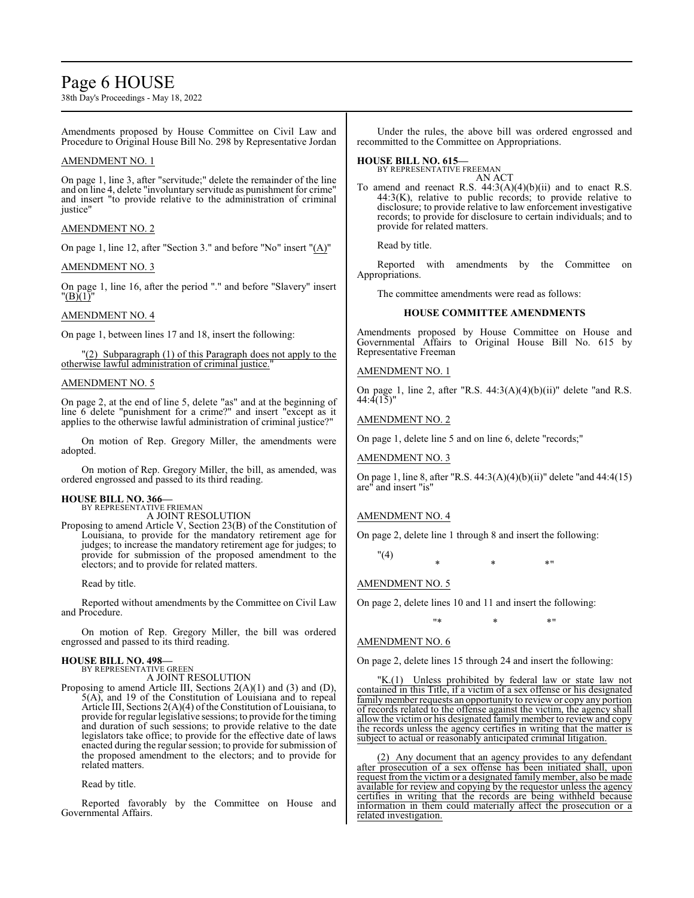### Page 6 HOUSE

38th Day's Proceedings - May 18, 2022

Amendments proposed by House Committee on Civil Law and Procedure to Original House Bill No. 298 by Representative Jordan

#### AMENDMENT NO. 1

On page 1, line 3, after "servitude;" delete the remainder of the line and on line 4, delete "involuntary servitude as punishment for crime" and insert "to provide relative to the administration of criminal iustice'

#### AMENDMENT NO. 2

On page 1, line 12, after "Section 3." and before "No" insert "(A)"

#### AMENDMENT NO. 3

On page 1, line 16, after the period "." and before "Slavery" insert "(B)(1)"

#### AMENDMENT NO. 4

On page 1, between lines 17 and 18, insert the following:

"(2) Subparagraph (1) of this Paragraph does not apply to the otherwise lawful administration of criminal justice."

#### AMENDMENT NO. 5

On page 2, at the end of line 5, delete "as" and at the beginning of line 6 delete "punishment for a crime?" and insert "except as it applies to the otherwise lawful administration of criminal justice?"

On motion of Rep. Gregory Miller, the amendments were adopted.

On motion of Rep. Gregory Miller, the bill, as amended, was ordered engrossed and passed to its third reading.

#### **HOUSE BILL NO. 366—**

BY REPRESENTATIVE FRIEMAN A JOINT RESOLUTION

Proposing to amend Article V, Section 23(B) of the Constitution of Louisiana, to provide for the mandatory retirement age for judges; to increase the mandatory retirement age for judges; to provide for submission of the proposed amendment to the electors; and to provide for related matters.

Read by title.

Reported without amendments by the Committee on Civil Law and Procedure.

On motion of Rep. Gregory Miller, the bill was ordered engrossed and passed to its third reading.

#### **HOUSE BILL NO. 498—**

BY REPRESENTATIVE GREEN A JOINT RESOLUTION

Proposing to amend Article III, Sections 2(A)(1) and (3) and (D), 5(A), and 19 of the Constitution of Louisiana and to repeal Article III, Sections 2(A)(4) of the Constitution of Louisiana, to provide forregular legislative sessions; to provide for the timing and duration of such sessions; to provide relative to the date legislators take office; to provide for the effective date of laws enacted during the regular session; to provide for submission of the proposed amendment to the electors; and to provide for related matters.

Read by title.

Reported favorably by the Committee on House and Governmental Affairs.

Under the rules, the above bill was ordered engrossed and recommitted to the Committee on Appropriations.

#### **HOUSE BILL NO. 615—**

BY REPRESENTATIVE FREEMAN AN ACT

To amend and reenact R.S.  $44:3(A)(4)(b)(ii)$  and to enact R.S. 44:3(K), relative to public records; to provide relative to disclosure; to provide relative to law enforcement investigative records; to provide for disclosure to certain individuals; and to provide for related matters.

Read by title.

Reported with amendments by the Committee on Appropriations.

The committee amendments were read as follows:

#### **HOUSE COMMITTEE AMENDMENTS**

Amendments proposed by House Committee on House and Governmental Affairs to Original House Bill No. 615 by Representative Freeman

#### AMENDMENT NO. 1

On page 1, line 2, after "R.S. 44:3(A)(4)(b)(ii)" delete "and R.S. 44:4(15)"

#### AMENDMENT NO. 2

On page 1, delete line 5 and on line 6, delete "records;"

AMENDMENT NO. 3

On page 1, line 8, after "R.S. 44:3(A)(4)(b)(ii)" delete "and 44:4(15) are" and insert "is"

#### AMENDMENT NO. 4

On page 2, delete line 1 through 8 and insert the following:

"(4)

 $*$  \*  $*$  \*

#### AMENDMENT NO. 5

On page 2, delete lines 10 and 11 and insert the following:

"\* \* \*"

#### AMENDMENT NO. 6

On page 2, delete lines 15 through 24 and insert the following:

"K.(1) Unless prohibited by federal law or state law not contained in this Title, if a victim of a sex offense or his designated family member requests an opportunity to review or copy any portion of records related to the offense against the victim, the agency shall allow the victim or his designated family member to review and copy the records unless the agency certifies in writing that the matter is subject to actual or reasonably anticipated criminal litigation.

(2) Any document that an agency provides to any defendant after prosecution of a sex offense has been initiated shall, upon request from the victim or a designated family member, also be made available for review and copying by the requestor unless the agency certifies in writing that the records are being withheld because information in them could materially affect the prosecution or a related investigation.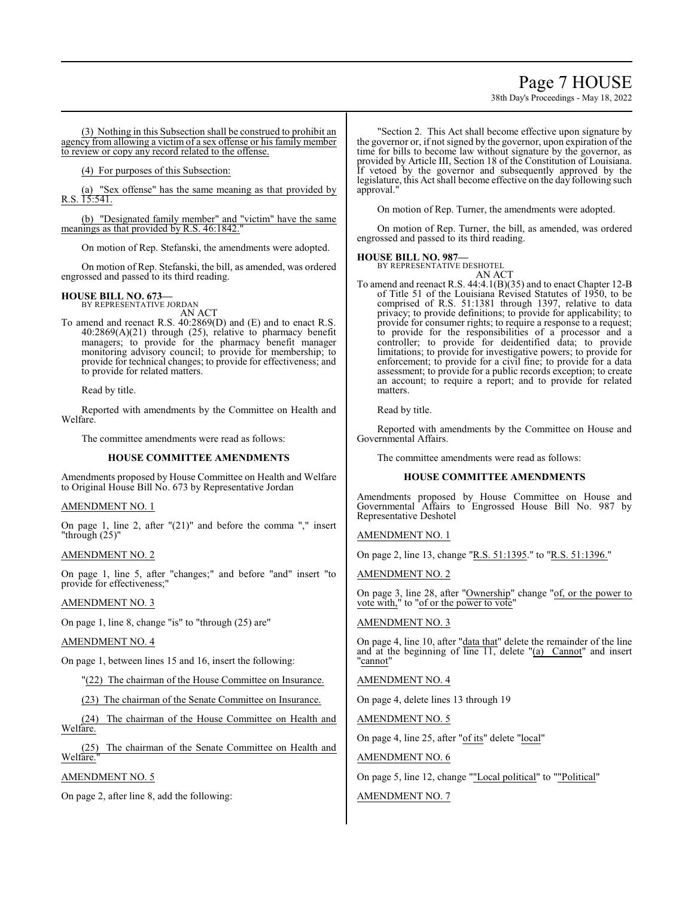### Page 7 HOUSE

38th Day's Proceedings - May 18, 2022

(3) Nothing in this Subsection shall be construed to prohibit an agency from allowing a victim of a sex offense or his family member to review or copy any record related to the offense.

(4) For purposes of this Subsection:

(a) "Sex offense" has the same meaning as that provided by R.S. 15:541.

(b) "Designated family member" and "victim" have the same meanings as that provided by R.S. 46:1842.

On motion of Rep. Stefanski, the amendments were adopted.

On motion of Rep. Stefanski, the bill, as amended, was ordered engrossed and passed to its third reading.

#### **HOUSE BILL NO. 673—** BY REPRESENTATIVE JORDAN

AN ACT

To amend and reenact R.S. 40:2869(D) and (E) and to enact R.S. 40:2869(A)(21) through (25), relative to pharmacy benefit managers; to provide for the pharmacy benefit manager monitoring advisory council; to provide for membership; to provide for technical changes; to provide for effectiveness; and to provide for related matters.

Read by title.

Reported with amendments by the Committee on Health and Welfare.

The committee amendments were read as follows:

#### **HOUSE COMMITTEE AMENDMENTS**

Amendments proposed by House Committee on Health and Welfare to Original House Bill No. 673 by Representative Jordan

#### AMENDMENT NO. 1

On page 1, line 2, after "(21)" and before the comma "," insert "through  $(25)$ "

#### AMENDMENT NO. 2

On page 1, line 5, after "changes;" and before "and" insert "to provide for effectiveness;"

#### AMENDMENT NO. 3

On page 1, line 8, change "is" to "through (25) are"

#### AMENDMENT NO. 4

On page 1, between lines 15 and 16, insert the following:

"(22) The chairman of the House Committee on Insurance.

(23) The chairman of the Senate Committee on Insurance.

(24) The chairman of the House Committee on Health and Welfare.

(25) The chairman of the Senate Committee on Health and Welfare."

#### AMENDMENT NO. 5

On page 2, after line 8, add the following:

"Section 2. This Act shall become effective upon signature by the governor or, if not signed by the governor, upon expiration of the time for bills to become law without signature by the governor, as provided by Article III, Section 18 of the Constitution of Louisiana. If vetoed by the governor and subsequently approved by the legislature, this Act shall become effective on the day following such approval."

On motion of Rep. Turner, the amendments were adopted.

On motion of Rep. Turner, the bill, as amended, was ordered engrossed and passed to its third reading.

#### **HOUSE BILL NO. 987—**

BY REPRESENTATIVE DESHOTEL AN ACT

To amend and reenact R.S. 44:4.1(B)(35) and to enact Chapter 12-B of Title 51 of the Louisiana Revised Statutes of 1950, to be comprised of R.S. 51:1381 through 1397, relative to data privacy; to provide definitions; to provide for applicability; to provide for consumer rights; to require a response to a request; to provide for the responsibilities of a processor and a controller; to provide for deidentified data; to provide limitations; to provide for investigative powers; to provide for enforcement; to provide for a civil fine; to provide for a data assessment; to provide for a public records exception; to create an account; to require a report; and to provide for related matters.

Read by title.

Reported with amendments by the Committee on House and Governmental Affairs.

The committee amendments were read as follows:

#### **HOUSE COMMITTEE AMENDMENTS**

Amendments proposed by House Committee on House and Governmental Affairs to Engrossed House Bill No. 987 by Representative Deshotel

#### AMENDMENT NO. 1

On page 2, line 13, change "R.S. 51:1395." to "R.S. 51:1396."

#### AMENDMENT NO. 2

On page 3, line 28, after "Ownership" change "of, or the power to vote with," to "of or the power to vote"

#### AMENDMENT NO. 3

On page 4, line 10, after "data that" delete the remainder of the line and at the beginning of line  $11$ , delete "(a) Cannot" and insert "cannot"

AMENDMENT NO. 4

On page 4, delete lines 13 through 19

AMENDMENT NO. 5

On page 4, line 25, after "of its" delete "local"

#### AMENDMENT NO. 6

On page 5, line 12, change ""Local political" to ""Political"

#### AMENDMENT NO. 7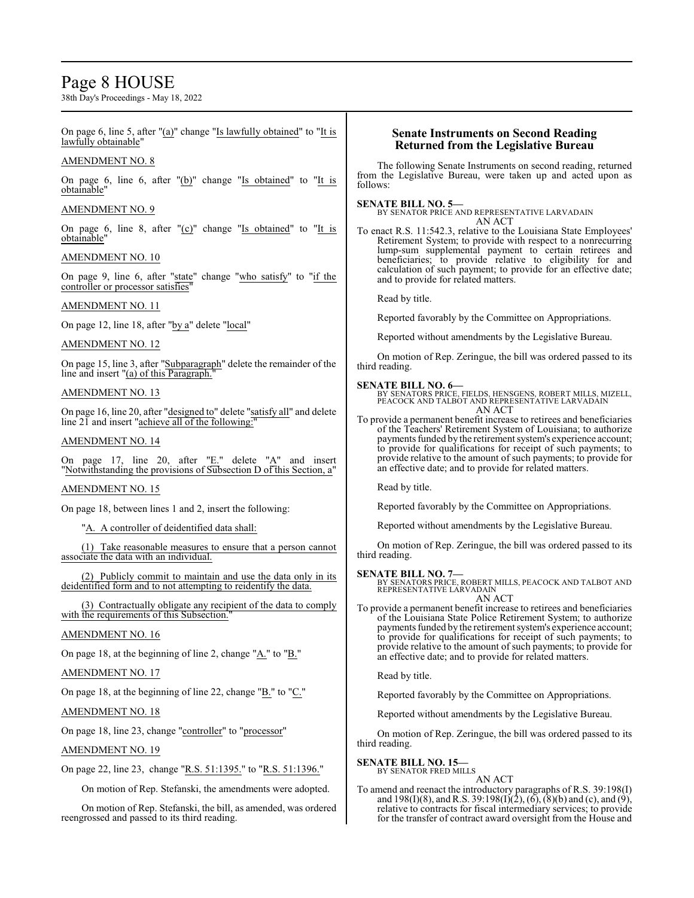### Page 8 HOUSE

38th Day's Proceedings - May 18, 2022

On page 6, line 5, after "(a)" change "Is lawfully obtained" to "It is lawfully obtainable" AMENDMENT NO. 8 On page  $6$ , line  $6$ , after " $(b)$ " change "Is obtained" to "It is obtainable" AMENDMENT NO. 9 On page 6, line 8, after " $(c)$ " change "Is obtained" to "It is obtainable" AMENDMENT NO. 10 On page 9, line 6, after "state" change "who satisfy" to "if the controller or processor satisfies" AMENDMENT NO. 11 On page 12, line 18, after "by a" delete "local" AMENDMENT NO. 12 On page 15, line 3, after "Subparagraph" delete the remainder of the line and insert "(a) of this Paragraph." AMENDMENT NO. 13 On page 16, line 20, after "designed to" delete "satisfy all" and delete line  $2\bar{1}$  and insert "achieve all of the following:" AMENDMENT NO. 14 On page 17, line 20, after " $E$ ." delete " $A$ " and insert "Notwithstanding the provisions of Subsection D of this Section, a" AMENDMENT NO. 15 On page 18, between lines 1 and 2, insert the following: "A. A controller of deidentified data shall: (1) Take reasonable measures to ensure that a person cannot associate the data with an individual. (2) Publicly commit to maintain and use the data only in its deidentified form and to not attempting to reidentify the data. (3) Contractually obligate any recipient of the data to comply with the requirements of this Subsection." AMENDMENT NO. 16 On page 18, at the beginning of line 2, change " $A$ ." to " $B$ ." AMENDMENT NO. 17 On page 18, at the beginning of line 22, change " $\underline{B}$ ." to " $\underline{C}$ ." AMENDMENT NO. 18 On page 18, line 23, change "controller" to "processor" AMENDMENT NO. 19 On page 22, line 23, change "R.S. 51:1395." to "R.S. 51:1396." On motion of Rep. Stefanski, the amendments were adopted. On motion of Rep. Stefanski, the bill, as amended, was ordered reengrossed and passed to its third reading. **Senate Instruments on Second Reading Returned from the Legislative Bureau** The following Senate Instruments on second reading, returned from the Legislative Bureau, were taken up and acted upon as follows: **SENATE BILL NO. 5—** BY SENATOR PRICE AND REPRESENTATIVE LARVADAIN AN ACT To enact R.S. 11:542.3, relative to the Louisiana State Employees' Retirement System; to provide with respect to a nonrecurring lump-sum supplemental payment to certain retirees and beneficiaries; to provide relative to eligibility for and calculation of such payment; to provide for an effective date; and to provide for related matters. Read by title. Reported favorably by the Committee on Appropriations. Reported without amendments by the Legislative Bureau. On motion of Rep. Zeringue, the bill was ordered passed to its third reading. **SENATE BILL NO. 6—** BY SENATORS PRICE, FIELDS, HENSGENS, ROBERT MILLS, MIZELL, PEACOCK AND TALBOT AND REPRESENTATIVE LARVADAIN AN ACT To provide a permanent benefit increase to retirees and beneficiaries of the Teachers' Retirement System of Louisiana; to authorize payments funded by the retirement system's experience account; to provide for qualifications for receipt of such payments; to provide relative to the amount of such payments; to provide for an effective date; and to provide for related matters. Read by title. Reported favorably by the Committee on Appropriations. Reported without amendments by the Legislative Bureau. On motion of Rep. Zeringue, the bill was ordered passed to its third reading. **SENATE BILL NO. 7—**<br>BY SENATORS PRICE, ROBERT MILLS, PEACOCK AND TALBOT AND<br>REPRESENTATIVE LARVADAIN AN ACT To provide a permanent benefit increase to retirees and beneficiaries of the Louisiana State Police Retirement System; to authorize payments funded by the retirement system's experience account; to provide for qualifications for receipt of such payments; to provide relative to the amount of such payments; to provide for an effective date; and to provide for related matters. Read by title. Reported favorably by the Committee on Appropriations. Reported without amendments by the Legislative Bureau. On motion of Rep. Zeringue, the bill was ordered passed to its third reading. **SENATE BILL NO. 15—** BY SENATOR FRED MILLS AN ACT To amend and reenact the introductory paragraphs of R.S. 39:198(I) and 198(I)(8), and R.S. 39:198(I)(2), (6), (8)(b) and (c), and (9), relative to contracts for fiscal intermediary services; to provide for the transfer of contract award oversight from the House and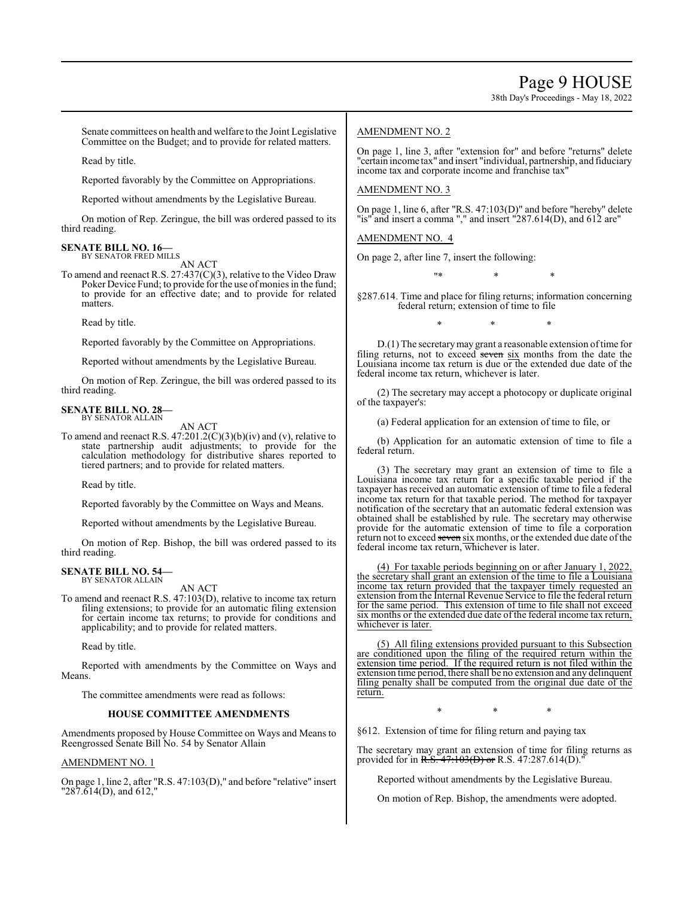38th Day's Proceedings - May 18, 2022

Senate committees on health and welfare to the Joint Legislative Committee on the Budget; and to provide for related matters.

Read by title.

Reported favorably by the Committee on Appropriations.

Reported without amendments by the Legislative Bureau.

On motion of Rep. Zeringue, the bill was ordered passed to its third reading.

#### **SENATE BILL NO. 16—** BY SENATOR FRED MILLS

AN ACT

To amend and reenact R.S. 27:437(C)(3), relative to the Video Draw Poker Device Fund; to provide for the use of monies in the fund; to provide for an effective date; and to provide for related matters.

Read by title.

Reported favorably by the Committee on Appropriations.

Reported without amendments by the Legislative Bureau.

On motion of Rep. Zeringue, the bill was ordered passed to its third reading.

#### **SENATE BILL NO. 28—** BY SENATOR ALLAIN

AN ACT

To amend and reenact R.S.  $47:201.2(C)(3)(b)(iv)$  and (v), relative to state partnership audit adjustments; to provide for the calculation methodology for distributive shares reported to tiered partners; and to provide for related matters.

Read by title.

Reported favorably by the Committee on Ways and Means.

Reported without amendments by the Legislative Bureau.

On motion of Rep. Bishop, the bill was ordered passed to its third reading.

#### **SENATE BILL NO. 54—** BY SENATOR ALLAIN

AN ACT

To amend and reenact R.S. 47:103(D), relative to income tax return filing extensions; to provide for an automatic filing extension for certain income tax returns; to provide for conditions and applicability; and to provide for related matters.

Read by title.

Reported with amendments by the Committee on Ways and Means.

The committee amendments were read as follows:

#### **HOUSE COMMITTEE AMENDMENTS**

Amendments proposed by House Committee on Ways and Means to Reengrossed Senate Bill No. 54 by Senator Allain

#### AMENDMENT NO. 1

On page 1, line 2, after "R.S. 47:103(D)," and before "relative" insert "287.614(D), and 612,"

#### AMENDMENT NO. 2

On page 1, line 3, after "extension for" and before "returns" delete "certain income tax" and insert "individual, partnership, and fiduciary income tax and corporate income and franchise tax"

#### AMENDMENT NO. 3

On page 1, line 6, after "R.S. 47:103(D)" and before "hereby" delete "is" and insert a comma "," and insert "287.614(D), and 612 are"

AMENDMENT NO. 4

On page 2, after line 7, insert the following:

"\* \* \*

§287.614. Time and place for filing returns; information concerning federal return; extension of time to file

\* \* \*

D.(1) The secretarymay grant a reasonable extension oftime for filing returns, not to exceed seven six months from the date the Louisiana income tax return is due or the extended due date of the federal income tax return, whichever is later.

(2) The secretary may accept a photocopy or duplicate original of the taxpayer's:

(a) Federal application for an extension of time to file, or

(b) Application for an automatic extension of time to file a federal return.

(3) The secretary may grant an extension of time to file a Louisiana income tax return for a specific taxable period if the taxpayer has received an automatic extension of time to file a federal income tax return for that taxable period. The method for taxpayer notification of the secretary that an automatic federal extension was obtained shall be established by rule. The secretary may otherwise provide for the automatic extension of time to file a corporation return not to exceed seven six months, or the extended due date of the federal income tax return, whichever is later.

(4) For taxable periods beginning on or after January 1, 2022, the secretary shall grant an extension of the time to file a Louisiana income tax return provided that the taxpayer timely requested an extension from the Internal Revenue Service to file the federal return for the same period. This extension of time to file shall not exceed six months or the extended due date of the federal income tax return, whichever is later.

(5) All filing extensions provided pursuant to this Subsection are conditioned upon the filing of the required return within the extension time period. If the required return is not filed within the extension time period, there shall be no extension and any delinquent filing penalty shall be computed from the original due date of the return.

\* \* \*

§612. Extension of time for filing return and paying tax

The secretary may grant an extension of time for filing returns as provided for in R.S.  $47:103(D)$  or R.S. 47:287.614(D).

Reported without amendments by the Legislative Bureau.

On motion of Rep. Bishop, the amendments were adopted.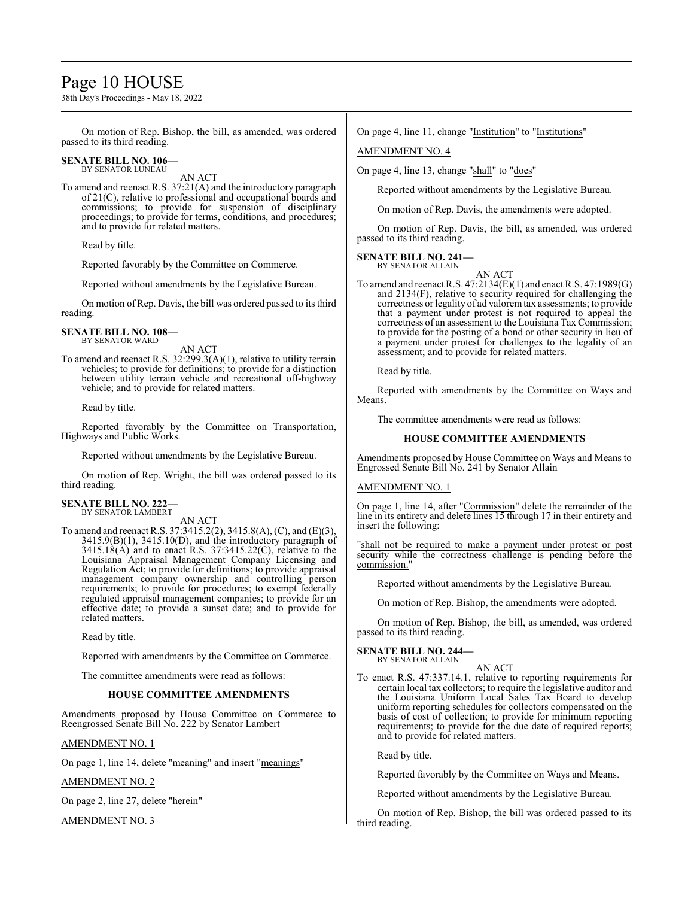### Page 10 HOUSE

38th Day's Proceedings - May 18, 2022

On motion of Rep. Bishop, the bill, as amended, was ordered passed to its third reading.

#### **SENATE BILL NO. 106—** BY SENATOR LUNEAU

AN ACT

To amend and reenact R.S. 37:21(A) and the introductory paragraph of 21(C), relative to professional and occupational boards and commissions; to provide for suspension of disciplinary proceedings; to provide for terms, conditions, and procedures; and to provide for related matters.

Read by title.

Reported favorably by the Committee on Commerce.

Reported without amendments by the Legislative Bureau.

On motion of Rep. Davis, the bill was ordered passed to its third reading.

#### **SENATE BILL NO. 108—** BY SENATOR WARD

AN ACT

To amend and reenact R.S. 32:299.3(A)(1), relative to utility terrain vehicles; to provide for definitions; to provide for a distinction between utility terrain vehicle and recreational off-highway vehicle; and to provide for related matters.

Read by title.

Reported favorably by the Committee on Transportation, Highways and Public Works.

Reported without amendments by the Legislative Bureau.

On motion of Rep. Wright, the bill was ordered passed to its third reading.

#### **SENATE BILL NO. 222—** BY SENATOR LAMBERT

AN ACT

To amend and reenact R.S. 37:3415.2(2), 3415.8(A), (C), and (E)(3), 3415.9(B)(1), 3415.10(D), and the introductory paragraph of  $3415.18(A)$  and to enact R.S.  $37:3415.22(C)$ , relative to the Louisiana Appraisal Management Company Licensing and Regulation Act; to provide for definitions; to provide appraisal management company ownership and controlling person requirements; to provide for procedures; to exempt federally regulated appraisal management companies; to provide for an effective date; to provide a sunset date; and to provide for related matters.

Read by title.

Reported with amendments by the Committee on Commerce.

The committee amendments were read as follows:

#### **HOUSE COMMITTEE AMENDMENTS**

Amendments proposed by House Committee on Commerce to Reengrossed Senate Bill No. 222 by Senator Lambert

#### AMENDMENT NO. 1

On page 1, line 14, delete "meaning" and insert "meanings"

AMENDMENT NO. 2

On page 2, line 27, delete "herein"

AMENDMENT NO. 3

On page 4, line 11, change "Institution" to "Institutions"

### AMENDMENT NO. 4

On page 4, line 13, change "shall" to "does"

Reported without amendments by the Legislative Bureau.

On motion of Rep. Davis, the amendments were adopted.

On motion of Rep. Davis, the bill, as amended, was ordered passed to its third reading.

#### **SENATE BILL NO. 241—** BY SENATOR ALLAIN

AN ACT To amend and reenact R.S. 47:2134(E)(1) and enact R.S. 47:1989(G) and 2134(F), relative to security required for challenging the correctness or legality of ad valoremtax assessments; to provide that a payment under protest is not required to appeal the correctness of an assessment to the Louisiana Tax Commission; to provide for the posting of a bond or other security in lieu of a payment under protest for challenges to the legality of an assessment; and to provide for related matters.

Read by title.

Reported with amendments by the Committee on Ways and Means.

The committee amendments were read as follows:

#### **HOUSE COMMITTEE AMENDMENTS**

Amendments proposed by House Committee on Ways and Means to Engrossed Senate Bill No. 241 by Senator Allain

#### AMENDMENT NO. 1

On page 1, line 14, after "Commission" delete the remainder of the line in its entirety and delete lines 15 through 17 in their entirety and insert the following:

"shall not be required to make a payment under protest or post security while the correctness challenge is pending before the commission."

Reported without amendments by the Legislative Bureau.

On motion of Rep. Bishop, the amendments were adopted.

On motion of Rep. Bishop, the bill, as amended, was ordered passed to its third reading.

#### **SENATE BILL NO. 244—** BY SENATOR ALLAIN

AN ACT

To enact R.S. 47:337.14.1, relative to reporting requirements for certain local tax collectors; to require the legislative auditor and the Louisiana Uniform Local Sales Tax Board to develop uniform reporting schedules for collectors compensated on the basis of cost of collection; to provide for minimum reporting requirements; to provide for the due date of required reports; and to provide for related matters.

Read by title.

Reported favorably by the Committee on Ways and Means.

Reported without amendments by the Legislative Bureau.

On motion of Rep. Bishop, the bill was ordered passed to its third reading.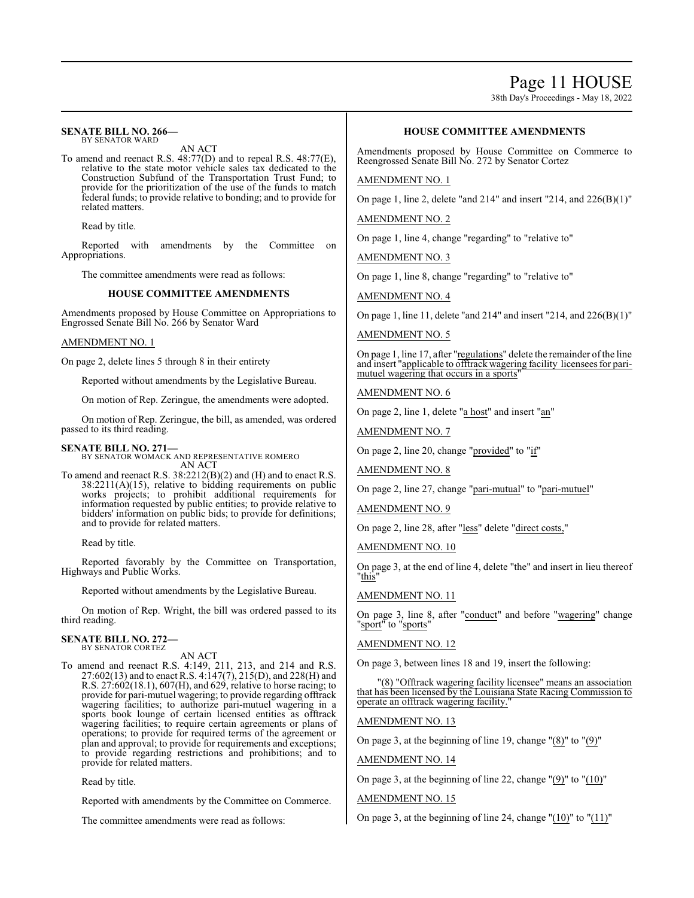### Page 11 HOUSE

38th Day's Proceedings - May 18, 2022

#### **SENATE BILL NO. 266—** BY SENATOR WARD

AN ACT

To amend and reenact R.S. 48:77(D) and to repeal R.S. 48:77(E), relative to the state motor vehicle sales tax dedicated to the Construction Subfund of the Transportation Trust Fund; to provide for the prioritization of the use of the funds to match federal funds; to provide relative to bonding; and to provide for related matters.

Read by title.

Reported with amendments by the Committee on Appropriations.

The committee amendments were read as follows:

#### **HOUSE COMMITTEE AMENDMENTS**

Amendments proposed by House Committee on Appropriations to Engrossed Senate Bill No. 266 by Senator Ward

#### AMENDMENT NO. 1

On page 2, delete lines 5 through 8 in their entirety

Reported without amendments by the Legislative Bureau.

On motion of Rep. Zeringue, the amendments were adopted.

On motion of Rep. Zeringue, the bill, as amended, was ordered passed to its third reading.

#### **SENATE BILL NO. 271—**

BY SENATOR WOMACK AND REPRESENTATIVE ROMERO AN ACT

To amend and reenact R.S. 38:2212(B)(2) and (H) and to enact R.S. 38:2211(A)(15), relative to bidding requirements on public works projects; to prohibit additional requirements for information requested by public entities; to provide relative to bidders' information on public bids; to provide for definitions; and to provide for related matters.

Read by title.

Reported favorably by the Committee on Transportation, Highways and Public Works.

Reported without amendments by the Legislative Bureau.

On motion of Rep. Wright, the bill was ordered passed to its third reading.

#### **SENATE BILL NO. 272—** BY SENATOR CORTEZ

AN ACT

To amend and reenact R.S. 4:149, 211, 213, and 214 and R.S. 27:602(13) and to enact R.S. 4:147(7), 215(D), and 228(H) and R.S. 27:602(18.1), 607(H), and 629, relative to horse racing; to provide for pari-mutuel wagering; to provide regarding offtrack wagering facilities; to authorize pari-mutuel wagering in a sports book lounge of certain licensed entities as offtrack wagering facilities; to require certain agreements or plans of operations; to provide for required terms of the agreement or plan and approval; to provide for requirements and exceptions; to provide regarding restrictions and prohibitions; and to provide for related matters.

Read by title.

Reported with amendments by the Committee on Commerce.

The committee amendments were read as follows:

#### **HOUSE COMMITTEE AMENDMENTS**

Amendments proposed by House Committee on Commerce to Reengrossed Senate Bill No. 272 by Senator Cortez

#### AMENDMENT NO. 1

On page 1, line 2, delete "and 214" and insert "214, and 226(B)(1)"

AMENDMENT NO. 2

On page 1, line 4, change "regarding" to "relative to"

AMENDMENT NO. 3

On page 1, line 8, change "regarding" to "relative to"

AMENDMENT NO. 4

On page 1, line 11, delete "and 214" and insert "214, and 226(B)(1)"

AMENDMENT NO. 5

On page 1, line 17, after "regulations" delete the remainder ofthe line and insert "applicable to offtrack wagering facility licensees for parimutuel wagering that occurs in a sports"

AMENDMENT NO. 6

On page 2, line 1, delete "a host" and insert "an"

AMENDMENT NO. 7

On page 2, line 20, change "provided" to "if"

AMENDMENT NO. 8

On page 2, line 27, change "pari-mutual" to "pari-mutuel"

AMENDMENT NO. 9

On page 2, line 28, after "less" delete "direct costs,"

AMENDMENT NO. 10

On page 3, at the end of line 4, delete "the" and insert in lieu thereof "this"

AMENDMENT NO. 11

On page 3, line 8, after "conduct" and before "wagering" change "sport" to "sports"

AMENDMENT NO. 12

On page 3, between lines 18 and 19, insert the following:

"(8) "Offtrack wagering facility licensee" means an association that has been licensed by the Louisiana State Racing Commission to operate an offtrack wagering facility.

#### AMENDMENT NO. 13

On page 3, at the beginning of line 19, change " $(8)$ " to " $(9)$ "

AMENDMENT NO. 14

On page 3, at the beginning of line 22, change "(9)" to "(10)"

#### AMENDMENT NO. 15

On page 3, at the beginning of line 24, change " $(10)$ " to " $(11)$ "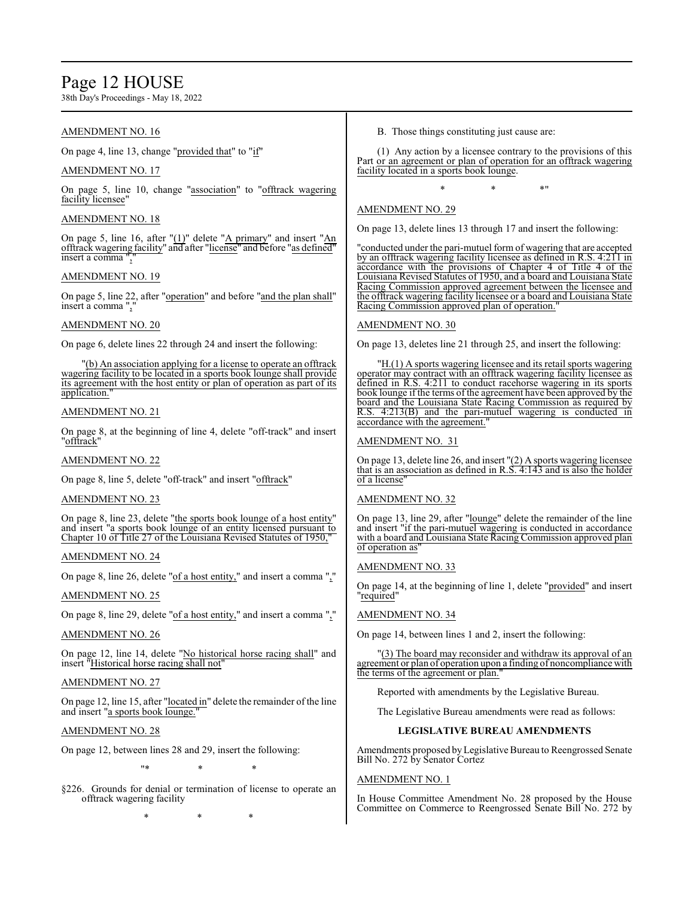### Page 12 HOUSE

38th Day's Proceedings - May 18, 2022

#### AMENDMENT NO. 16

On page 4, line 13, change "provided that" to "if"

#### AMENDMENT NO. 17

On page 5, line 10, change "association" to "offtrack wagering facility licensee'

#### AMENDMENT NO. 18

On page 5, line 16, after "(1)" delete "A primary" and insert "An offtrack wagering facility" and after "license" and before "as defined" insert a comma ","

#### AMENDMENT NO. 19

On page 5, line 22, after "operation" and before "and the plan shall" insert a comma ",

#### AMENDMENT NO. 20

On page 6, delete lines 22 through 24 and insert the following:

"(b) An association applying for a license to operate an offtrack wagering facility to be located in a sports book lounge shall provide its agreement with the host entity or plan of operation as part of its application."

#### AMENDMENT NO. 21

On page 8, at the beginning of line 4, delete "off-track" and insert "<u>offtrack</u>"

#### AMENDMENT NO. 22

On page 8, line 5, delete "off-track" and insert "offtrack"

#### AMENDMENT NO. 23

On page 8, line 23, delete "the sports book lounge of a host entity" and insert "a sports book lounge of an entity licensed pursuant to Chapter 10 of Title 27 of the Louisiana Revised Statutes of 1950,"

#### AMENDMENT NO. 24

On page 8, line 26, delete "of a host entity," and insert a comma ","

#### AMENDMENT NO. 25

On page 8, line 29, delete "of a host entity," and insert a comma ","

#### AMENDMENT NO. 26

On page 12, line 14, delete "No historical horse racing shall" and insert "Historical horse racing shall not"

#### AMENDMENT NO. 27

On page 12, line 15, after "located in" delete the remainder of the line and insert "a sports book lounge."

#### AMENDMENT NO. 28

On page 12, between lines 28 and 29, insert the following:

"\* \* \*

§226. Grounds for denial or termination of license to operate an offtrack wagering facility

\* \* \*

B. Those things constituting just cause are:

(1) Any action by a licensee contrary to the provisions of this Part or an agreement or plan of operation for an offtrack wagering facility located in a sports book lounge.

\* \* \*"

#### AMENDMENT NO. 29

On page 13, delete lines 13 through 17 and insert the following:

"conducted under the pari-mutuel form of wagering that are accepted by an offtrack wagering facility licensee as defined in R.S. 4:211 in accordance with the provisions of Chapter 4 of Title 4 of the Louisiana Revised Statutes of 1950, and a board and Louisiana State Racing Commission approved agreement between the licensee and the offtrack wagering facility licensee or a board and Louisiana State Racing Commission approved plan of operation.

#### AMENDMENT NO. 30

On page 13, deletes line 21 through 25, and insert the following:

"H.(1) A sports wagering licensee and its retail sports wagering operator may contract with an offtrack wagering facility licensee as defined in R.S. 4:211 to conduct racehorse wagering in its sports book lounge if the terms of the agreement have been approved by the board and the Louisiana State Racing Commission as required by R.S. 4:213(B) and the pari-mutuel wagering is conducted in  $4:213(B)$  and the pari-mutuel wagering is conducted in accordance with the agreement."

#### AMENDMENT NO. 31

On page 13, delete line 26, and insert "(2) A sports wagering licensee that is an association as defined in R.S. 4:143 and is also the holder of a license"

#### AMENDMENT NO. 32

On page 13, line 29, after "lounge" delete the remainder of the line and insert "if the pari-mutuel wagering is conducted in accordance with a board and Louisiana State Racing Commission approved plan of operation as"

#### AMENDMENT NO. 33

On page 14, at the beginning of line 1, delete "provided" and insert "required"

#### AMENDMENT NO. 34

On page 14, between lines 1 and 2, insert the following:

"(3) The board may reconsider and withdraw its approval of an agreement or plan of operation upon a finding of noncompliance with the terms of the agreement or plan."

Reported with amendments by the Legislative Bureau.

The Legislative Bureau amendments were read as follows:

#### **LEGISLATIVE BUREAU AMENDMENTS**

Amendments proposed byLegislative Bureau to Reengrossed Senate Bill No. 272 by Senator Cortez

#### AMENDMENT NO. 1

In House Committee Amendment No. 28 proposed by the House Committee on Commerce to Reengrossed Senate Bill No. 272 by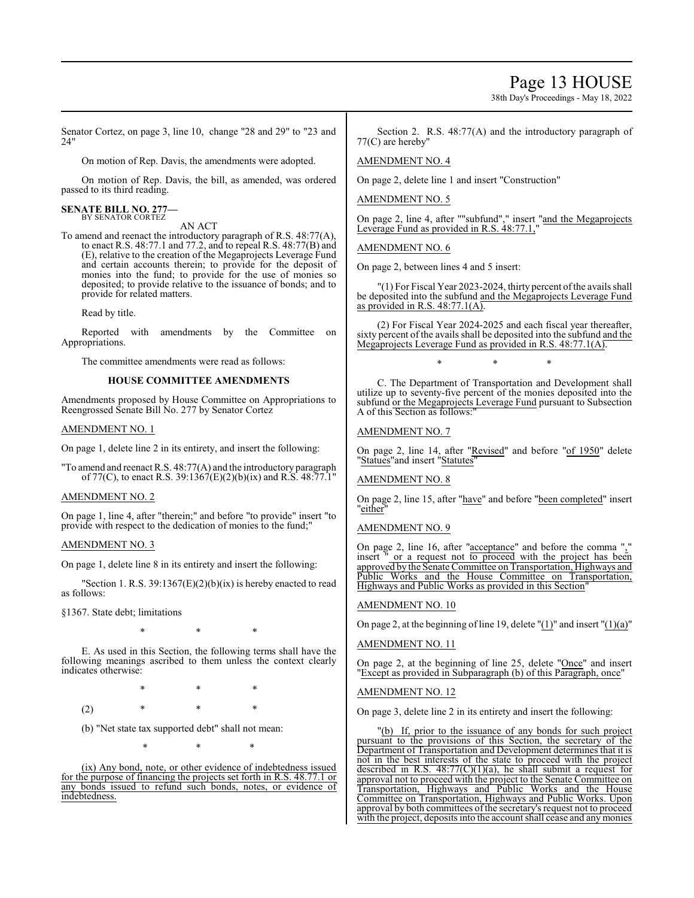Page 13 HOUSE

38th Day's Proceedings - May 18, 2022

Senator Cortez, on page 3, line 10, change "28 and 29" to "23 and 24"

On motion of Rep. Davis, the amendments were adopted.

On motion of Rep. Davis, the bill, as amended, was ordered passed to its third reading.

#### **SENATE BILL NO. 277—** BY SENATOR CORTEZ

AN ACT

To amend and reenact the introductory paragraph of R.S. 48:77(A), to enact R.S. 48:77.1 and 77.2, and to repeal R.S. 48:77(B) and (E), relative to the creation of the Megaprojects Leverage Fund and certain accounts therein; to provide for the deposit of monies into the fund; to provide for the use of monies so deposited; to provide relative to the issuance of bonds; and to provide for related matters.

Read by title.

Reported with amendments by the Committee on Appropriations.

The committee amendments were read as follows:

#### **HOUSE COMMITTEE AMENDMENTS**

Amendments proposed by House Committee on Appropriations to Reengrossed Senate Bill No. 277 by Senator Cortez

#### AMENDMENT NO. 1

On page 1, delete line 2 in its entirety, and insert the following:

"To amend and reenact R.S. 48:77(A) and the introductory paragraph of 77(C), to enact R.S. 39:1367(E)(2)(b)(ix) and R.S. 48:77.1"

#### AMENDMENT NO. 2

On page 1, line 4, after "therein;" and before "to provide" insert "to provide with respect to the dedication of monies to the fund;"

#### AMENDMENT NO. 3

On page 1, delete line 8 in its entirety and insert the following:

"Section 1. R.S.  $39:1367(E)(2)(b)(ix)$  is hereby enacted to read as follows:

§1367. State debt; limitations

\* \* \*

E. As used in this Section, the following terms shall have the following meanings ascribed to them unless the context clearly indicates otherwise:

\* \* \* (2) \* \* \*

(b) "Net state tax supported debt" shall not mean:

\* \* \*

(ix) Any bond, note, or other evidence of indebtedness issued for the purpose of financing the projects set forth in R.S. 48.77.1 or any bonds issued to refund such bonds, notes, or evidence of indebtedness.

Section 2. R.S. 48:77(A) and the introductory paragraph of 77(C) are hereby"

#### AMENDMENT NO. 4

On page 2, delete line 1 and insert "Construction"

#### AMENDMENT NO. 5

On page 2, line 4, after ""subfund"," insert "and the Megaprojects Leverage Fund as provided in R.S. 48:77.1,

#### AMENDMENT NO. 6

On page 2, between lines 4 and 5 insert:

"(1) For Fiscal Year 2023-2024, thirty percent ofthe avails shall be deposited into the subfund and the Megaprojects Leverage Fund as provided in R.S.  $48:77.1(A)$ .

(2) For Fiscal Year 2024-2025 and each fiscal year thereafter, sixty percent of the avails shall be deposited into the subfund and the Megaprojects Leverage Fund as provided in R.S. 48:77.1(A).

\* \* \*

C. The Department of Transportation and Development shall utilize up to seventy-five percent of the monies deposited into the subfund or the Megaprojects Leverage Fund pursuant to Subsection A of this Section as follows:

#### AMENDMENT NO. 7

On page 2, line 14, after "Revised" and before "of 1950" delete "Statues"and insert "Statutes"

#### AMENDMENT NO. 8

On page 2, line 15, after "have" and before "been completed" insert "either"

#### AMENDMENT NO. 9

On page 2, line 16, after "acceptance" and before the comma "," insert " or a request not to proceed with the project has been approved by the Senate Committee on Transportation, Highways and Public Works and the House Committee on Transportation, Highways and Public Works as provided in this Section"

#### AMENDMENT NO. 10

On page 2, at the beginning of line 19, delete  $''(1)''$  and insert  $''(1)(a)''$ 

#### AMENDMENT NO. 11

On page 2, at the beginning of line 25, delete "Once" and insert "Except as provided in Subparagraph (b) of this Paragraph, once"

#### AMENDMENT NO. 12

On page 3, delete line 2 in its entirety and insert the following:

"(b) If, prior to the issuance of any bonds for such project pursuant to the provisions of this Section, the secretary of the Department of Transportation and Development determines that it is not in the best interests of the state to proceed with the project described in R.S. 48:77(C)(1)(a), he shall submit a request for approval not to proceed with the project to the Senate Committee on Transportation, Highways and Public Works and the House Committee on Transportation, Highways and Public Works. Upon approval by both committees of the secretary's request not to proceed with the project, deposits into the account shall cease and anymonies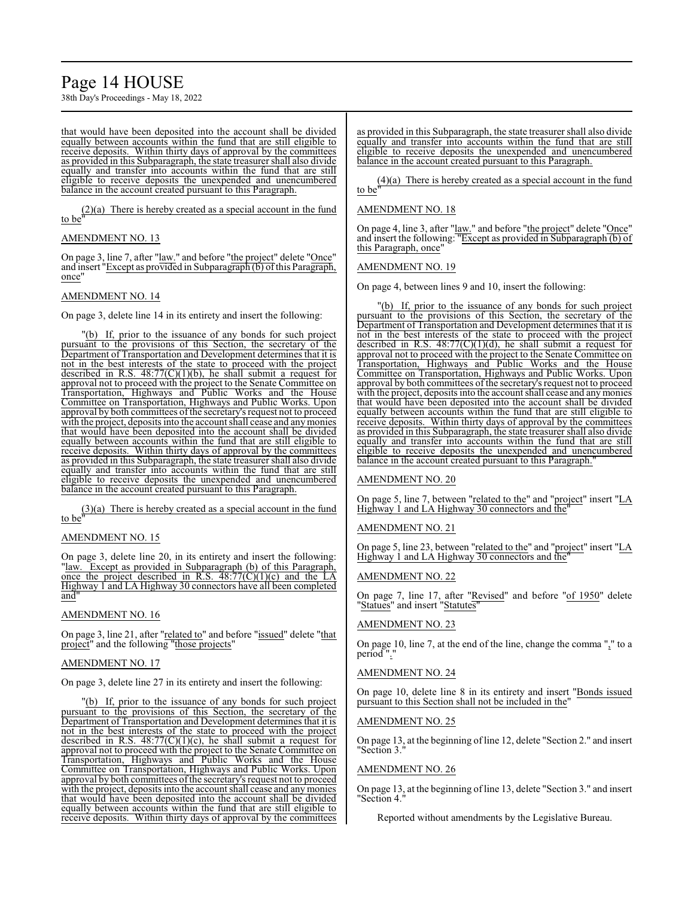## Page 14 HOUSE

38th Day's Proceedings - May 18, 2022

that would have been deposited into the account shall be divided equally between accounts within the fund that are still eligible to receive deposits. Within thirty days of approval by the committees as provided in this Subparagraph, the state treasurer shall also divide equally and transfer into accounts within the fund that are still eligible to receive deposits the unexpended and unencumbered balance in the account created pursuant to this Paragraph.

(2)(a) There is hereby created as a special account in the fund to be"

#### AMENDMENT NO. 13

On page 3, line 7, after "law." and before "the project" delete "Once" and insert "Except as provided in Subparagraph (b) of this Paragraph, once"

#### AMENDMENT NO. 14

On page 3, delete line 14 in its entirety and insert the following:

"(b) If, prior to the issuance of any bonds for such project pursuant to the provisions of this Section, the secretary of the Department of Transportation and Development determines that it is not in the best interests of the state to proceed with the project described in R.S.  $48:77(C)(1)(b)$ , he shall submit a request for approval not to proceed with the project to the Senate Committee on Transportation, Highways and Public Works and the House Committee on Transportation, Highways and Public Works. Upon approval by both committees of the secretary's request not to proceed with the project, deposits into the account shall cease and anymonies that would have been deposited into the account shall be divided equally between accounts within the fund that are still eligible to receive deposits. Within thirty days of approval by the committees as provided in this Subparagraph, the state treasurer shall also divide equally and transfer into accounts within the fund that are still eligible to receive deposits the unexpended and unencumbered balance in the account created pursuant to this Paragraph.

(3)(a) There is hereby created as a special account in the fund to be"

#### AMENDMENT NO. 15

On page 3, delete line 20, in its entirety and insert the following: "law. Except as provided in Subparagraph (b) of this Paragraph, once the project described in R.S. 48:77(C)(1)(c) and the LA Highway 1 and LA Highway 30 connectors have all been completed and"

#### AMENDMENT NO. 16

On page 3, line 21, after "related to" and before "issued" delete "that project" and the following "those projects"

#### AMENDMENT NO. 17

On page 3, delete line 27 in its entirety and insert the following:

"(b) If, prior to the issuance of any bonds for such project pursuant to the provisions of this Section, the secretary of the Department of Transportation and Development determines that it is not in the best interests of the state to proceed with the project described in R.S. 48:77(C)(1)(c), he shall submit a request for approval not to proceed with the project to the Senate Committee on Transportation, Highways and Public Works and the House Committee on Transportation, Highways and Public Works. Upon approval by both committees of the secretary's request not to proceed with the project, deposits into the account shall cease and any monies that would have been deposited into the account shall be divided equally between accounts within the fund that are still eligible to receive deposits. Within thirty days of approval by the committees as provided in this Subparagraph, the state treasurer shall also divide equally and transfer into accounts within the fund that are still eligible to receive deposits the unexpended and unencumbered balance in the account created pursuant to this Paragraph.

(4)(a) There is hereby created as a special account in the fund to be"

#### AMENDMENT NO. 18

On page 4, line 3, after "law." and before "the project" delete "Once" and insert the following: "Except as provided in Subparagraph (b) of this Paragraph, once"

#### AMENDMENT NO. 19

On page 4, between lines 9 and 10, insert the following:

"(b) If, prior to the issuance of any bonds for such project pursuant to the provisions of this Section, the secretary of the Department of Transportation and Development determines that it is not in the best interests of the state to proceed with the project described in R.S.  $48:77(C)(1)(d)$ , he shall submit a request for approval not to proceed with the project to the Senate Committee on Transportation, Highways and Public Works and the House Committee on Transportation, Highways and Public Works. Upon approval by both committees of the secretary's request not to proceed with the project, deposits into the account shall cease and anymonies that would have been deposited into the account shall be divided equally between accounts within the fund that are still eligible to receive deposits. Within thirty days of approval by the committees as provided in this Subparagraph, the state treasurer shall also divide equally and transfer into accounts within the fund that are still eligible to receive deposits the unexpended and unencumbered balance in the account created pursuant to this Paragraph."

#### AMENDMENT NO. 20

On page 5, line 7, between "related to the" and "project" insert "LA Highway 1 and LA Highway 30 connectors and the"

#### AMENDMENT NO. 21

On page 5, line 23, between "related to the" and "project" insert "LA Highway 1 and LA Highway 30 connectors and the"

#### AMENDMENT NO. 22

On page 7, line 17, after "Revised" and before "of 1950" delete "Statues" and insert "Statutes"

#### AMENDMENT NO. 23

On page 10, line 7, at the end of the line, change the comma "," to a period".

#### AMENDMENT NO. 24

On page 10, delete line 8 in its entirety and insert "Bonds issued pursuant to this Section shall not be included in the"

#### AMENDMENT NO. 25

On page 13, at the beginning of line 12, delete "Section 2." and insert "Section 3."

#### AMENDMENT NO. 26

On page 13, at the beginning of line 13, delete "Section 3." and insert "Section 4."

Reported without amendments by the Legislative Bureau.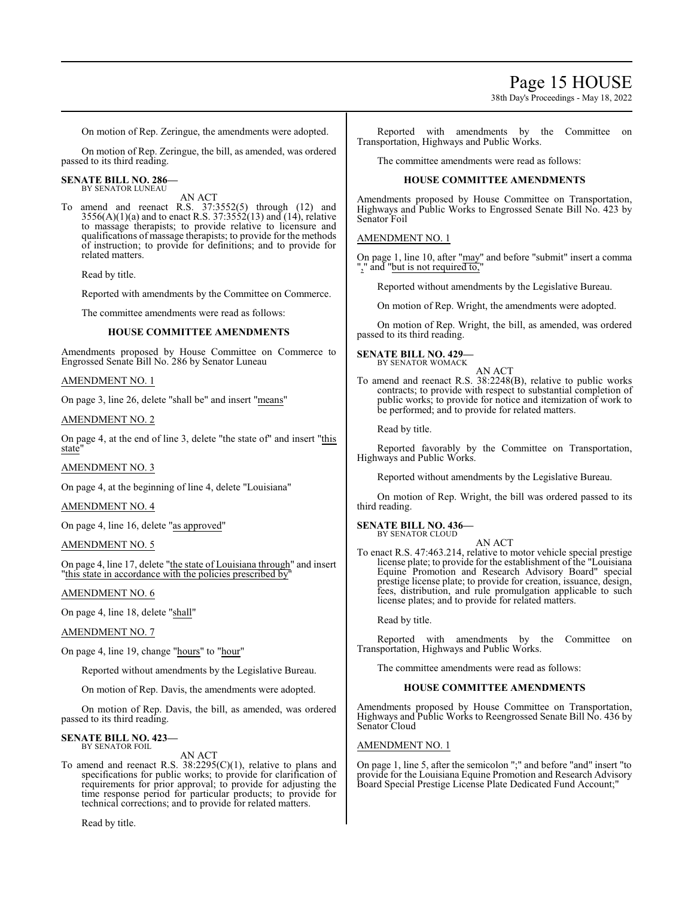### Page 15 HOUSE

38th Day's Proceedings - May 18, 2022

On motion of Rep. Zeringue, the amendments were adopted.

On motion of Rep. Zeringue, the bill, as amended, was ordered passed to its third reading.

#### **SENATE BILL NO. 286—** BY SENATOR LUNEAU

AN ACT To amend and reenact R.S. 37:3552(5) through (12) and  $3556(A)(1)(a)$  and to enact R.S.  $37:3552(13)$  and  $(14)$ , relative to massage therapists; to provide relative to licensure and qualifications of massage therapists; to provide for the methods of instruction; to provide for definitions; and to provide for related matters.

Read by title.

Reported with amendments by the Committee on Commerce.

The committee amendments were read as follows:

#### **HOUSE COMMITTEE AMENDMENTS**

Amendments proposed by House Committee on Commerce to Engrossed Senate Bill No. 286 by Senator Luneau

#### AMENDMENT NO. 1

On page 3, line 26, delete "shall be" and insert "means"

#### AMENDMENT NO. 2

On page 4, at the end of line 3, delete "the state of" and insert "this state"

#### AMENDMENT NO. 3

On page 4, at the beginning of line 4, delete "Louisiana"

#### AMENDMENT NO. 4

On page 4, line 16, delete "as approved"

#### AMENDMENT NO. 5

On page 4, line 17, delete "the state of Louisiana through" and insert "this state in accordance with the policies prescribed by

#### AMENDMENT NO. 6

On page 4, line 18, delete "shall"

#### AMENDMENT NO. 7

On page 4, line 19, change "hours" to "hour"

Reported without amendments by the Legislative Bureau.

On motion of Rep. Davis, the amendments were adopted.

On motion of Rep. Davis, the bill, as amended, was ordered passed to its third reading.

#### **SENATE BILL NO. 423—** BY SENATOR FOIL

AN ACT

To amend and reenact R.S.  $38:2295(C)(1)$ , relative to plans and specifications for public works; to provide for clarification of requirements for prior approval; to provide for adjusting the time response period for particular products; to provide for technical corrections; and to provide for related matters.

Read by title.

Reported with amendments by the Committee on Transportation, Highways and Public Works.

The committee amendments were read as follows:

#### **HOUSE COMMITTEE AMENDMENTS**

Amendments proposed by House Committee on Transportation, Highways and Public Works to Engrossed Senate Bill No. 423 by Senator Foil

#### AMENDMENT NO. 1

On page 1, line 10, after "may" and before "submit" insert a comma "," and "but is not required to,

Reported without amendments by the Legislative Bureau.

On motion of Rep. Wright, the amendments were adopted.

On motion of Rep. Wright, the bill, as amended, was ordered passed to its third reading.

**SENATE BILL NO. 429—** BY SENATOR WOMACK

AN ACT

To amend and reenact R.S. 38:2248(B), relative to public works contracts; to provide with respect to substantial completion of public works; to provide for notice and itemization of work to be performed; and to provide for related matters.

Read by title.

Reported favorably by the Committee on Transportation, Highways and Public Works.

Reported without amendments by the Legislative Bureau.

On motion of Rep. Wright, the bill was ordered passed to its third reading.

#### **SENATE BILL NO. 436—** BY SENATOR CLOUD

AN ACT

To enact R.S. 47:463.214, relative to motor vehicle special prestige license plate; to provide for the establishment of the "Louisiana" Equine Promotion and Research Advisory Board" special prestige license plate; to provide for creation, issuance, design, fees, distribution, and rule promulgation applicable to such license plates; and to provide for related matters.

Read by title.

Reported with amendments by the Committee on Transportation, Highways and Public Works.

The committee amendments were read as follows:

#### **HOUSE COMMITTEE AMENDMENTS**

Amendments proposed by House Committee on Transportation, Highways and Public Works to Reengrossed Senate Bill No. 436 by Senator Cloud

#### AMENDMENT NO. 1

On page 1, line 5, after the semicolon ";" and before "and" insert "to provide for the Louisiana Equine Promotion and Research Advisory Board Special Prestige License Plate Dedicated Fund Account;"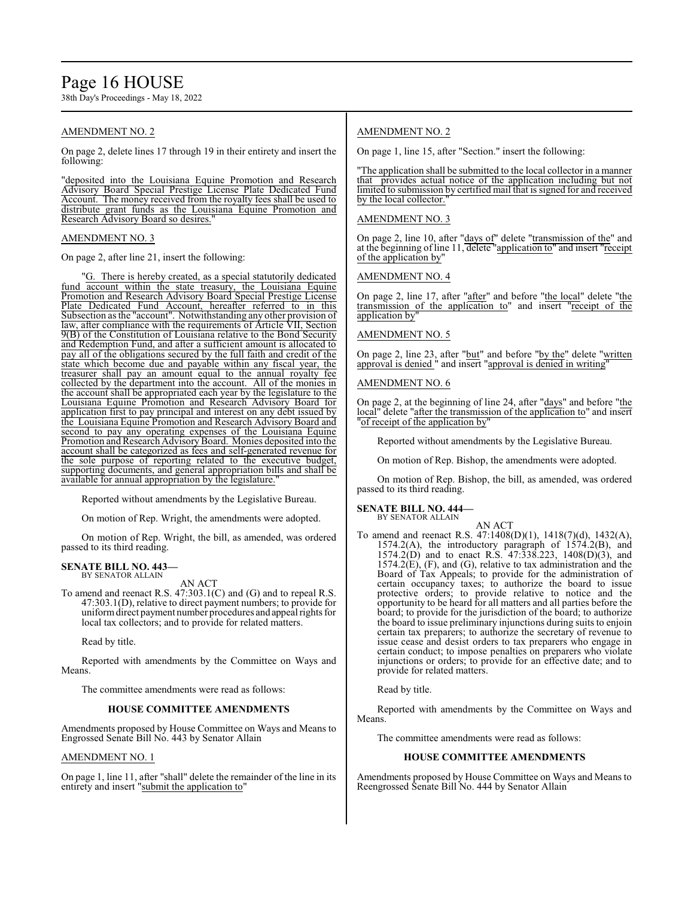### Page 16 HOUSE

38th Day's Proceedings - May 18, 2022

#### AMENDMENT NO. 2

On page 2, delete lines 17 through 19 in their entirety and insert the following:

"deposited into the Louisiana Equine Promotion and Research Advisory Board Special Prestige License Plate Dedicated Fund Account. The money received from the royalty fees shall be used to distribute grant funds as the Louisiana Equine Promotion and Research Advisory Board so desires.

#### AMENDMENT NO. 3

On page 2, after line 21, insert the following:

"G. There is hereby created, as a special statutorily dedicated fund account within the state treasury, the Louisiana Equine Promotion and Research Advisory Board Special Prestige License Plate Dedicated Fund Account, hereafter referred to in this Subsection as the "account". Notwithstanding any other provision of law, after compliance with the requirements of Article VII, Section 9(B) of the Constitution of Louisiana relative to the Bond Security and Redemption Fund, and after a sufficient amount is allocated to pay all of the obligations secured by the full faith and credit of the state which become due and payable within any fiscal year, the treasurer shall pay an amount equal to the annual royalty fee collected by the department into the account. All of the monies in the account shall be appropriated each year by the legislature to the Louisiana Equine Promotion and Research Advisory Board for application first to pay principal and interest on any debt issued by the Louisiana Equine Promotion and Research Advisory Board and second to pay any operating expenses of the Louisiana Equine Promotion and Research Advisory Board. Monies deposited into the account shall be categorized as fees and self-generated revenue for the sole purpose of reporting related to the executive budget, supporting documents, and general appropriation bills and shall be available for annual appropriation by the legislature.

Reported without amendments by the Legislative Bureau.

On motion of Rep. Wright, the amendments were adopted.

On motion of Rep. Wright, the bill, as amended, was ordered passed to its third reading.

#### **SENATE BILL NO. 443—** BY SENATOR ALLAIN

AN ACT

To amend and reenact R.S. 47:303.1(C) and (G) and to repeal R.S. 47:303.1(D), relative to direct payment numbers; to provide for uniformdirect payment number procedures and appeal rights for local tax collectors; and to provide for related matters.

Read by title.

Reported with amendments by the Committee on Ways and Means.

The committee amendments were read as follows:

#### **HOUSE COMMITTEE AMENDMENTS**

Amendments proposed by House Committee on Ways and Means to Engrossed Senate Bill No. 443 by Senator Allain

#### AMENDMENT NO. 1

On page 1, line 11, after "shall" delete the remainder of the line in its entirety and insert "submit the application to"

#### AMENDMENT NO. 2

On page 1, line 15, after "Section." insert the following:

"The application shall be submitted to the local collector in a manner that provides actual notice of the application including but not limited to submission by certified mail that is signed for and received by the local collector."

#### AMENDMENT NO. 3

On page 2, line 10, after "days of" delete "transmission of the" and at the beginning of line 11, delete "application to" and insert "receipt" of the application by"

AMENDMENT NO. 4

On page 2, line 17, after "after" and before "the local" delete "the transmission of the application to" and insert "receipt of the application by

#### AMENDMENT NO. 5

On page 2, line 23, after "but" and before "by the" delete "written approval is denied " and insert "approval is denied in writing"

#### AMENDMENT NO. 6

On page 2, at the beginning of line 24, after "days" and before "the local" delete "after the transmission of the application to" and insert "of receipt of the application by"

Reported without amendments by the Legislative Bureau.

On motion of Rep. Bishop, the amendments were adopted.

On motion of Rep. Bishop, the bill, as amended, was ordered passed to its third reading.

#### **SENATE BILL NO. 444—** BY SENATOR ALLAIN

AN ACT

To amend and reenact R.S. 47:1408(D)(1), 1418(7)(d), 1432(A), 1574.2(A), the introductory paragraph of 1574.2(B), and 1574.2(D) and to enact R.S. 47:338.223, 1408(D)(3), and 1574.2(E), (F), and (G), relative to tax administration and the Board of Tax Appeals; to provide for the administration of certain occupancy taxes; to authorize the board to issue protective orders; to provide relative to notice and the opportunity to be heard for all matters and all parties before the board; to provide for the jurisdiction of the board; to authorize the board to issue preliminary injunctions during suits to enjoin certain tax preparers; to authorize the secretary of revenue to issue cease and desist orders to tax preparers who engage in certain conduct; to impose penalties on preparers who violate injunctions or orders; to provide for an effective date; and to provide for related matters.

Read by title.

Reported with amendments by the Committee on Ways and Means.

The committee amendments were read as follows:

#### **HOUSE COMMITTEE AMENDMENTS**

Amendments proposed by House Committee on Ways and Means to Reengrossed Senate Bill No. 444 by Senator Allain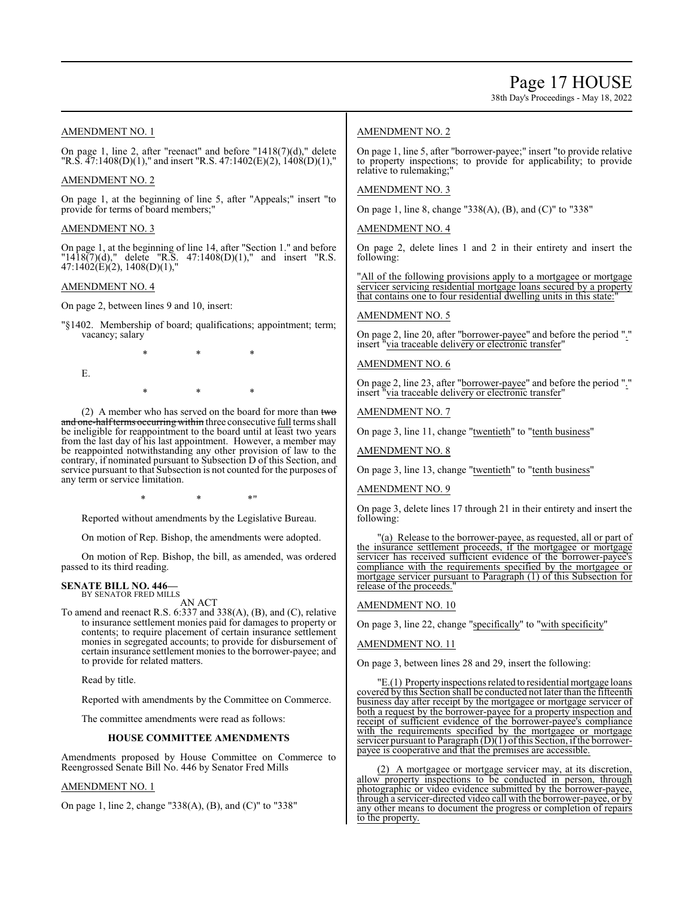38th Day's Proceedings - May 18, 2022

#### AMENDMENT NO. 1

On page 1, line 2, after "reenact" and before "1418(7)(d)," delete "R.S.  $\overline{47:1408(D)(1)}$ ," and insert "R.S.  $47:1402(E)(2)$ ,  $\overline{1408(D)(1)}$ ,"

#### AMENDMENT NO. 2

On page 1, at the beginning of line 5, after "Appeals;" insert "to provide for terms of board members;

#### AMENDMENT NO. 3

On page 1, at the beginning of line 14, after "Section 1." and before "1418 $(7)(d)$ ," delete "R.S. 47:1408 $(D)(1)$ ," and insert "R.S. 47:1402(E)(2), 1408(D)(1),"

#### AMENDMENT NO. 4

On page 2, between lines 9 and 10, insert:

"§1402. Membership of board; qualifications; appointment; term; vacancy; salary

\* \* \*

E.

- 
- \* \* \*

(2) A member who has served on the board for more than  $t_{w\sigma}$ and one-halfterms occurring within three consecutive full terms shall be ineligible for reappointment to the board until at least two years from the last day of his last appointment. However, a member may be reappointed notwithstanding any other provision of law to the contrary, if nominated pursuant to Subsection D of this Section, and service pursuant to that Subsection is not counted for the purposes of any term or service limitation.

 $*$  \*  $*$  \*  $*$  "

Reported without amendments by the Legislative Bureau.

On motion of Rep. Bishop, the amendments were adopted.

On motion of Rep. Bishop, the bill, as amended, was ordered passed to its third reading.

#### **SENATE BILL NO. 446—** BY SENATOR FRED MILLS

AN ACT

To amend and reenact R.S. 6:337 and 338(A), (B), and (C), relative to insurance settlement monies paid for damages to property or contents; to require placement of certain insurance settlement monies in segregated accounts; to provide for disbursement of certain insurance settlement monies to the borrower-payee; and to provide for related matters.

Read by title.

Reported with amendments by the Committee on Commerce.

The committee amendments were read as follows:

#### **HOUSE COMMITTEE AMENDMENTS**

Amendments proposed by House Committee on Commerce to Reengrossed Senate Bill No. 446 by Senator Fred Mills

#### AMENDMENT NO. 1

On page 1, line 2, change "338(A), (B), and (C)" to "338"

#### AMENDMENT NO. 2

On page 1, line 5, after "borrower-payee;" insert "to provide relative to property inspections; to provide for applicability; to provide relative to rulemaking;"

#### AMENDMENT NO. 3

On page 1, line 8, change "338(A), (B), and (C)" to "338"

#### AMENDMENT NO. 4

On page 2, delete lines 1 and 2 in their entirety and insert the following:

"All of the following provisions apply to a mortgagee or mortgage servicer servicing residential mortgage loans secured by a property that contains one to four residential dwelling units in this state:

#### AMENDMENT NO. 5

On page 2, line 20, after "borrower-payee" and before the period "." insert "via traceable delivery or electronic transfer"

#### AMENDMENT NO. 6

On page 2, line 23, after "borrower-payee" and before the period "." insert "via traceable delivery or electronic transfer"

#### AMENDMENT NO. 7

On page 3, line 11, change "twentieth" to "tenth business"

AMENDMENT NO. 8

On page 3, line 13, change "twentieth" to "tenth business"

#### AMENDMENT NO. 9

On page 3, delete lines 17 through 21 in their entirety and insert the following:

"(a) Release to the borrower-payee, as requested, all or part of the insurance settlement proceeds, if the mortgagee or mortgage servicer has received sufficient evidence of the borrower-payee's compliance with the requirements specified by the mortgagee or mortgage servicer pursuant to Paragraph (1) of this Subsection for release of the proceeds."

#### AMENDMENT NO. 10

On page 3, line 22, change "specifically" to "with specificity"

#### AMENDMENT NO. 11

On page 3, between lines 28 and 29, insert the following:

E.(1) Property inspections related to residential mortgage loans covered by this Section shall be conducted not later than the fifteenth business day after receipt by the mortgagee or mortgage servicer of both a request by the borrower-payee for a property inspection and receipt of sufficient evidence of the borrower-payee's compliance with the requirements specified by the mortgagee or mortgage servicer pursuant to Paragraph (D)(1) of this Section, if the borrowerpayee is cooperative and that the premises are accessible.

(2) A mortgagee or mortgage servicer may, at its discretion, allow property inspections to be conducted in person, through photographic or video evidence submitted by the borrower-payee, through a servicer-directed video call with the borrower-payee, or by any other means to document the progress or completion of repairs to the property.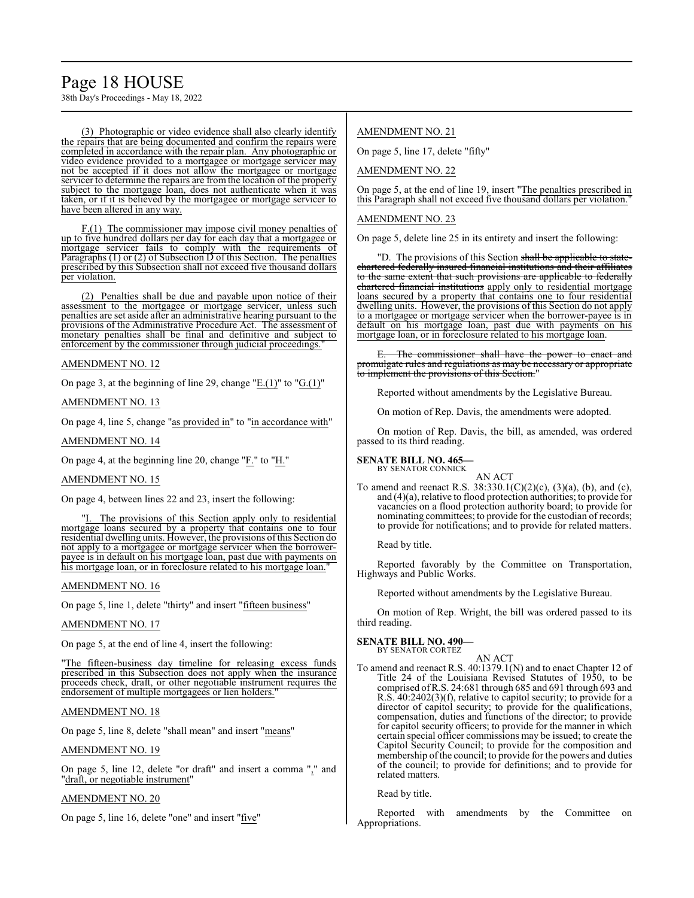## Page 18 HOUSE

38th Day's Proceedings - May 18, 2022

(3) Photographic or video evidence shall also clearly identify the repairs that are being documented and confirm the repairs were completed in accordance with the repair plan. Any photographic or video evidence provided to a mortgagee or mortgage servicer may not be accepted if it does not allow the mortgagee or mortgage servicer to determine the repairs are from the location of the property subject to the mortgage loan, does not authenticate when it was taken, or if it is believed by the mortgagee or mortgage servicer to have been altered in any way.

F.(1) The commissioner may impose civil money penalties of up to five hundred dollars per day for each day that a mortgagee or mortgage servicer fails to comply with the requirements of Paragraphs (1) or (2) of Subsection D of this Section. The penalties prescribed by this Subsection shall not exceed five thousand dollars per violation.

(2) Penalties shall be due and payable upon notice of their assessment to the mortgagee or mortgage servicer, unless such penalties are set aside after an administrative hearing pursuant to the provisions of the Administrative Procedure Act. The assessment of monetary penalties shall be final and definitive and subject to enforcement by the commissioner through judicial proceedings."

#### AMENDMENT NO. 12

On page 3, at the beginning of line 29, change "E.(1)" to "G.(1)"

AMENDMENT NO. 13

On page 4, line 5, change "as provided in" to "in accordance with"

AMENDMENT NO. 14

On page 4, at the beginning line 20, change "F." to "H."

#### AMENDMENT NO. 15

On page 4, between lines 22 and 23, insert the following:

The provisions of this Section apply only to residential mortgage loans secured by a property that contains one to four residential dwelling units. However, the provisions ofthis Section do not apply to a mortgagee or mortgage servicer when the borrowerpayee is in default on his mortgage loan, past due with payments on his mortgage loan, or in foreclosure related to his mortgage loan."

#### AMENDMENT NO. 16

On page 5, line 1, delete "thirty" and insert "fifteen business"

#### AMENDMENT NO. 17

On page 5, at the end of line 4, insert the following:

"The fifteen-business day timeline for releasing excess funds prescribed in this Subsection does not apply when the insurance proceeds check, draft, or other negotiable instrument requires the endorsement of multiple mortgagees or lien holders."

#### AMENDMENT NO. 18

On page 5, line 8, delete "shall mean" and insert "means"

#### AMENDMENT NO. 19

On page 5, line 12, delete "or draft" and insert a comma "," and "draft, or negotiable instrument"

#### AMENDMENT NO. 20

On page 5, line 16, delete "one" and insert "five"

#### AMENDMENT NO. 21

On page 5, line 17, delete "fifty"

AMENDMENT NO. 22

On page 5, at the end of line 19, insert "The penalties prescribed in this Paragraph shall not exceed five thousand dollars per violation."

#### AMENDMENT NO. 23

On page 5, delete line 25 in its entirety and insert the following:

"D. The provisions of this Section shall be applicable to statechartered federally insured financial institutions and their affiliates to the same extent that such provisions are applicable to federally chartered financial institutions apply only to residential mortgage loans secured by a property that contains one to four residential dwelling units. However, the provisions of this Section do not apply to a mortgagee or mortgage servicer when the borrower-payee is in default on his mortgage loan, past due with payments on his mortgage loan, or in foreclosure related to his mortgage loan.

The commissioner shall have the power to enact and promulgate rules and regulations as may be necessary or appropriate to implement the provisions of this Section."

Reported without amendments by the Legislative Bureau.

On motion of Rep. Davis, the amendments were adopted.

On motion of Rep. Davis, the bill, as amended, was ordered passed to its third reading.

#### **SENATE BILL NO. 465—** BY SENATOR CONNICK

To amend and reenact R.S.  $38:330.1(C)(2)(c)$ ,  $(3)(a)$ ,  $(b)$ , and  $(c)$ , and (4)(a), relative to flood protection authorities; to provide for vacancies on a flood protection authority board; to provide for nominating committees; to provide for the custodian of records; to provide for notifications; and to provide for related matters.

AN ACT

Read by title.

Reported favorably by the Committee on Transportation, Highways and Public Works.

Reported without amendments by the Legislative Bureau.

On motion of Rep. Wright, the bill was ordered passed to its third reading.

#### **SENATE BILL NO. 490—**

BY SENATOR CORTEZ

- AN ACT
- To amend and reenact R.S. 40:1379.1(N) and to enact Chapter 12 of Title 24 of the Louisiana Revised Statutes of 1950, to be comprised ofR.S. 24:681 through 685 and 691 through 693 and R.S. 40:2402(3)(f), relative to capitol security; to provide for a director of capitol security; to provide for the qualifications, compensation, duties and functions of the director; to provide for capitol security officers; to provide for the manner in which certain special officer commissions may be issued; to create the Capitol Security Council; to provide for the composition and membership of the council; to provide for the powers and duties of the council; to provide for definitions; and to provide for related matters.

Read by title.

Reported with amendments by the Committee on Appropriations.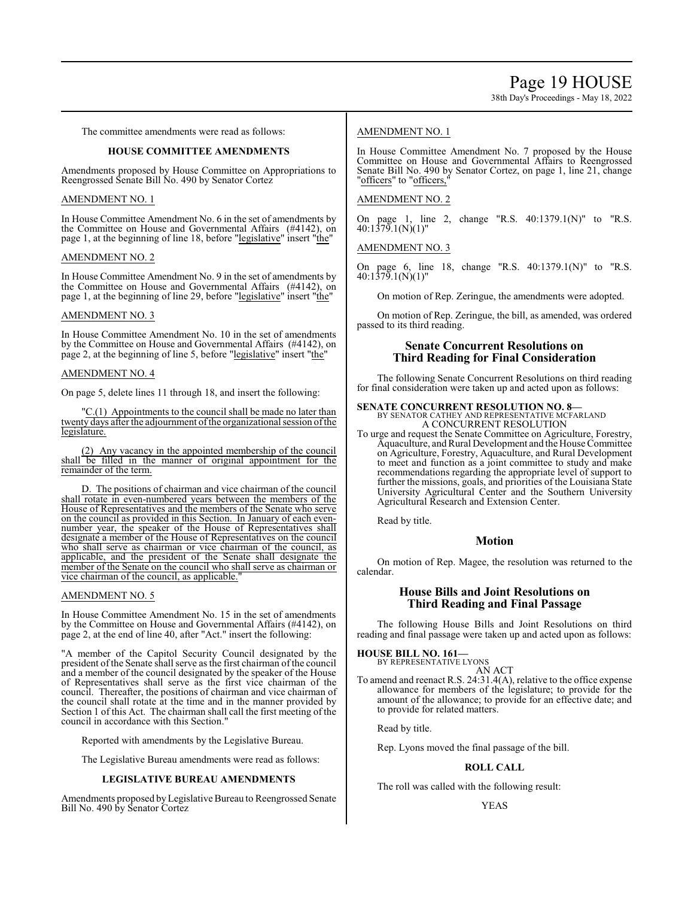38th Day's Proceedings - May 18, 2022

The committee amendments were read as follows:

#### **HOUSE COMMITTEE AMENDMENTS**

Amendments proposed by House Committee on Appropriations to Reengrossed Senate Bill No. 490 by Senator Cortez

#### AMENDMENT NO. 1

In House Committee Amendment No. 6 in the set of amendments by the Committee on House and Governmental Affairs (#4142), on page 1, at the beginning of line 18, before "legislative" insert "the"

#### AMENDMENT NO. 2

In House Committee Amendment No. 9 in the set of amendments by the Committee on House and Governmental Affairs (#4142), on page 1, at the beginning of line 29, before "legislative" insert "the"

#### AMENDMENT NO. 3

In House Committee Amendment No. 10 in the set of amendments by the Committee on House and Governmental Affairs (#4142), on page 2, at the beginning of line 5, before "legislative" insert "the"

#### AMENDMENT NO. 4

On page 5, delete lines 11 through 18, and insert the following:

"C.(1) Appointments to the council shall be made no later than twenty days after the adjournment of the organizational session of the legislature.

(2) Any vacancy in the appointed membership of the council shall be filled in the manner of original appointment for the remainder of the term.

D. The positions of chairman and vice chairman of the council shall rotate in even-numbered years between the members of the House of Representatives and the members of the Senate who serve on the council as provided in this Section. In January of each evennumber year, the speaker of the House of Representatives shall designate a member of the House of Representatives on the council who shall serve as chairman or vice chairman of the council, as applicable, and the president of the Senate shall designate the member of the Senate on the council who shall serve as chairman or vice chairman of the council, as applicable."

#### AMENDMENT NO. 5

In House Committee Amendment No. 15 in the set of amendments by the Committee on House and Governmental Affairs (#4142), on page 2, at the end of line 40, after "Act." insert the following:

"A member of the Capitol Security Council designated by the president of the Senate shall serve as the first chairman of the council and a member of the council designated by the speaker of the House of Representatives shall serve as the first vice chairman of the council. Thereafter, the positions of chairman and vice chairman of the council shall rotate at the time and in the manner provided by Section 1 of this Act. The chairman shall call the first meeting of the council in accordance with this Section."

Reported with amendments by the Legislative Bureau.

The Legislative Bureau amendments were read as follows:

#### **LEGISLATIVE BUREAU AMENDMENTS**

Amendments proposed byLegislative Bureau to Reengrossed Senate Bill No. 490 by Senator Cortez

#### AMENDMENT NO. 1

In House Committee Amendment No. 7 proposed by the House Committee on House and Governmental Affairs to Reengrossed Senate Bill No. 490 by Senator Cortez, on page 1, line 21, change "officers" to "officers,

#### AMENDMENT NO. 2

On page 1, line 2, change "R.S. 40:1379.1(N)" to "R.S.  $40:1379.1(N)(1)$ "

#### AMENDMENT NO. 3

On page 6, line 18, change "R.S. 40:1379.1(N)" to "R.S. 40:1379.1(N)(1)"

On motion of Rep. Zeringue, the amendments were adopted.

On motion of Rep. Zeringue, the bill, as amended, was ordered passed to its third reading.

#### **Senate Concurrent Resolutions on Third Reading for Final Consideration**

The following Senate Concurrent Resolutions on third reading for final consideration were taken up and acted upon as follows:

#### **SENATE CONCURRENT RESOLUTION NO. 8—** BY SENATOR CATHEY AND REPRESENTATIVE MCFARLAND A CONCURRENT RESOLUTION

To urge and request the Senate Committee on Agriculture, Forestry, Aquaculture, andRural Development and the House Committee on Agriculture, Forestry, Aquaculture, and Rural Development to meet and function as a joint committee to study and make recommendations regarding the appropriate level of support to further the missions, goals, and priorities of the Louisiana State University Agricultural Center and the Southern University Agricultural Research and Extension Center.

Read by title.

#### **Motion**

On motion of Rep. Magee, the resolution was returned to the calendar.

#### **House Bills and Joint Resolutions on Third Reading and Final Passage**

The following House Bills and Joint Resolutions on third reading and final passage were taken up and acted upon as follows:

**HOUSE BILL NO. 161—** BY REPRESENTATIVE LYONS

AN ACT

To amend and reenact R.S. 24:31.4(A), relative to the office expense allowance for members of the legislature; to provide for the amount of the allowance; to provide for an effective date; and to provide for related matters.

Read by title.

Rep. Lyons moved the final passage of the bill.

#### **ROLL CALL**

The roll was called with the following result:

#### YEAS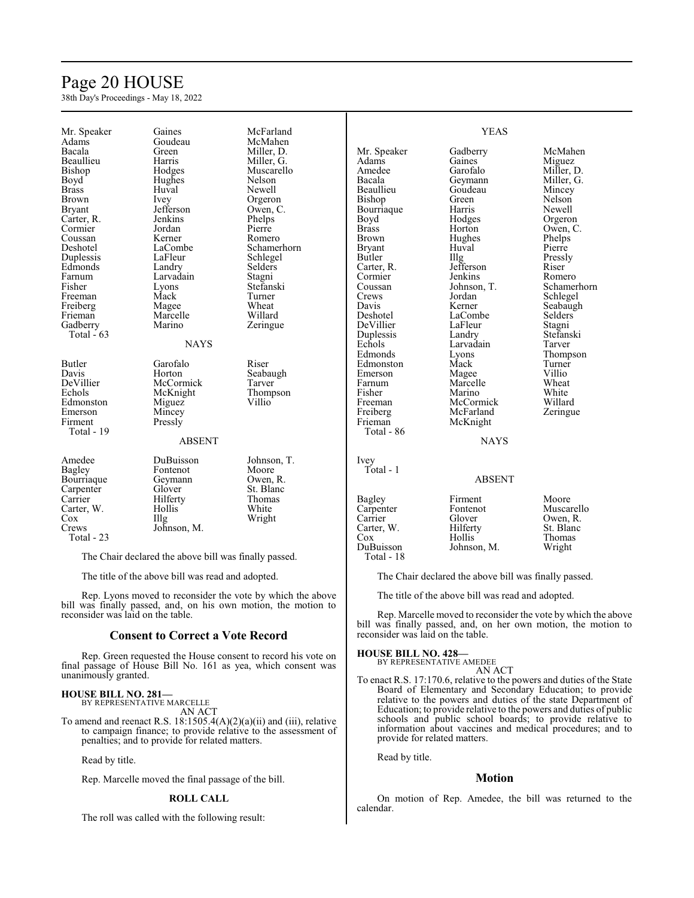### Page 20 HOUSE

38th Day's Proceedings - May 18, 2022

| Mr. Speaker      | Gaines        | McFarland   |                  | <b>YEAS</b>   |                |
|------------------|---------------|-------------|------------------|---------------|----------------|
| Adams            | Goudeau       | McMahen     |                  |               |                |
| Bacala           | Green         | Miller, D.  | Mr. Speaker      | Gadberry      | McMahen        |
| <b>Beaullieu</b> | Harris        | Miller, G.  | Adams            | Gaines        | Miguez         |
| Bishop           | Hodges        | Muscarello  | Amedee           | Garofalo      | Miller, D.     |
| Boyd             | Hughes        | Nelson      | Bacala           | Geymann       | Miller, G.     |
| <b>Brass</b>     | Huval         | Newell      | <b>Beaullieu</b> | Goudeau       | Mincey         |
| <b>Brown</b>     | Ivey          | Orgeron     | Bishop           | Green         | Nelson         |
| <b>Bryant</b>    | Jefferson     | Owen, C.    | Bourriaque       | Harris        | Newell         |
| Carter, R.       | Jenkins       | Phelps      | Boyd             | Hodges        | Orgeron        |
| Cormier          | Jordan        | Pierre      | <b>Brass</b>     | Horton        | Owen, C.       |
| Coussan          | Kerner        | Romero      | <b>Brown</b>     | Hughes        | Phelps         |
| Deshotel         | LaCombe       | Schamerhorn | <b>Bryant</b>    | Huval         | Pierre         |
| Duplessis        | LaFleur       | Schlegel    | Butler           | Illg          | Pressly        |
| Edmonds          |               |             |                  | Jefferson     | Riser          |
|                  | Landry        | Selders     | Carter, R.       |               |                |
| Farnum           | Larvadain     | Stagni      | Cormier          | Jenkins       | Romero         |
| Fisher           | Lyons         | Stefanski   | Coussan          | Johnson, T.   | Schamerhorn    |
| Freeman          | Mack          | Turner      | Crews            | Jordan        | Schlegel       |
| Freiberg         | Magee         | Wheat       | Davis            | Kerner        | Seabaugh       |
| Frieman          | Marcelle      | Willard     | Deshotel         | LaCombe       | <b>Selders</b> |
| Gadberry         | Marino        | Zeringue    | DeVillier        | LaFleur       | Stagni         |
| Total $-63$      |               |             | Duplessis        | Landry        | Stefanski      |
|                  | <b>NAYS</b>   |             | Echols           | Larvadain     | Tarver         |
|                  |               |             | Edmonds          | Lyons         | Thompson       |
| Butler           | Garofalo      | Riser       | Edmonston        | Mack          | Turner         |
| Davis            | Horton        | Seabaugh    | Emerson          | Magee         | Villio         |
| DeVillier        | McCormick     | Tarver      | Farnum           | Marcelle      | Wheat          |
| Echols           | McKnight      | Thompson    | Fisher           | Marino        | White          |
| Edmonston        | Miguez        | Villio      | Freeman          | McCormick     | Willard        |
| Emerson          | Mincey        |             | Freiberg         | McFarland     | Zeringue       |
| Firment          |               |             | Frieman          |               |                |
| Total - 19       | Pressly       |             |                  | McKnight      |                |
|                  |               |             | Total - 86       |               |                |
|                  | <b>ABSENT</b> |             |                  | <b>NAYS</b>   |                |
| Amedee           | DuBuisson     | Johnson, T. | Ivey             |               |                |
| Bagley           | Fontenot      | Moore       | Total - 1        |               |                |
| Bourriaque       | Geymann       | Owen, R.    |                  | <b>ABSENT</b> |                |
| Carpenter        | Glover        | St. Blanc   |                  |               |                |
| Carrier          | Hilferty      | Thomas      | Bagley           | Firment       | Moore          |
| Carter, W.       | Hollis        | White       | Carpenter        | Fontenot      | Muscarello     |
| Cox              | IIIg          | Wright      | Carrier          | Glover        | Owen, R.       |
| Crews            | Johnson, M.   |             | Carter, W.       | Hilferty      | St. Blanc      |
| Total - 23       |               |             | Cox              | Hollis        | Thomas         |
|                  |               |             | DuBuisson        | Johnson, M.   | Wright         |
|                  |               |             |                  |               |                |

The Chair declared the above bill was finally passed.

The title of the above bill was read and adopted.

Rep. Lyons moved to reconsider the vote by which the above bill was finally passed, and, on his own motion, the motion to reconsider was laid on the table.

#### **Consent to Correct a Vote Record**

Rep. Green requested the House consent to record his vote on final passage of House Bill No. 161 as yea, which consent was unanimously granted.

#### **HOUSE BILL NO. 281—**

BY REPRESENTATIVE MARCELLE AN ACT

To amend and reenact R.S.  $18:1505.4(A)(2)(a)(ii)$  and (iii), relative to campaign finance; to provide relative to the assessment of penalties; and to provide for related matters.

Read by title.

Rep. Marcelle moved the final passage of the bill.

#### **ROLL CALL**

The roll was called with the following result:

Total - 18

The Chair declared the above bill was finally passed.

The title of the above bill was read and adopted.

Rep. Marcelle moved to reconsider the vote by which the above bill was finally passed, and, on her own motion, the motion to reconsider was laid on the table.

#### **HOUSE BILL NO. 428—**

BY REPRESENTATIVE AMEDEE AN ACT

To enact R.S. 17:170.6, relative to the powers and duties of the State Board of Elementary and Secondary Education; to provide relative to the powers and duties of the state Department of Education; to provide relative to the powers and duties of public schools and public school boards; to provide relative to information about vaccines and medical procedures; and to provide for related matters.

Read by title.

### **Motion**

On motion of Rep. Amedee, the bill was returned to the calendar.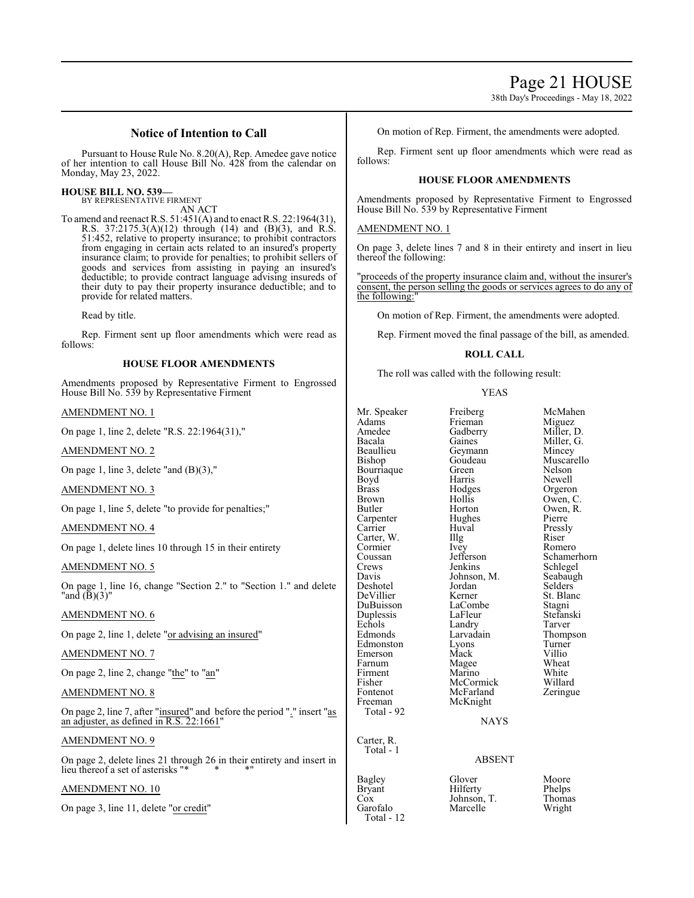38th Day's Proceedings - May 18, 2022

#### **Notice of Intention to Call**

Pursuant to House Rule No. 8.20(A), Rep. Amedee gave notice of her intention to call House Bill No. 428 from the calendar on Monday, May 23, 2022.

#### **HOUSE BILL NO. 539—**

BY REPRESENTATIVE FIRMENT AN ACT

To amend and reenact R.S. 51:451(A) and to enact R.S. 22:1964(31), R.S. 37:2175.3(A)(12) through (14) and (B)(3), and R.S. 51:452, relative to property insurance; to prohibit contractors from engaging in certain acts related to an insured's property insurance claim; to provide for penalties; to prohibit sellers of goods and services from assisting in paying an insured's deductible; to provide contract language advising insureds of their duty to pay their property insurance deductible; and to provide for related matters.

Read by title.

Rep. Firment sent up floor amendments which were read as follows:

#### **HOUSE FLOOR AMENDMENTS**

Amendments proposed by Representative Firment to Engrossed House Bill No. 539 by Representative Firment

AMENDMENT NO. 1

On page 1, line 2, delete "R.S. 22:1964(31),"

AMENDMENT NO. 2

On page 1, line 3, delete "and (B)(3),"

AMENDMENT NO. 3

On page 1, line 5, delete "to provide for penalties;"

#### AMENDMENT NO. 4

On page 1, delete lines 10 through 15 in their entirety

#### AMENDMENT NO. 5

On page 1, line 16, change "Section 2." to "Section 1." and delete "and  $(\mathbf{\bar{B}})(3)$ "

#### AMENDMENT NO. 6

On page 2, line 1, delete "or advising an insured"

AMENDMENT NO. 7

On page 2, line 2, change "the" to "an"

#### AMENDMENT NO. 8

On page 2, line 7, after "insured" and before the period "." insert "as an adjuster, as defined in R.S. 22:1661"

#### AMENDMENT NO. 9

On page 2, delete lines 21 through 26 in their entirety and insert in lieu thereof a set of asterisks "\*

#### AMENDMENT NO. 10

On page 3, line 11, delete "or credit"

On motion of Rep. Firment, the amendments were adopted.

Rep. Firment sent up floor amendments which were read as follows:

#### **HOUSE FLOOR AMENDMENTS**

Amendments proposed by Representative Firment to Engrossed House Bill No. 539 by Representative Firment

#### AMENDMENT NO. 1

On page 3, delete lines 7 and 8 in their entirety and insert in lieu thereof the following:

"proceeds of the property insurance claim and, without the insurer's consent, the person selling the goods or services agrees to do the following:

On motion of Rep. Firment, the amendments were adopted.

Rep. Firment moved the final passage of the bill, as amended.

#### **ROLL CALL**

The roll was called with the following result:

#### YEAS

| Mr. Speaker<br>Adams<br>Amedee<br>Bacala<br>Beaullieu<br>Bishop<br>Bourriaque<br>Boyd<br><b>Brass</b><br><b>Brown</b><br>Butler<br>Carpenter<br>Carrier<br>Carter, W.<br>Cormier<br>Coussan<br>Crews<br>Davis<br>Deshotel<br>DeVillier<br>DuBuisson<br>Duplessis<br>Echols<br>Edmonds<br>Edmonston<br>Emerson<br>Farnum<br>Firment<br>Fisher<br>Fontenot<br>Freeman<br>Total - 92 | Freiberg<br>Frieman<br>Gadberry<br>Gaines<br>Geymann<br>Goudeau<br>Green<br>Harris<br>Hodges<br>Hollis<br>Horton<br>Hughes<br>Huval<br>Illg<br>Ivey<br>Jefferson<br>Jenkins<br>Johnson, M.<br>Jordan<br>Kerner<br>LaCombe<br>LaFleur<br>Landry<br>Larvadain<br>Lyons<br>Mack<br>Magee<br>Marino<br>McCormick<br>McFarland<br>McKnight<br><b>NAYS</b> | McMal<br>Miguez<br>Miller,<br>Miller,<br>Mincey<br>Muscar<br>Nelson<br>Newell<br>Orgero<br>Owen,<br>Owen,<br>Pierre<br>Pressly<br>Riser<br>Romer<br>Scham<br>Schleg<br>Seabau<br>Selders<br>St. Blai<br>Stagni<br>Stefans<br>Tarver<br>Thomp<br>Turner<br>Villio<br>Wheat<br>White<br>Willard<br>Zering |
|-----------------------------------------------------------------------------------------------------------------------------------------------------------------------------------------------------------------------------------------------------------------------------------------------------------------------------------------------------------------------------------|------------------------------------------------------------------------------------------------------------------------------------------------------------------------------------------------------------------------------------------------------------------------------------------------------------------------------------------------------|---------------------------------------------------------------------------------------------------------------------------------------------------------------------------------------------------------------------------------------------------------------------------------------------------------|
| Carter, R.<br>Total - 1                                                                                                                                                                                                                                                                                                                                                           | <b>ABSENT</b>                                                                                                                                                                                                                                                                                                                                        |                                                                                                                                                                                                                                                                                                         |
| Bagley<br><b>Bryant</b><br>Cox<br>Garofalo<br>Total - 12                                                                                                                                                                                                                                                                                                                          | Glover<br>Hilferty<br>Johnson, T.<br>Marcelle                                                                                                                                                                                                                                                                                                        | Moore<br>Phelps<br>Thoma<br>Wright                                                                                                                                                                                                                                                                      |

Freiberg McMahen<br>Frieman Miguez Gadberry Miller, D.<br>Gaines Miller, G. Miller, G.<br>Mincey Goudeau Muscarello<br>Green Nelson Green Nelson<br>Harris Newell Hodges Orgeron<br>Hollis Owen, C Hollis Owen, C.<br>Horton Owen, R. Owen, R.<br>Pierre Huval Pressly<br>Illg Riser Illg Riser<br>Ivey Rome Ivey Romero<br>Jefferson Schamer Jefferson Schamerhorn<br>Jenkins Schlegel Schlegel<br>Seabaugh Jordan Selders<br>Kerner St. Blan St. Blanc<br>Stagni Stefanski<br>Tarver Larvadain Thompson<br>Lyons Turner Lyons Turner<br>Mack Villio Magee Wheat<br>Marino White Marino White<br>McCormick Willard McFarland Zeringue

#### NAYS

#### ABSENT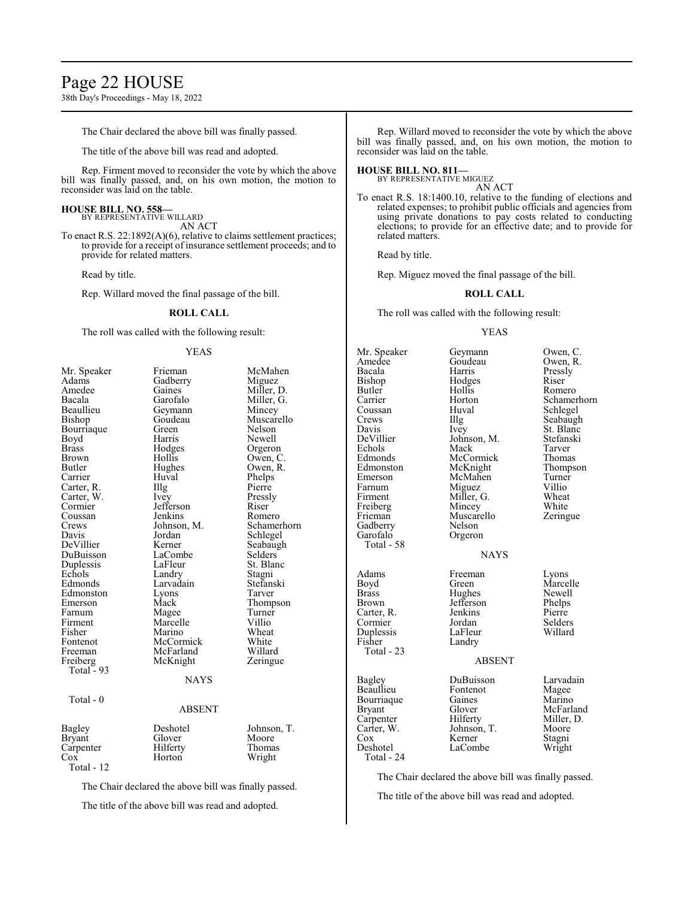### Page 22 HOUSE

38th Day's Proceedings - May 18, 2022

The Chair declared the above bill was finally passed.

The title of the above bill was read and adopted.

Rep. Firment moved to reconsider the vote by which the above bill was finally passed, and, on his own motion, the motion to reconsider was laid on the table.

#### **HOUSE BILL NO. 558—**

BY REPRESENTATIVE WILLARD AN ACT

To enact R.S. 22:1892(A)(6), relative to claims settlement practices; to provide for a receipt of insurance settlement proceeds; and to provide for related matters.

Read by title.

Rep. Willard moved the final passage of the bill.

#### **ROLL CALL**

The roll was called with the following result:

#### YEAS

| Mr. Speaker<br>Adams | Frieman<br>Gadberry | McMahen<br>Miguez |
|----------------------|---------------------|-------------------|
| Amedee               | Gaines              | Miller, D.        |
| Bacala               | Garofalo            | Miller, G.        |
| Beaullieu            | Geymann             | Mincey            |
| Bishop               | Goudeau             | Muscarello        |
| Bourriaque           | Green               | Nelson            |
| Boyd                 | Harris              | Newell            |
| <b>Brass</b>         | Hodges              | Orgeron           |
| <b>Brown</b>         | Hollis              | Owen, C.          |
| Butler               | Hughes              | Owen, R.          |
| Carrier              | Huval               | Phelps            |
| Carter, R.           | Illg                | Pierre            |
| Carter, W.           | Ivey                | Pressly           |
| Cormier              | Jefferson           | Riser             |
| Coussan              | Jenkins             | Romero            |
| Crews                | Johnson, M.         | Schamerhorn       |
| Davis                | Jordan              | Schlegel          |
| DeVillier            | Kerner              | Seabaugh          |
| DuBuisson            | LaCombe             | Selders           |
| Duplessis            | LaFleur             | St. Blanc         |
| Echols               | Landry              | Stagni            |
| Edmonds              | Larvadain           | Stefanski         |
| Edmonston            | Lyons               | Tarver            |
| Emerson              | Mack                | Thompson          |
| Farnum               | Magee               | Turner            |
| Firment              | Marcelle            | Villio            |
| Fisher               | Marino              | Wheat             |
| Fontenot             | McCormick           | White             |
| Freeman              | McFarland           | Willard           |
| Freiberg             | McKnight            | Zeringue          |
| Total - 93           |                     |                   |
|                      | <b>NAYS</b>         |                   |
| Total - 0            |                     |                   |
|                      | <b>ABSENT</b>       |                   |
| <b>Bagley</b>        | Deshotel            | Johnson, T.       |
| <b>Bryant</b>        | Glover              | Moore             |
| Carpenter            | Hilferty            | Thomas            |
| Cox                  | Horton              | Wright            |
| Total - 12           |                     |                   |

The Chair declared the above bill was finally passed.

The title of the above bill was read and adopted.

Rep. Willard moved to reconsider the vote by which the above bill was finally passed, and, on his own motion, the motion to reconsider was laid on the table.

#### **HOUSE BILL NO. 811—**

BY REPRESENTATIVE MIGUEZ AN ACT

To enact R.S. 18:1400.10, relative to the funding of elections and related expenses; to prohibit public officials and agencies from using private donations to pay costs related to conducting elections; to provide for an effective date; and to provide for related matters.

Read by title.

Rep. Miguez moved the final passage of the bill.

#### **ROLL CALL**

The roll was called with the following result:

#### YEAS

| Mr. Speaker<br>Amedee<br>Bacala<br>Bishop<br>Butler<br>Carrier<br>Coussan<br>Crews<br>Davis<br>DeVillier<br>Echols<br>Edmonds<br>Edmonston<br>Emerson<br>Farnum<br>Firment<br>Freiberg<br>Frieman<br>Gadberry<br>Garofalo<br>Total - 58 | Geymann<br>Goudeau<br>Harris<br>Hodges<br>Hollis<br>Horton<br>Huval<br>Illg<br>Ivey<br>Johnson, M.<br>Mack<br>McCormick<br>McKnight<br>McMahen<br>Miguez<br>Miller, G.<br>Mincey<br>Muscarello<br>Nelson<br>Orgeron<br><b>NAYS</b> | Owen, C.<br>Owen, R.<br>Pressly<br>Riser<br>Romero<br>Schamerhorn<br>Schlegel<br>Seabaugh<br>St. Blanc<br>Stefanski<br>Tarver<br>Thomas<br>Thompson<br>Turner<br>Villio<br>Wheat<br>White<br>Zeringue |
|-----------------------------------------------------------------------------------------------------------------------------------------------------------------------------------------------------------------------------------------|------------------------------------------------------------------------------------------------------------------------------------------------------------------------------------------------------------------------------------|-------------------------------------------------------------------------------------------------------------------------------------------------------------------------------------------------------|
| Adams<br>Boyd<br>Brass<br>Brown<br>Carter, R.<br>Cormier<br>Duplessis<br>Fisher<br>Total - 23                                                                                                                                           | Freeman<br>Green<br>Hughes<br>Jefferson<br>Jenkins<br>Jordan<br>LaFleur<br>Landry<br><b>ABSENT</b>                                                                                                                                 | Lyons<br>Marcelle<br>Newell<br>Phelps<br>Pierre<br>Selders<br>Willard                                                                                                                                 |
| Bagley<br>Beaullieu<br>Bourriaque<br>Bryant<br>Carpenter<br>Carter, W.<br>Cox<br>Deshotel<br>Total - 24                                                                                                                                 | DuBuisson<br>Fontenot<br>Gaines<br>Glover<br>Hilferty<br>Johnson, T.<br>Kerner<br>LaCombe                                                                                                                                          | Larvadain<br>Magee<br>Marino<br>McFarland<br>Miller, D.<br>Moore<br>Stagni<br>Wright                                                                                                                  |

The Chair declared the above bill was finally passed.

The title of the above bill was read and adopted.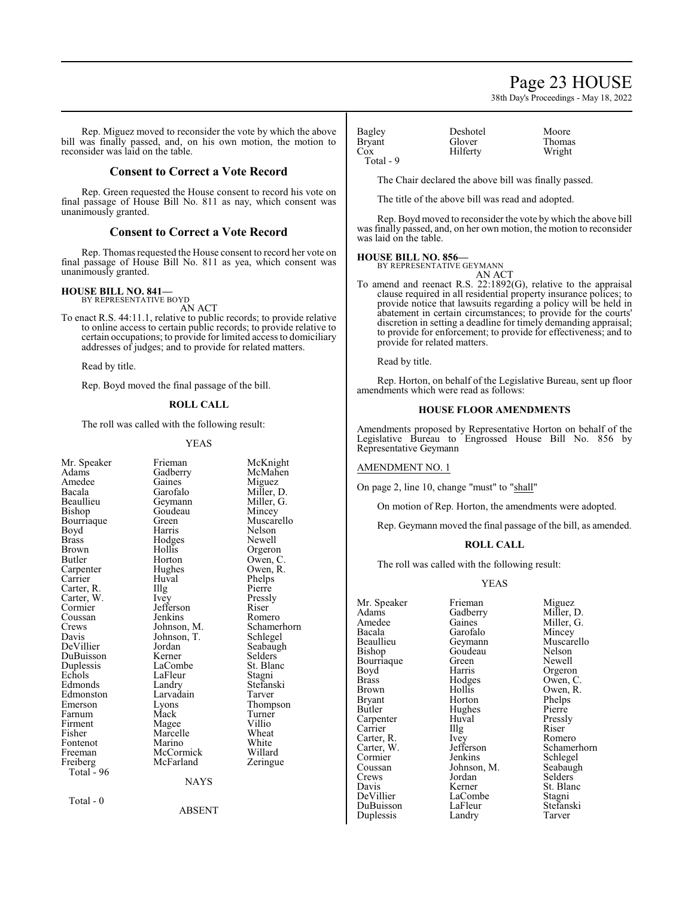### Page 23 HOUSE

38th Day's Proceedings - May 18, 2022

Rep. Miguez moved to reconsider the vote by which the above bill was finally passed, and, on his own motion, the motion to reconsider was laid on the table.

#### **Consent to Correct a Vote Record**

Rep. Green requested the House consent to record his vote on final passage of House Bill No. 811 as nay, which consent was unanimously granted.

#### **Consent to Correct a Vote Record**

Rep. Thomas requested the House consent to record her vote on final passage of House Bill No. 811 as yea, which consent was unanimously granted.

#### **HOUSE BILL NO. 841—**

BY REPRESENTATIVE BOYD AN ACT

To enact R.S. 44:11.1, relative to public records; to provide relative to online access to certain public records; to provide relative to certain occupations; to provide for limited access to domiciliary addresses of judges; and to provide for related matters.

Read by title.

Rep. Boyd moved the final passage of the bill.

#### **ROLL CALL**

The roll was called with the following result:

#### YEAS

| Mr. Speaker<br>Adams<br>Amedee<br>Bacala<br>Beaullieu<br>Bishop<br>Bourriaque<br>Boyd<br><b>Brass</b><br>Brown<br>Butler<br>Carpenter<br>Carrier<br>Carter, R.<br>Carter, W.<br>Cormier<br>Coussan<br>Crews<br>Davis<br>DeVillier<br>DuBuisson<br>Duplessis<br>Echols<br>Edmonds<br>Edmonston<br>Emerson<br>Farnum<br>Firment<br>Fisher | Frieman<br>Gadberry<br>Gaines<br>Garofalo<br>Geymann<br>Goudeau<br>Green<br>Harris<br>Hodges<br>Hollis<br>Horton<br>Hughes<br>Huval<br>Illg<br>Ivey<br>Jefferson<br>Jenkins<br>Johnson, M.<br>Johnson, T.<br>Jordan<br>Kerner<br>LaCombe<br>LaFleur<br>Landry<br>Larvadain<br>Lyons<br>Mack<br>Magee<br>Marcelle | McKnight<br>McMahen<br>Miguez<br>Miller, D.<br>Miller, G.<br>Mincey<br>Muscarello<br>Nelson<br>Newell<br>Orgeron<br>Owen, C.<br>Owen, R.<br>Phelps<br>Pierre<br>Pressly<br>Riser<br>Romero<br>Schamerhorn<br>Schlegel<br>Seabaugh<br>Selders<br>St. Blanc<br>Stagni<br>Stefanski<br>Tarver<br>Thompson<br>Turner<br>Villio<br>Wheat |
|-----------------------------------------------------------------------------------------------------------------------------------------------------------------------------------------------------------------------------------------------------------------------------------------------------------------------------------------|------------------------------------------------------------------------------------------------------------------------------------------------------------------------------------------------------------------------------------------------------------------------------------------------------------------|-------------------------------------------------------------------------------------------------------------------------------------------------------------------------------------------------------------------------------------------------------------------------------------------------------------------------------------|
|                                                                                                                                                                                                                                                                                                                                         |                                                                                                                                                                                                                                                                                                                  |                                                                                                                                                                                                                                                                                                                                     |
| Fontenot                                                                                                                                                                                                                                                                                                                                | Marino                                                                                                                                                                                                                                                                                                           | White                                                                                                                                                                                                                                                                                                                               |
| Freeman                                                                                                                                                                                                                                                                                                                                 | McCormick                                                                                                                                                                                                                                                                                                        | Willard                                                                                                                                                                                                                                                                                                                             |
| Freiberg                                                                                                                                                                                                                                                                                                                                | McFarland                                                                                                                                                                                                                                                                                                        | Zeringue                                                                                                                                                                                                                                                                                                                            |
| Total - 96                                                                                                                                                                                                                                                                                                                              |                                                                                                                                                                                                                                                                                                                  |                                                                                                                                                                                                                                                                                                                                     |
|                                                                                                                                                                                                                                                                                                                                         | <b>NAYS</b>                                                                                                                                                                                                                                                                                                      |                                                                                                                                                                                                                                                                                                                                     |
| Total - 0                                                                                                                                                                                                                                                                                                                               | <b>ABSENT</b>                                                                                                                                                                                                                                                                                                    |                                                                                                                                                                                                                                                                                                                                     |

| Bagley        | Deshotel | Moore  |
|---------------|----------|--------|
| <b>Bryant</b> | Glover   | Thomas |
| Cox           | Hilferty | Wright |
| Total - 9     |          |        |

The Chair declared the above bill was finally passed.

The title of the above bill was read and adopted.

Rep. Boyd moved to reconsider the vote by which the above bill was finally passed, and, on her own motion, the motion to reconsider was laid on the table.

#### **HOUSE BILL NO. 856—**

BY REPRESENTATIVE GEYMANN AN ACT

To amend and reenact R.S. 22:1892(G), relative to the appraisal clause required in all residential property insurance polices; to provide notice that lawsuits regarding a policy will be held in abatement in certain circumstances; to provide for the courts' discretion in setting a deadline for timely demanding appraisal; to provide for enforcement; to provide for effectiveness; and to provide for related matters.

Read by title.

Rep. Horton, on behalf of the Legislative Bureau, sent up floor amendments which were read as follows:

#### **HOUSE FLOOR AMENDMENTS**

Amendments proposed by Representative Horton on behalf of the Legislative Bureau to Engrossed House Bill No. 856 by Representative Geymann

#### AMENDMENT NO. 1

On page 2, line 10, change "must" to "shall"

On motion of Rep. Horton, the amendments were adopted.

Rep. Geymann moved the final passage of the bill, as amended.

#### **ROLL CALL**

The roll was called with the following result:

#### YEAS

Mr. Speaker Frieman Miguez<br>Adams Gadberry Miller, 1 Adams Gadberry Miller, D.<br>Amedee Gaines Miller, G. Bacala Garofalo<br>Beaullieu Geymann Bourriaque Green<br>Boyd Harris Carter, R. Ivey<br>Carter, W. Jefferson Duplessis

Goudeau Nelson<br>Green Newell Boyd Harris Orgeron<br>Brass Hodges Owen, C Brass Hodges Owen, C. Brown Hollis Owen, R.<br>Bryant Horton Phelps Bryant Horton Phelps<br>Butler Hughes Pierre Hughes Pierre<br>Huval Pressly Carpenter Huval Pressl<br>Carrier Hugh Riser Carrier Illg Riser<br>Carter, R. Ivey Romero Cormier Jenkins Schlegel<br>Coussan Johnson, M. Seabaugh Coussan Johnson, M.<br>Crews Jordan Crews Jordan Selders<br>Davis Kerner St. Blan Davis Kerner St. Blanc<br>DeVillier LaCombe Stagni LaCombe<br>
LaFleur Stefanski DuBuisson LaFleur Stefans<br>
Duplessis Landry Tarver

Amedee Gaines Miller, G.<br>Bacala Garofalo Mincey Beaullieu Geymann Muscarello<br>Bishop Goudeau Nelson Jefferson Schamerhorn<br>Jenkins Schlegel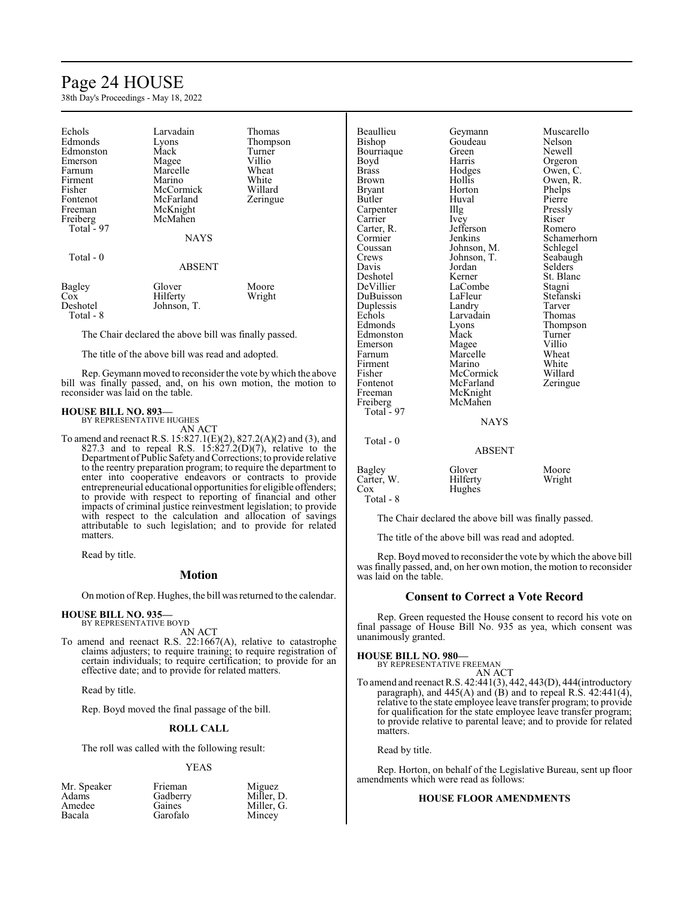## Page 24 HOUSE

38th Day's Proceedings - May 18, 2022

| Echols<br>Edmonds<br>Edmonston<br>Emerson<br>Farnum<br>Firment<br>Fisher<br>Fontenot<br>Freeman<br>Freiberg<br>Total $-97$<br>Total - 0 | Larvadain<br>Lyons<br>Mack<br>Magee<br>Marcelle<br>Marino<br>McCormick<br>McFarland<br>McKnight<br>McMahen<br><b>NAYS</b> | Thomas<br>Thompson<br>Turner<br>Villio<br>Wheat<br>White<br>Willard<br>Zeringue |
|-----------------------------------------------------------------------------------------------------------------------------------------|---------------------------------------------------------------------------------------------------------------------------|---------------------------------------------------------------------------------|
|                                                                                                                                         | <b>ABSENT</b>                                                                                                             |                                                                                 |
| Bagley<br>Cox<br>Deshotel<br>Total - 8                                                                                                  | Glover<br>Hilferty<br>Johnson, T.                                                                                         | Moore<br>Wright                                                                 |

The Chair declared the above bill was finally passed.

The title of the above bill was read and adopted.

Rep. Geymann moved to reconsider the vote by which the above bill was finally passed, and, on his own motion, the motion to reconsider was laid on the table.

#### **HOUSE BILL NO. 893—**

BY REPRESENTATIVE HUGHES AN ACT

To amend and reenact R.S. 15:827.1(E)(2), 827.2(A)(2) and (3), and 827.3 and to repeal R.S.  $15:827.2(D)(7)$ , relative to the Department ofPublic Safetyand Corrections; to provide relative to the reentry preparation program; to require the department to enter into cooperative endeavors or contracts to provide entrepreneurial educational opportunities for eligible offenders; to provide with respect to reporting of financial and other impacts of criminal justice reinvestment legislation; to provide with respect to the calculation and allocation of savings attributable to such legislation; and to provide for related matters.

Read by title.

#### **Motion**

On motion ofRep. Hughes, the bill was returned to the calendar.

### **HOUSE BILL NO. 935—** BY REPRESENTATIVE BOYD

AN ACT

To amend and reenact R.S. 22:1667(A), relative to catastrophe claims adjusters; to require training; to require registration of certain individuals; to require certification; to provide for an effective date; and to provide for related matters.

Read by title.

Rep. Boyd moved the final passage of the bill.

#### **ROLL CALL**

The roll was called with the following result:

#### YEAS

| Frieman  | Miguez     |
|----------|------------|
| Gadberry | Miller, D. |
| Gaines   | Miller, G. |
| Garofalo | Mincey     |
|          |            |

Beaullieu Geymann Muscarello Bourriaque Green<br>Boyd Harris Boyd Harris Orgeron<br>Brass Hodges Owen, C Brass Brass Hodges Owen, C.<br>Brown Hollis Owen, R. Bryant Horton Phelps<br>Butler Huval Pierre Carpenter Illg Pressl<br>Carrier Ivev Riser Carrier Ivey Riser Ivey<br>Carter, R. Jefferson Romero Carter, R. Jefferson<br>Cormier Jenkins Cormier Jenkins Schamerhorn<br>
Coussan Johnson, M. Schlegel Coussan Johnson, M. Schlegel<br>Crews Johnson, T. Seabaugh Crews Johnson, T. Seabaugh<br>
Davis Jordan Selders Davis Jordan Selders Deshotel Kerner St. Blanc DuBuisson LaFleur Stefans<br>
Duplessis Landry Tarver Duplessis Landry Tarver Echols Larvadain<br>Edmonds Lyons Edmonston Mack Turner<br>
Emerson Magee Villio Emerson Magee Villio<br>
Farnum Marcelle Wheat Firment Marino White<br>
Fisher McCormick Willard Fisher McCormick Willard<br>Fontenot McFarland Zeringue Fontenot McFarland<br>Freeman McKnight McKnight<br>McMahen Freiberg McMahen Total - 97 Total - 0

# Goudeau Nelson<br>Green Newell Owen, R.<br>Phelps Huval Pierre<br>Illg Pressly LaCombe<br>LaFleur Stefanski Lyons Thompson<br>Mack Turner Marcelle Wheat<br>
Marino White

**NAYS** 

### ABSENT Bagley Glover Moore<br>Carter, W. Hilferty Wright Carter, W. Cox Hughes

Total - 8

The Chair declared the above bill was finally passed.

The title of the above bill was read and adopted.

Rep. Boyd moved to reconsider the vote by which the above bill was finally passed, and, on her own motion, the motion to reconsider was laid on the table.

#### **Consent to Correct a Vote Record**

Rep. Green requested the House consent to record his vote on final passage of House Bill No. 935 as yea, which consent was unanimously granted.

**HOUSE BILL NO. 980—**

BY REPRESENTATIVE FREEMAN AN ACT

To amend and reenact R.S. 42:441(3), 442, 443(D), 444(introductory paragraph), and 445(A) and (B) and to repeal R.S. 42:441(4), relative to the state employee leave transfer program; to provide for qualification for the state employee leave transfer program; to provide relative to parental leave; and to provide for related matters.

Read by title.

Rep. Horton, on behalf of the Legislative Bureau, sent up floor amendments which were read as follows:

#### **HOUSE FLOOR AMENDMENTS**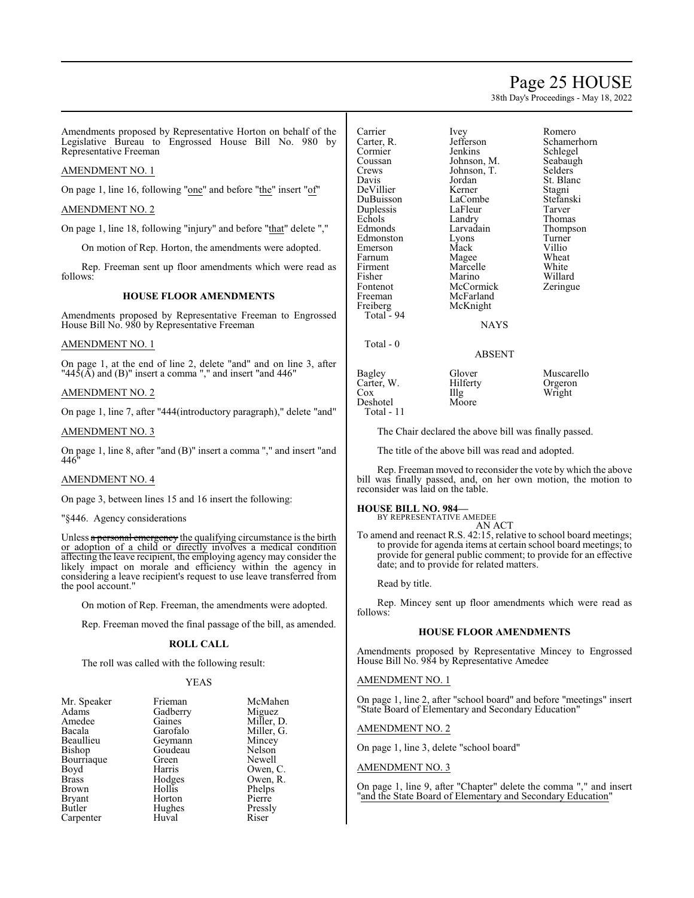### Page 25 HOUSE

Schamerhorn<br>Schlegel

St. Blanc

Thompson<br>Turner

38th Day's Proceedings - May 18, 2022

Ivey Romero<br>Jefferson Schamer

Amendments proposed by Representative Horton on behalf of the Legislative Bureau to Engrossed House Bill No. 980 by Representative Freeman

#### AMENDMENT NO. 1

On page 1, line 16, following "one" and before "the" insert "of"

#### AMENDMENT NO. 2

On page 1, line 18, following "injury" and before "that" delete ","

On motion of Rep. Horton, the amendments were adopted.

Rep. Freeman sent up floor amendments which were read as follows:

#### **HOUSE FLOOR AMENDMENTS**

Amendments proposed by Representative Freeman to Engrossed House Bill No. 980 by Representative Freeman

#### AMENDMENT NO. 1

On page 1, at the end of line 2, delete "and" and on line 3, after " $44\overline{5}$ ( $\overline{A}$ ) and (B)" insert a comma "," and insert "and 446"

#### AMENDMENT NO. 2

On page 1, line 7, after "444(introductory paragraph)," delete "and"

#### AMENDMENT NO. 3

On page 1, line 8, after "and (B)" insert a comma "," and insert "and 446"

#### AMENDMENT NO. 4

On page 3, between lines 15 and 16 insert the following:

#### "§446. Agency considerations

Unless  $\alpha$  personal emergency the qualifying circumstance is the birth or adoption of a child or directly involves a medical condition affecting the leave recipient, the employing agency may consider the likely impact on morale and efficiency within the agency in considering a leave recipient's request to use leave transferred from the pool account."

On motion of Rep. Freeman, the amendments were adopted.

Rep. Freeman moved the final passage of the bill, as amended.

#### **ROLL CALL**

The roll was called with the following result:

#### YEAS

| Mr. Speaker   | Frieman  | McMahen    |
|---------------|----------|------------|
| Adams         | Gadberry | Miguez     |
| Amedee        | Gaines   | Miller, D. |
| Bacala        | Garofalo | Miller, G. |
| Beaullieu     | Geymann  | Mincey     |
| Bishop        | Goudeau  | Nelson     |
| Bourriaque    | Green    | Newell     |
| Boyd          | Harris   | Owen, C.   |
| <b>Brass</b>  | Hodges   | Owen, R.   |
| Brown         | Hollis   | Phelps     |
| <b>Bryant</b> | Horton   | Pierre     |
| Butler        | Hughes   | Pressly    |
| Carpenter     | Huval    | Riser      |

| Carrier    | Ivey        | Romer   |
|------------|-------------|---------|
| Carter, R. | Jefferson   | Schan   |
| Cormier    | Jenkins     | Schleg  |
| Coussan    | Johnson, M. | Seabai  |
| Crews      | Johnson, T. | Selder  |
| Davis      | Jordan      | St. Bla |
| DeVillier  | Kerner      | Stagni  |
| DuBuisson  | LaCombe     | Stefan  |
| Duplessis  | LaFleur     | Tarvei  |
|            |             |         |
| Echols     | Landry      | Thoma   |
| Edmonds    | Larvadain   | Thom    |
| Edmonston  | Lyons       | Turnei  |
| Emerson    | Mack        | Villio  |
| Farnum     | Magee       | Wheat   |
| Firment    | Marcelle    | White   |
| Fisher     | Marino      | Willar  |
| Fontenot   | McCormick   | Zering  |
| Freeman    | McFarland   |         |
|            | McKnight    |         |
| Freiberg   |             |         |
| Total - 94 |             |         |
|            | NAYS        |         |
| Total - 0  |             |         |
|            |             |         |

Jenkins Schlegel<br>Johnson, M. Seabaugh Johnson, M. Seabaug<br>Johnson, T. Selders Johnson, T.<br>Jordan LaCombe Stefanski<br>LaFleur Tarver LaFleur<br>Landry Landry Thomas<br>Larvadain Thomas Eyons Turner<br>
Mack Villio Mack Villio<br>
Magee Wheat Magee Wheat<br>
Marcelle White Marcelle Marino Willard<br>
McCormick Zeringue McCormick McFarland McKnight

ABSENT

Bagley Glover Muscarello<br>Carter, W. Hilferty Orgeron Carter, W. Hilf<br>Cox Hilg Total - 11

Deshotel

Illg Wright<br>Moore

The Chair declared the above bill was finally passed.

The title of the above bill was read and adopted.

Rep. Freeman moved to reconsider the vote by which the above bill was finally passed, and, on her own motion, the motion to reconsider was laid on the table.

#### **HOUSE BILL NO. 984—**

BY REPRESENTATIVE AMEDEE

AN ACT To amend and reenact R.S. 42:15, relative to school board meetings; to provide for agenda items at certain school board meetings; to provide for general public comment; to provide for an effective date; and to provide for related matters.

Read by title.

Rep. Mincey sent up floor amendments which were read as follows:

#### **HOUSE FLOOR AMENDMENTS**

Amendments proposed by Representative Mincey to Engrossed House Bill No. 984 by Representative Amedee

#### AMENDMENT NO. 1

On page 1, line 2, after "school board" and before "meetings" insert "State Board of Elementary and Secondary Education"

#### AMENDMENT NO. 2

On page 1, line 3, delete "school board"

#### AMENDMENT NO. 3

On page 1, line 9, after "Chapter" delete the comma "," and insert 'and the State Board of Elementary and Secondary Education"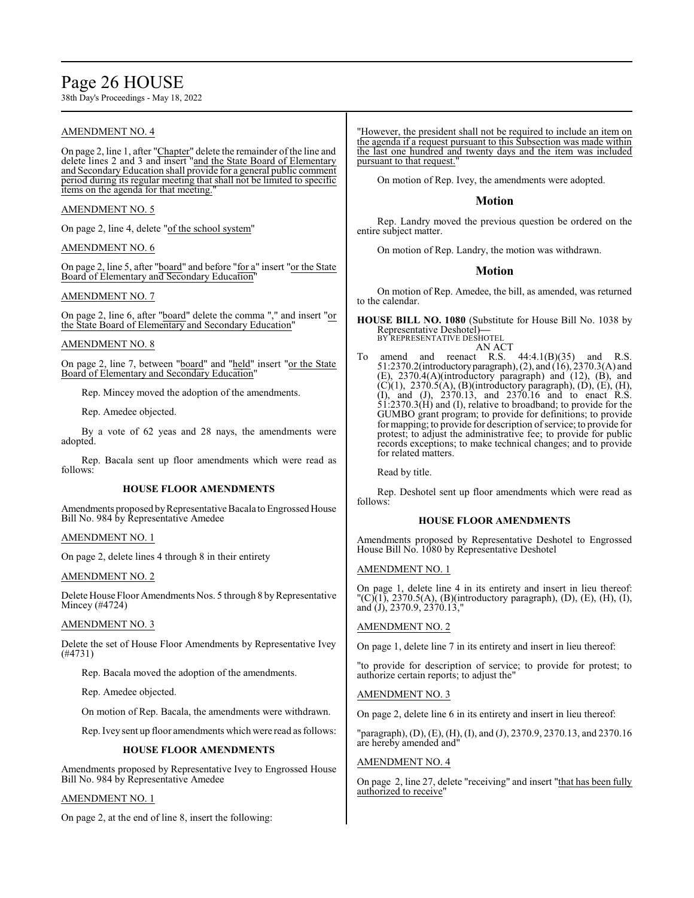## Page 26 HOUSE

38th Day's Proceedings - May 18, 2022

#### AMENDMENT NO. 4

On page 2, line 1, after "Chapter" delete the remainder of the line and delete lines 2 and 3 and insert "and the State Board of Elementary and SecondaryEducation shall provide for a general public comment period during its regular meeting that shall not be limited to specific items on the agenda for that meeting.

#### AMENDMENT NO. 5

On page 2, line 4, delete "of the school system"

#### AMENDMENT NO. 6

On page 2, line 5, after "board" and before "for a" insert "or the State Board of Elementary and Secondary Education"

#### AMENDMENT NO. 7

On page 2, line 6, after "board" delete the comma "," and insert "or the State Board of Elementary and Secondary Education"

#### AMENDMENT NO. 8

On page 2, line 7, between "board" and "held" insert "or the State Board of Elementary and Secondary Education

Rep. Mincey moved the adoption of the amendments.

Rep. Amedee objected.

By a vote of 62 yeas and 28 nays, the amendments were adopted.

Rep. Bacala sent up floor amendments which were read as follows:

#### **HOUSE FLOOR AMENDMENTS**

Amendments proposed by Representative Bacala to Engrossed House Bill No. 984 by Representative Amedee

#### AMENDMENT NO. 1

On page 2, delete lines 4 through 8 in their entirety

#### AMENDMENT NO. 2

Delete House Floor Amendments Nos. 5 through 8 by Representative Mincey (#4724)

#### AMENDMENT NO. 3

Delete the set of House Floor Amendments by Representative Ivey (#4731)

Rep. Bacala moved the adoption of the amendments.

Rep. Amedee objected.

On motion of Rep. Bacala, the amendments were withdrawn.

Rep. Ivey sent up floor amendments which were read as follows:

#### **HOUSE FLOOR AMENDMENTS**

Amendments proposed by Representative Ivey to Engrossed House Bill No. 984 by Representative Amedee

#### AMENDMENT NO. 1

On page 2, at the end of line 8, insert the following:

"However, the president shall not be required to include an item on the agenda if a request pursuant to this Subsection was made within the last one hundred and twenty days and the item was included pursuant to that request.

On motion of Rep. Ivey, the amendments were adopted.

#### **Motion**

Rep. Landry moved the previous question be ordered on the entire subject matter.

On motion of Rep. Landry, the motion was withdrawn.

#### **Motion**

On motion of Rep. Amedee, the bill, as amended, was returned to the calendar.

**HOUSE BILL NO. 1080** (Substitute for House Bill No. 1038 by Representative Deshotel)**—** BY REPRESENTATIVE DESHOTEL

- AN ACT
- To amend and reenact R.S.  $44:4.1(B)(35)$  and R.S. 51:2370.2(introductoryparagraph), (2), and (16), 2370.3(A) and (E), 2370.4(A)(introductory paragraph) and (12), (B), and  $(C)(1)$ , 2370.5(A), (B)(introductory paragraph), (D), (E), (H), (I), and (J), 2370.13, and 2370.16 and to enact R.S. 51:2370.3(H) and (I), relative to broadband; to provide for the GUMBO grant program; to provide for definitions; to provide for mapping; to provide for description of service; to provide for protest; to adjust the administrative fee; to provide for public records exceptions; to make technical changes; and to provide for related matters.

Read by title.

Rep. Deshotel sent up floor amendments which were read as follows:

#### **HOUSE FLOOR AMENDMENTS**

Amendments proposed by Representative Deshotel to Engrossed House Bill No. 1080 by Representative Deshotel

#### AMENDMENT NO. 1

On page 1, delete line 4 in its entirety and insert in lieu thereof:  $(C)(1)$ , 2370.5(A), (B)(introductory paragraph), (D), (E), (H), (I), and (J), 2370.9, 2370.13,"

#### AMENDMENT NO. 2

On page 1, delete line 7 in its entirety and insert in lieu thereof:

"to provide for description of service; to provide for protest; to authorize certain reports; to adjust the"

#### AMENDMENT NO. 3

On page 2, delete line 6 in its entirety and insert in lieu thereof:

"paragraph), (D), (E), (H), (I), and (J), 2370.9, 2370.13, and 2370.16 are hereby amended and"

#### AMENDMENT NO. 4

On page 2, line 27, delete "receiving" and insert "that has been fully authorized to receive'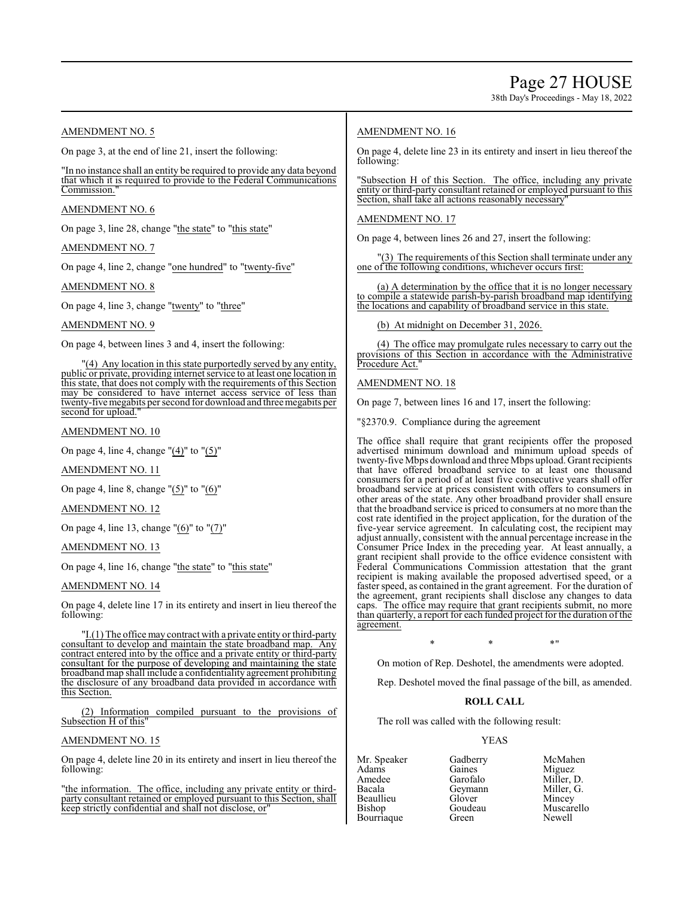38th Day's Proceedings - May 18, 2022

#### AMENDMENT NO. 5

On page 3, at the end of line 21, insert the following:

"In no instance shall an entity be required to provide any data beyond that which it is required to provide to the Federal Communications Commission.

#### AMENDMENT NO. 6

On page 3, line 28, change "the state" to "this state"

AMENDMENT NO. 7

On page 4, line 2, change "one hundred" to "twenty-five"

AMENDMENT NO. 8

On page 4, line 3, change "twenty" to "three"

#### AMENDMENT NO. 9

On page 4, between lines 3 and 4, insert the following:

"(4) Any location in this state purportedly served by any entity, public or private, providing internet service to at least one location in this state, that does not comply with the requirements of this Section may be considered to have internet access service of less than twenty-five megabits per second for download and three megabits per second for upload.

#### AMENDMENT NO. 10

On page 4, line 4, change "(4)" to "(5)"

#### AMENDMENT NO. 11

On page 4, line 8, change "(5)" to "(6)"

#### AMENDMENT NO. 12

On page 4, line 13, change "(6)" to "(7)"

#### AMENDMENT NO. 13

On page 4, line 16, change "the state" to "this state"

#### AMENDMENT NO. 14

On page 4, delete line 17 in its entirety and insert in lieu thereof the following:

"I.(1) The office may contract with a private entity or third-party consultant to develop and maintain the state broadband map. Any contract entered into by the office and a private entity or third-party consultant for the purpose of developing and maintaining the state broadband map shall include a confidentiality agreement prohibiting the disclosure of any broadband data provided in accordance with this Section.

(2) Information compiled pursuant to the provisions of Subsection H of this"

#### AMENDMENT NO. 15

On page 4, delete line 20 in its entirety and insert in lieu thereof the following:

"the information. The office, including any private entity or thirdparty consultant retained or employed pursuant to this Section, shall keep strictly confidential and shall not disclose, or"

#### AMENDMENT NO. 16

On page 4, delete line 23 in its entirety and insert in lieu thereof the following:

'Subsection H of this Section. The office, including any private entity or third-party consultant retained or employed pursuant to this Section, shall take all actions reasonably necessary

#### AMENDMENT NO. 17

On page 4, between lines 26 and 27, insert the following:

(3) The requirements of this Section shall terminate under any one of the following conditions, whichever occurs first:

(a) A determination by the office that it is no longer necessary to compile a statewide parish-by-parish broadband map identifying the locations and capability of broadband service in this state.

(b) At midnight on December 31, 2026.

(4) The office may promulgate rules necessary to carry out the provisions of this Section in accordance with the Administrative Procedure Act."

#### AMENDMENT NO. 18

On page 7, between lines 16 and 17, insert the following:

"§2370.9. Compliance during the agreement

The office shall require that grant recipients offer the proposed advertised minimum download and minimum upload speeds of twenty-five Mbps download and three Mbps upload. Grant recipients that have offered broadband service to at least one thousand consumers for a period of at least five consecutive years shall offer broadband service at prices consistent with offers to consumers in other areas of the state. Any other broadband provider shall ensure that the broadband service is priced to consumers at no more than the cost rate identified in the project application, for the duration of the five-year service agreement. In calculating cost, the recipient may adjust annually, consistent with the annual percentage increase in the Consumer Price Index in the preceding year. At least annually, a grant recipient shall provide to the office evidence consistent with Federal Communications Commission attestation that the grant recipient is making available the proposed advertised speed, or a faster speed, as contained in the grant agreement. For the duration of the agreement, grant recipients shall disclose any changes to data caps. The office may require that grant recipients submit, no more than quarterly, a report for each funded project for the duration of the agreement.

### $*$  \*  $*$  \*

On motion of Rep. Deshotel, the amendments were adopted.

Rep. Deshotel moved the final passage of the bill, as amended.

#### **ROLL CALL**

The roll was called with the following result:

#### YEAS

- Beaullieu Glover<br>Bishop Goudeau Bourriaque
- Adams Gaines Miguez<br>Amedee Garofalo Miller I Amedee Garofalo Miller, D. Geymann Miller, I<br>Glover Mincey

Mr. Speaker Gadberry McMahen<br>Adams Gaines Miguez Goudeau Muscarello<br>Green Newell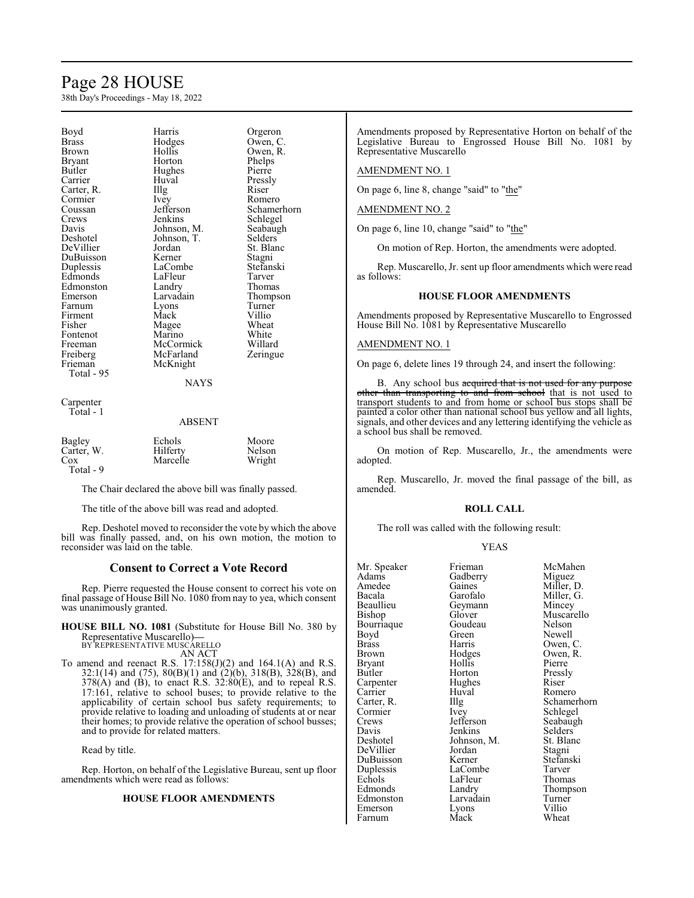## Page 28 HOUSE

38th Day's Proceedings - May 18, 2022

|              | Harris      |             |
|--------------|-------------|-------------|
| Boyd         |             | Orgeron     |
| <b>Brass</b> | Hodges      | Owen, C.    |
| Brown        | Hollis      | Owen, R.    |
| Bryant       | Horton      | Phelps      |
| Butler       | Hughes      | Pierre      |
| Carrier      | Huval       | Pressly     |
| Carter, R.   | Illg        | Riser       |
| Cormier      | Ivey        | Romero      |
| Coussan      | Jefferson   | Schamerhorn |
| Crews        | Jenkins     | Schlegel    |
| Davis        | Johnson, M. | Seabaugh    |
| Deshotel     | Johnson, T. | Selders     |
| DeVillier    | Jordan      | St. Blanc   |
| DuBuisson    | Kerner      | Stagni      |
| Duplessis    | LaCombe     | Stefanski   |
| Edmonds      | LaFleur     | Tarver      |
| Edmonston    | Landry      | Thomas      |
| Emerson      | Larvadain   | Thompson    |
| Farnum       | Lyons       | Turner      |
| Firment      | Mack        | Villio      |
| Fisher       | Magee       | Wheat       |
| Fontenot     | Marino      | White       |
| Freeman      | McCormick   | Willard     |
| Freiberg     | McFarland   | Zeringue    |
| Frieman      | McKnight    |             |
| Total - 95   |             |             |
|              | <b>NAYS</b> |             |
|              |             |             |
| Carpenter    |             |             |
| Total - 1    |             |             |

#### ABSENT

| Bagley     | Echols   | Moore  |
|------------|----------|--------|
| Carter, W. | Hilferty | Nelson |
| Cox        | Marcelle | Wright |
| Total - 9  |          |        |

The Chair declared the above bill was finally passed.

The title of the above bill was read and adopted.

Rep. Deshotel moved to reconsider the vote by which the above bill was finally passed, and, on his own motion, the motion to reconsider was laid on the table.

#### **Consent to Correct a Vote Record**

Rep. Pierre requested the House consent to correct his vote on final passage of House Bill No. 1080 from nay to yea, which consent was unanimously granted.

**HOUSE BILL NO. 1081** (Substitute for House Bill No. 380 by Representative Muscarello)**—** BY REPRESENTATIVE MUSCARELLO

AN ACT

To amend and reenact R.S.  $17:158(J)(2)$  and  $164.1(A)$  and R.S. 32:1(14) and (75),  $80(B)(1)$  and (2)(b), 318(B), 328(B), and  $378(A)$  and (B), to enact R.S.  $32:80(E)$ , and to repeal R.S. 17:161, relative to school buses; to provide relative to the applicability of certain school bus safety requirements; to provide relative to loading and unloading of students at or near their homes; to provide relative the operation of school busses; and to provide for related matters.

Read by title.

Rep. Horton, on behalf of the Legislative Bureau, sent up floor amendments which were read as follows:

#### **HOUSE FLOOR AMENDMENTS**

Amendments proposed by Representative Horton on behalf of the Legislative Bureau to Engrossed House Bill No. 1081 by Representative Muscarello

AMENDMENT NO. 1

On page 6, line 8, change "said" to "the"

#### AMENDMENT NO. 2

On page 6, line 10, change "said" to "the"

On motion of Rep. Horton, the amendments were adopted.

Rep. Muscarello, Jr. sent up floor amendments which were read as follows:

#### **HOUSE FLOOR AMENDMENTS**

Amendments proposed by Representative Muscarello to Engrossed House Bill No. 1081 by Representative Muscarello

#### AMENDMENT NO. 1

On page 6, delete lines 19 through 24, and insert the following:

B. Any school bus acquired that is not used for any purpose other than transporting to and from school that is not used to transport students to and from home or school bus stops shall be painted a color other than national school bus yellow and all lights, signals, and other devices and any lettering identifying the vehicle as a school bus shall be removed.

On motion of Rep. Muscarello, Jr., the amendments were adopted.

Rep. Muscarello, Jr. moved the final passage of the bill, as amended.

#### **ROLL CALL**

The roll was called with the following result:

#### YEAS

| Mr. Speaker  | Frieman     | McMahen     |
|--------------|-------------|-------------|
| Adams        | Gadberry    | Miguez      |
| Amedee       | Gaines      | Miller, D.  |
| Bacala       | Garofalo    | Miller, G.  |
| Beaullieu    | Geymann     | Mincey      |
| Bishop       | Glover      | Muscarello  |
| Bourriaque   | Goudeau     | Nelson      |
| Boyd         | Green       | Newell      |
| <b>Brass</b> | Harris      | Owen, C.    |
| Brown        | Hodges      | Owen, R.    |
| Bryant       | Hollis      | Pierre      |
| Butler       | Horton      | Pressly     |
| Carpenter    | Hughes      | Riser       |
| Carrier      | Huval       | Romero      |
| Carter, R.   | Illg        | Schamerhorn |
| Cormier      | Ivey        | Schlegel    |
| Crews        | Jefferson   | Seabaugh    |
| Davis        | Jenkins     | Selders     |
| Deshotel     | Johnson, M. | St. Blanc   |
| DeVillier    | Jordan      | Stagni      |
| DuBuisson    | Kerner      | Stefanski   |
| Duplessis    | LaCombe     | Tarver      |
| Echols       | LaFleur     | Thomas      |
| Edmonds      | Landry      | Thompson    |
| Edmonston    | Larvadain   | Turner      |
| Emerson      | Lyons       | Villio      |
| Farnum       | Mack        | Wheat       |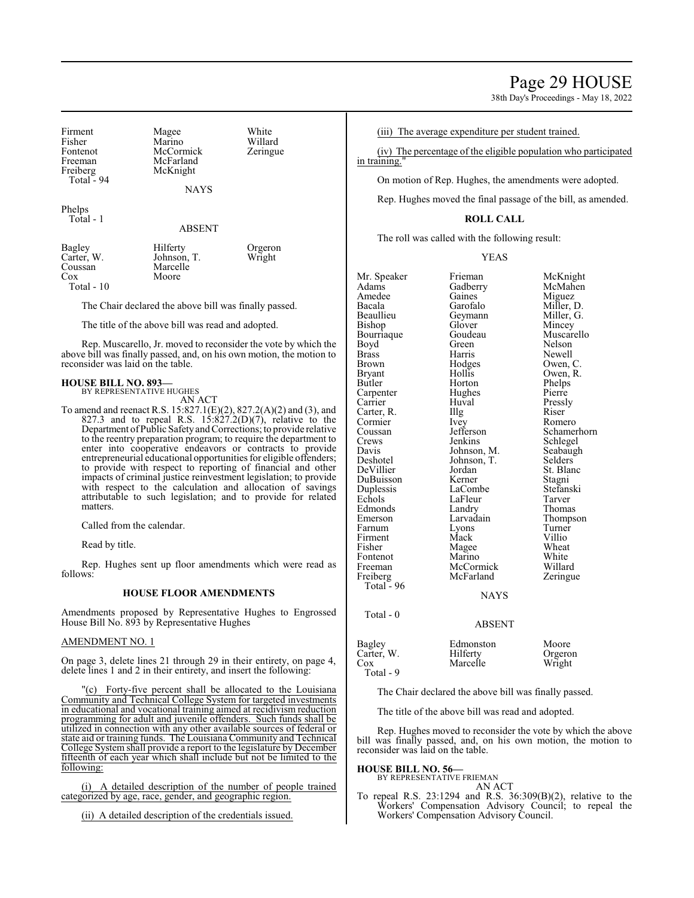38th Day's Proceedings - May 18, 2022

Firment Magee White<br>
Fisher Marino Willard Fisher Marino Willard<br>Fontenot McCormick Zeringue Fontenot McCormick<br>Freeman McFarland Freeman McFarland<br>Freiberg McKnight McKnight Total - 94 **NAYS** Phelps Total - 1 ABSENT Bagley Hilferty Orgeron<br>Carter, W. Johnson, T. Wright

Carter, W. Johnson, T.<br>Coussan Marcelle Cox Moore

Total - 10

The Chair declared the above bill was finally passed.

The title of the above bill was read and adopted.

Marcelle

Rep. Muscarello, Jr. moved to reconsider the vote by which the above bill was finally passed, and, on his own motion, the motion to reconsider was laid on the table.

#### **HOUSE BILL NO. 893—**

BY REPRESENTATIVE HUGHES AN ACT

To amend and reenact R.S. 15:827.1(E)(2), 827.2(A)(2) and (3), and 827.3 and to repeal R.S.  $15:827.2(D)(7)$ , relative to the Department ofPublic Safetyand Corrections; to provide relative to the reentry preparation program; to require the department to enter into cooperative endeavors or contracts to provide entrepreneurial educational opportunities for eligible offenders; to provide with respect to reporting of financial and other impacts of criminal justice reinvestment legislation; to provide with respect to the calculation and allocation of savings attributable to such legislation; and to provide for related matters.

Called from the calendar.

Read by title.

Rep. Hughes sent up floor amendments which were read as follows:

#### **HOUSE FLOOR AMENDMENTS**

Amendments proposed by Representative Hughes to Engrossed House Bill No. 893 by Representative Hughes

#### AMENDMENT NO. 1

On page 3, delete lines 21 through 29 in their entirety, on page 4, delete lines 1 and 2 in their entirety, and insert the following:

"(c) Forty-five percent shall be allocated to the Louisiana Community and Technical College System for targeted investments in educational and vocational training aimed at recidivism reduction programming for adult and juvenile offenders. Such funds shall be utilized in connection with any other available sources of federal or state aid or training funds. The Louisiana Community and Technical College System shall provide a report to the legislature by December fifteenth of each year which shall include but not be limited to the following:

A detailed description of the number of people trained categorized by age, race, gender, and geographic region.

(ii) A detailed description of the credentials issued.

(iii) The average expenditure per student trained.

(iv) The percentage of the eligible population who participated in training."

On motion of Rep. Hughes, the amendments were adopted.

Rep. Hughes moved the final passage of the bill, as amended.

#### **ROLL CALL**

The roll was called with the following result:

YEAS

| Mr. Speaker<br>Adams | Frieman<br>Gadberry | McKnight<br>McMahen |
|----------------------|---------------------|---------------------|
| Amedee               | Gaines              | Miguez              |
| Bacala               | Garofalo            | Miller, D.          |
| Beaullieu            | Geymann             | Miller, G.          |
| Bishop               | Glover              | Mincey              |
| Bourriaque           | Goudeau             | Muscarello          |
| Boyd                 | Green               | Nelson              |
| <b>Brass</b>         | Harris              | Newell              |
| Brown                | Hodges              | Owen, C.            |
| <b>Bryant</b>        | Hollis              | Owen, R.            |
| Butler               | Horton              | Phelps              |
| Carpenter            | Hughes              | Pierre              |
| Carrier              | Huval               | Pressly             |
| Carter, R.           | IIIg                | Riser               |
| Cormier              | <i>lvey</i>         | Romero              |
| Coussan              | Jefferson           | Schamerhorn         |
| Crews                | Jenkins             | Schlegel            |
| Davis                | Johnson, M.         | Seabaugh            |
| Deshotel             | Johnson, T.         | Selders             |
| DeVillier            | Jordan              | St. Blanc           |
| DuBuisson            | Kerner              | Stagni              |
| Duplessis            | LaCombe             | Stefanski           |
| Echols               | LaFleur             | Tarver              |
| Edmonds              | Landry              | Thomas              |
| Emerson              | Larvadain           | Thompson            |
| Farnum               | Lyons               | Turner              |
| Firment              | Mack                | Villio              |
| Fisher               | Magee               | Wheat               |
| Fontenot             | Marino              | White               |
| Freeman              | McCormick           | Willard             |
| Freiberg             | McFarland           | Zeringue            |
| Total - 96           |                     |                     |
|                      | <b>NAYS</b>         |                     |
| Total - 0            |                     |                     |
|                      | <b>ABSENT</b>       |                     |
| Bagley               | Edmonston           | Moore               |
| Carter, W.           | Hilferty            | Orgeron             |
| $\cos$               | Marcelle            | Wright              |
| Total - 9            |                     |                     |

The Chair declared the above bill was finally passed.

The title of the above bill was read and adopted.

Rep. Hughes moved to reconsider the vote by which the above bill was finally passed, and, on his own motion, the motion to reconsider was laid on the table.

#### **HOUSE BILL NO. 56—**

BY REPRESENTATIVE FRIEMAN

AN ACT To repeal R.S. 23:1294 and R.S. 36:309(B)(2), relative to the Workers' Compensation Advisory Council; to repeal the Workers' Compensation Advisory Council.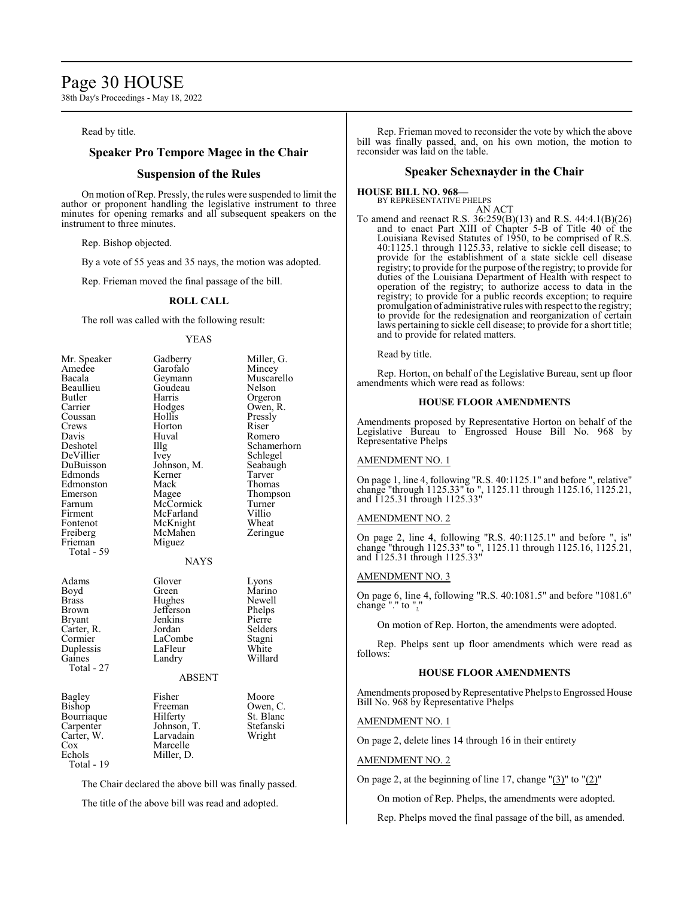### Page 30 HOUSE

38th Day's Proceedings - May 18, 2022

#### Read by title.

#### **Speaker Pro Tempore Magee in the Chair**

#### **Suspension of the Rules**

On motion ofRep. Pressly, the rules were suspended to limit the author or proponent handling the legislative instrument to three minutes for opening remarks and all subsequent speakers on the instrument to three minutes.

Rep. Bishop objected.

By a vote of 55 yeas and 35 nays, the motion was adopted.

Rep. Frieman moved the final passage of the bill.

#### **ROLL CALL**

The roll was called with the following result:

#### YEAS

| Mr. Speaker<br>Amedee<br>Bacala<br>Beaullieu<br>Butler<br>Carrier<br>Coussan<br>Crews<br>Davis<br>Deshotel<br>DeVillier<br>DuBuisson<br>Edmonds<br>Edmonston<br>Emerson<br>Farnum<br>Firment<br>Fontenot<br>Freiberg<br>Frieman<br>Total - 59 | Gadberry<br>Garofalo<br>Geymann<br>Goudeau<br>Harris<br>Hodges<br>Hollis<br>Horton<br>Huval<br>Illg<br>Ivey<br>Johnson, M.<br>Kerner<br>Mack<br>Magee<br>McCormick<br>McFarland<br>McKnight<br>McMahen<br>Miguez | Miller, G.<br>Mincey<br>Muscarello<br>Nelson<br>Orgeron<br>Owen, R.<br>Pressly<br>Riser<br>Romero<br>Schamerhorn<br>Schlegel<br>Seabaugh<br>Tarver<br>Thomas<br>Thompson<br>Turner<br>Villio<br>Wheat<br>Zeringue |
|-----------------------------------------------------------------------------------------------------------------------------------------------------------------------------------------------------------------------------------------------|------------------------------------------------------------------------------------------------------------------------------------------------------------------------------------------------------------------|-------------------------------------------------------------------------------------------------------------------------------------------------------------------------------------------------------------------|
| Adams<br>Boyd<br>Brass<br>Brown<br>Bryant<br>Carter, R.<br>Cormier<br>Duplessis<br>Gaines<br>Total - 27                                                                                                                                       | <b>NAYS</b><br>Glover<br>Green<br>Hughes<br>Jefferson<br>Jenkins<br>Jordan<br>LaCombe<br>LaFleur<br>Landry<br><b>ABSENT</b>                                                                                      | Lyons<br>Marino<br>Newell<br>Phelps<br>Pierre<br>Selders<br>Stagni<br>White<br>Willard                                                                                                                            |
| Bagley<br>Bishop<br>Bourriaque<br>Carpenter<br>Carter, W.<br>Cox<br>Echols<br>Total - 19                                                                                                                                                      | Fisher<br>Freeman<br>Hilferty<br>Johnson, T.<br>Larvadain<br>Marcelle<br>Miller, D.                                                                                                                              | Moore<br>Owen, C.<br>St. Blanc<br>Stefanski<br>Wright                                                                                                                                                             |

The Chair declared the above bill was finally passed.

The title of the above bill was read and adopted.

Rep. Frieman moved to reconsider the vote by which the above bill was finally passed, and, on his own motion, the motion to reconsider was laid on the table.

#### **Speaker Schexnayder in the Chair**

#### **HOUSE BILL NO. 968—** BY REPRESENTATIVE PHELPS

AN ACT

To amend and reenact R.S. 36:259(B)(13) and R.S. 44:4.1(B)(26) and to enact Part XIII of Chapter 5-B of Title 40 of the Louisiana Revised Statutes of 1950, to be comprised of R.S. 40:1125.1 through 1125.33, relative to sickle cell disease; to provide for the establishment of a state sickle cell disease registry; to provide for the purpose ofthe registry; to provide for duties of the Louisiana Department of Health with respect to operation of the registry; to authorize access to data in the registry; to provide for a public records exception; to require promulgation of administrative rules with respect to the registry; to provide for the redesignation and reorganization of certain laws pertaining to sickle cell disease; to provide for a short title; and to provide for related matters.

Read by title.

Rep. Horton, on behalf of the Legislative Bureau, sent up floor amendments which were read as follows:

#### **HOUSE FLOOR AMENDMENTS**

Amendments proposed by Representative Horton on behalf of the Legislative Bureau to Engrossed House Bill No. 968 by Representative Phelps

#### AMENDMENT NO. 1

On page 1, line 4, following "R.S. 40:1125.1" and before ", relative" change "through 1125.33" to ", 1125.11 through 1125.16, 1125.21, and 1125.31 through 1125.33"

#### AMENDMENT NO. 2

On page 2, line 4, following "R.S. 40:1125.1" and before ", is" change "through 1125.33" to ", 1125.11 through 1125.16, 1125.21, and 1125.31 through 1125.33"

#### AMENDMENT NO. 3

On page 6, line 4, following "R.S. 40:1081.5" and before "1081.6" change "." to ",'

On motion of Rep. Horton, the amendments were adopted.

Rep. Phelps sent up floor amendments which were read as follows:

#### **HOUSE FLOOR AMENDMENTS**

Amendments proposed by Representative Phelps to Engrossed House Bill No. 968 by Representative Phelps

#### AMENDMENT NO. 1

On page 2, delete lines 14 through 16 in their entirety

#### AMENDMENT NO. 2

On page 2, at the beginning of line 17, change "(3)" to "(2)"

On motion of Rep. Phelps, the amendments were adopted.

Rep. Phelps moved the final passage of the bill, as amended.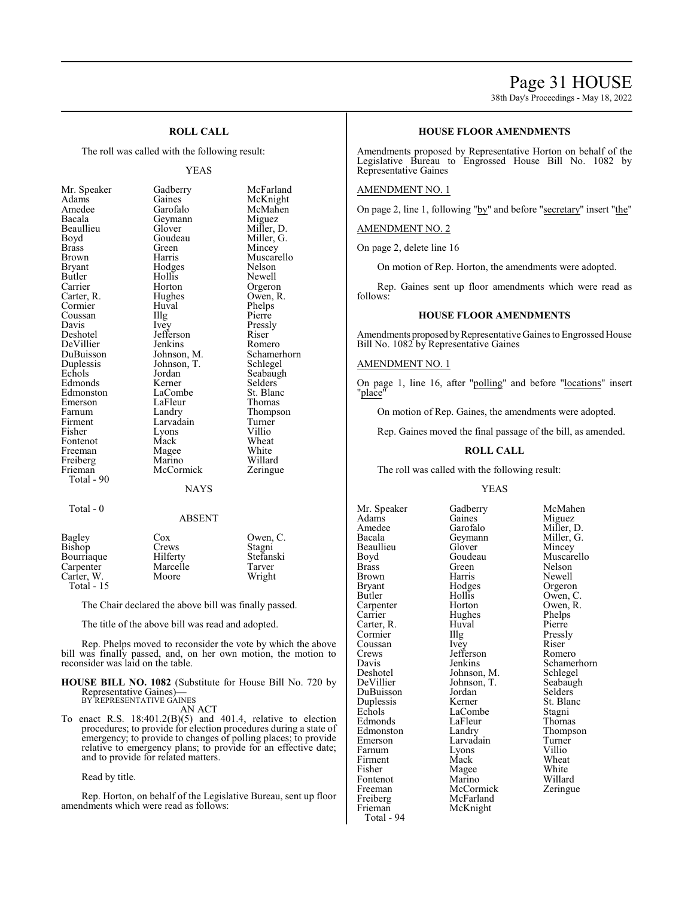### Page 31 HOUSE

38th Day's Proceedings - May 18, 2022

#### **ROLL CALL**

The roll was called with the following result:

#### YEAS

| Mr. Speaker | Gadberry    | McFarland   |
|-------------|-------------|-------------|
| Adams       | Gaines      | McKnight    |
| Amedee      | Garofalo    | McMahen     |
| Bacala      | Geymann     | Miguez      |
| Beaullieu   | Glover      | Miller, D.  |
| Boyd        | Goudeau     | Miller, G.  |
| Brass       | Green       | Mincey      |
| Brown       | Harris      | Muscarello  |
| Bryant      | Hodges      | Nelson      |
| Butler      | Hollis      | Newell      |
| Carrier     | Horton      | Orgeron     |
| Carter, R.  | Hughes      | Owen, R.    |
| Cormier     | Huval       | Phelps      |
| Coussan     | Illg        | Pierre      |
| Davis       | Ivey        | Pressly     |
| Deshotel    | Jefferson   | Riser       |
| DeVillier   | Jenkins     | Romero      |
| DuBuisson   | Johnson, M. | Schamerhorn |
| Duplessis   | Johnson, T. | Schlegel    |
| Echols      | Jordan      | Seabaugh    |
| Edmonds     | Kerner      | Selders     |
| Edmonston   | LaCombe     | St. Blanc   |
| Emerson     | LaFleur     | Thomas      |
| Farnum      | Landry      | Thompson    |
| Firment     | Larvadain   | Turner      |
| Fisher      | Lyons       | Villio      |
| Fontenot    | Mack        | Wheat       |
| Freeman     | Magee       | White       |
| Freiberg    | Marino      | Willard     |
| Frieman     | McCormick   | Zeringue    |
| Total - 90  |             |             |
|             | <b>NAYS</b> |             |
|             |             |             |

#### Total - 0

| Bagley     | Cox      | Owen, C.  |
|------------|----------|-----------|
| Bishop     | Crews    | Stagni    |
| Bourriaque | Hilferty | Stefanski |
| Carpenter  | Marcelle | Tarver    |
| Carter, W. | Moore    | Wright    |
| Total - 15 |          |           |

The Chair declared the above bill was finally passed.

The title of the above bill was read and adopted.

Rep. Phelps moved to reconsider the vote by which the above bill was finally passed, and, on her own motion, the motion to reconsider was laid on the table.

### **HOUSE BILL NO. 1082** (Substitute for House Bill No. 720 by Representative Gaines)**—** BY REPRESENTATIVE GAINES

AN ACT

To enact R.S. 18:401.2(B)(5) and 401.4, relative to election procedures; to provide for election procedures during a state of emergency; to provide to changes of polling places; to provide relative to emergency plans; to provide for an effective date; and to provide for related matters.

#### Read by title.

Rep. Horton, on behalf of the Legislative Bureau, sent up floor amendments which were read as follows:

#### **HOUSE FLOOR AMENDMENTS**

Amendments proposed by Representative Horton on behalf of the Legislative Bureau to Engrossed House Bill No. 1082 by Representative Gaines

#### AMENDMENT NO. 1

On page 2, line 1, following "by" and before "secretary" insert "the"

#### AMENDMENT NO. 2

On page 2, delete line 16

On motion of Rep. Horton, the amendments were adopted.

Rep. Gaines sent up floor amendments which were read as follows:

#### **HOUSE FLOOR AMENDMENTS**

Amendments proposed by Representative Gaines to Engrossed House Bill No. 1082 by Representative Gaines

#### AMENDMENT NO. 1

On page 1, line 16, after "polling" and before "locations" insert "<u>place</u>'

On motion of Rep. Gaines, the amendments were adopted.

Rep. Gaines moved the final passage of the bill, as amended.

#### **ROLL CALL**

The roll was called with the following result:

#### YEAS

Mr. Speaker Gadberry McMahen<br>Adams Gaines Miguez Adams Gaines Miguez<br>Amedee Garofalo Miller, D. Amedee Garofalo<br>Bacala Geymann Beaullieu Glover<br>Boyd Goudeau Boyd Goudeau Muscarello<br>Brass Green Nelson Brass Green Nelson Brown Harris Newell<br>Bryant Hodges Orgeron Bryant Hodges Orgeron<br>Butler Hollis Owen, C Carpenter Horton Owen,<br>
Carrier Hughes Phelps Carter, R. Huval Pierre<br>
Cormier IIIg Pressly Cormier Illg Pressl<br>Coussan Ivey Riser Coussan Ivey Riser<br>Crews Iefferson Romero Crews Jefferson<br>Davis Jenkins Deshotel Johnson, M. Schlegel DuBuisson Jordan Selders Duplessis Kerner St. Blanck St. Blanck Stagnie St. Blanck Stagnie St. Blanck Stagnie Stagnie St. Bla Edmonds LaFleur Thomas<br>
Edmonston Landry Thompson Edmonston Landry Thomp<br>Emerson Larvadain Turner Farnum Lyons Villio<br>Firment Mack Wheat Firment Mack Wheat<br>
Fisher Magee White Fontenot Marino Willard<br>
Freeman McCormick Zeringue Freeman McCormick<br>Freiberg McFarland Freiberg McFarland<br>Frieman McKnight Total - 94

Geymann Miller, G.<br>Glover Mincey Hollis Owen, C.<br>Horton Owen, R. Hughes Phelps<br>
Huval Pierre Johnson, T. Seabaughter Seabaughter Seabaughter Seabaughter Seabaughter Seabaughter Seabaughter Seabaughter Seabaughter Seabaughter Seabaughter Seabaughter Seabaughter Seabaughter Seabaughter Seabaughter Seabaughter Seabau LaCombe Stagni<br>
LaFleur Thomas Larvadain Turner<br>Lyons Villio Magee White<br>Marino Willard McKnight

Davis Jenkins Schamerhorn<br>Deshotel Johnson, M. Schlegel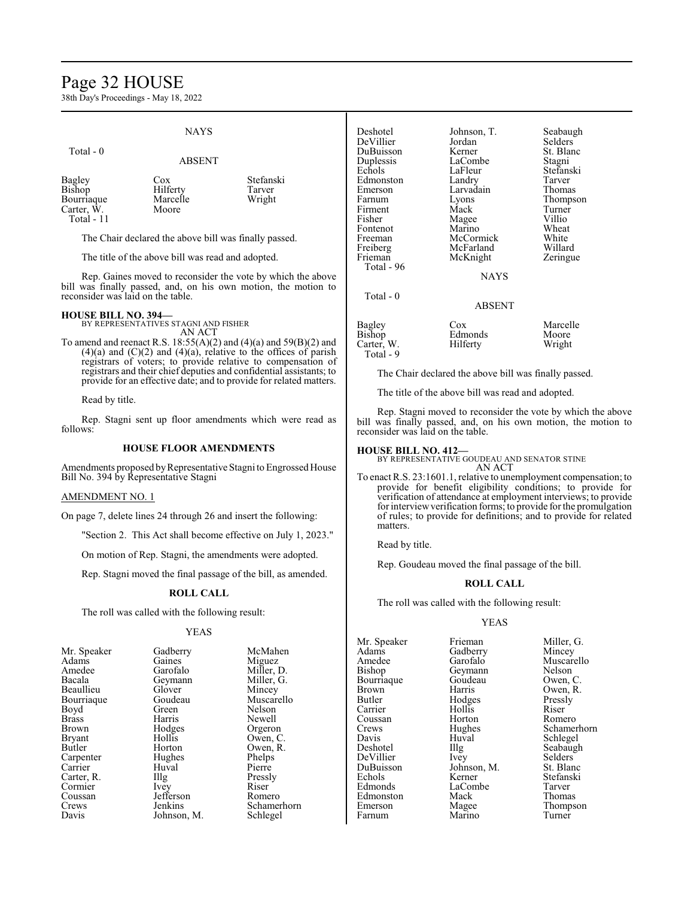### Page 32 HOUSE

38th Day's Proceedings - May 18, 2022

#### NAYS

ABSENT

#### Total - 0

| Cox      | Stefanski |
|----------|-----------|
| Hilferty | Tarver    |
| Marcelle | Wright    |
| Moore    |           |
|          |           |
|          |           |

The Chair declared the above bill was finally passed.

The title of the above bill was read and adopted.

Rep. Gaines moved to reconsider the vote by which the above bill was finally passed, and, on his own motion, the motion to reconsider was laid on the table.

#### **HOUSE BILL NO. 394—** BY REPRESENTATIVES STAGNI AND FISHER

AN ACT

To amend and reenact R.S. 18:55(A)(2) and (4)(a) and 59(B)(2) and  $(4)(a)$  and  $(C)(2)$  and  $(4)(a)$ , relative to the offices of parish registrars of voters; to provide relative to compensation of registrars and their chief deputies and confidential assistants; to provide for an effective date; and to provide for related matters.

Read by title.

Rep. Stagni sent up floor amendments which were read as follows:

#### **HOUSE FLOOR AMENDMENTS**

Amendments proposed byRepresentative Stagni to Engrossed House Bill No. 394 by Representative Stagni

#### AMENDMENT NO. 1

On page 7, delete lines 24 through 26 and insert the following:

"Section 2. This Act shall become effective on July 1, 2023."

On motion of Rep. Stagni, the amendments were adopted.

Rep. Stagni moved the final passage of the bill, as amended.

#### **ROLL CALL**

The roll was called with the following result:

#### YEAS

| Gadberry<br>Gaines<br>Garofalo | McMahen<br>Miguez                           |
|--------------------------------|---------------------------------------------|
|                                |                                             |
|                                |                                             |
|                                | Miller, D.                                  |
|                                | Miller, G.                                  |
| Glover                         | Mincey                                      |
| Goudeau                        | Muscarello                                  |
| Green                          | Nelson                                      |
| Harris                         | Newell                                      |
|                                | Orgeron                                     |
| Hollis                         | Owen, C.                                    |
| Horton                         | Owen, R.                                    |
|                                | Phelps                                      |
| Huval                          | Pierre                                      |
|                                | Pressly                                     |
|                                | Riser                                       |
| Jefferson                      | Romero                                      |
| Jenkins                        | Schamerhorn                                 |
| Johnson, M.                    | Schlegel                                    |
|                                | Geymann<br>Hodges<br>Hughes<br>Illg<br>Ivey |

| Deshotel   | Johnson, T. | Seabaugh  |
|------------|-------------|-----------|
| DeVillier  | Jordan      | Selders   |
| DuBuisson  | Kerner      | St. Blanc |
| Duplessis  | LaCombe     | Stagni    |
| Echols     | LaFleur     | Stefanski |
| Edmonston  | Landry      | Tarver    |
| Emerson    | Larvadain   | Thomas    |
| Farnum     | Lyons       | Thompson  |
| Firment    | Mack        | Turner    |
| Fisher     | Magee       | Villio    |
| Fontenot   | Marino      | Wheat     |
| Freeman    | McCormick   | White     |
| Freiberg   | McFarland   | Willard   |
| Frieman    | McKnight    | Zeringue  |
| Total - 96 |             |           |
|            | <b>NAYS</b> |           |
| Total - 0  |             |           |
|            | ABSENT      |           |
| Bagley     | $\cos$      | Marcelle  |
| Bishop     | Edmonds     | Moore     |
| Carter, W. | Hilferty    | Wright    |
| Total - 9  |             |           |

The Chair declared the above bill was finally passed.

The title of the above bill was read and adopted.

Rep. Stagni moved to reconsider the vote by which the above bill was finally passed, and, on his own motion, the motion to reconsider was laid on the table.

#### **HOUSE BILL NO. 412—**

BY REPRESENTATIVE GOUDEAU AND SENATOR STINE AN ACT

To enact R.S. 23:1601.1, relative to unemployment compensation; to provide for benefit eligibility conditions; to provide for verification of attendance at employment interviews; to provide for interviewverification forms; to provide for the promulgation of rules; to provide for definitions; and to provide for related matters.

Read by title.

Rep. Goudeau moved the final passage of the bill.

#### **ROLL CALL**

The roll was called with the following result:

#### YEAS

Mr. Speaker Frieman Miller, G.<br>Adams Gadberry Mincey Adams Gadberry<br>Amedee Garofalo Amedee Garofalo Muscarello<br>Bishop Geymann Nelson Bourriaque Goude<br>Brown Harris Brown Harris Owen, R.<br>Butler Hodges Pressly Carrier Hollis Riser<br>
Coussan Horton Romero Coussan Horton<br>Crews Hughes Davis Huval Schlegel<br>Deshotel IIIg Seabaug DeVillier Ivey Selders<br>DuBuisson Johnson, M. St. Blanc DuBuisson Johnson<br>Echols Kerner Echols Kerner Stefanski<br>Edmonds LaCombe Tarver Edmonston Mack<br>Emerson Magee Farnum

Geymann Nelson<br>Goudeau Owen, C. Hodges Pressl<br>Hollis Riser Illg Seabaugh<br>Ivey Selders LaCombe Tarver<br>
Mack Thomas

Crews Hughes Schamerhorn<br>
Davis Huval Schlegel Magee Thompson<br>Marino Turner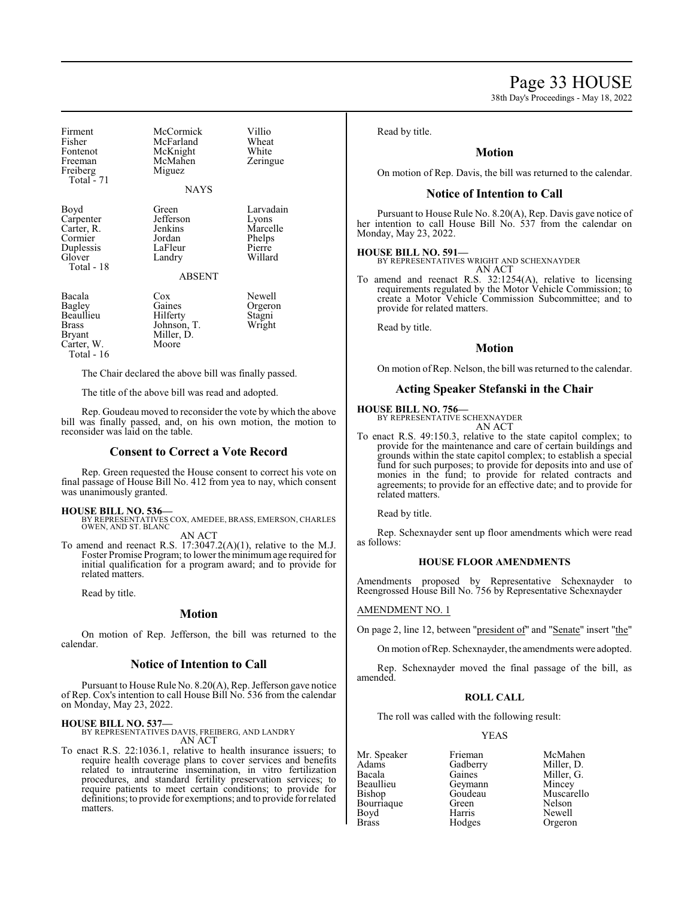### Page 33 HOUSE

38th Day's Proceedings - May 18, 2022

| Firment<br>Fisher<br>Fontenot<br>Freeman<br>Freiberg<br>Total - $71$            | McCormick<br>McFarland<br>McKnight<br>McMahen<br>Miguez<br><b>NAYS</b>        | Villio<br>Wheat<br>White<br>Zeringue                          |
|---------------------------------------------------------------------------------|-------------------------------------------------------------------------------|---------------------------------------------------------------|
| Boyd<br>Carpenter<br>Carter, R.<br>Cormier<br>Duplessis<br>Glover<br>Total - 18 | Green<br>Jefferson<br>Jenkins<br>Jordan<br>LaFleur<br>Landry<br><b>ABSENT</b> | Larvadain<br>Lyons<br>Marcelle<br>Phelps<br>Pierre<br>Willard |
| Bacala<br>Bagley<br>Beaullieu<br>Brass<br>Bryant<br>Carter, W.<br>Total - 16    | $\cos$<br>Gaines<br>Hilferty<br>Johnson, T.<br>Miller, D.<br>Moore            | Newell<br>Orgeron<br>Stagni<br>Wright                         |

The Chair declared the above bill was finally passed.

The title of the above bill was read and adopted.

Rep. Goudeau moved to reconsider the vote by which the above bill was finally passed, and, on his own motion, the motion to reconsider was laid on the table.

#### **Consent to Correct a Vote Record**

Rep. Green requested the House consent to correct his vote on final passage of House Bill No. 412 from yea to nay, which consent was unanimously granted.

#### **HOUSE BILL NO. 536—**

BY REPRESENTATIVES COX, AMEDEE, BRASS, EMERSON, CHARLES OWEN, AND ST. BLANC AN ACT

To amend and reenact R.S. 17:3047.2(A)(1), relative to the M.J. Foster Promise Program; to lower the minimumage required for initial qualification for a program award; and to provide for related matters.

Read by title.

#### **Motion**

On motion of Rep. Jefferson, the bill was returned to the calendar.

#### **Notice of Intention to Call**

Pursuant to House Rule No. 8.20(A), Rep. Jefferson gave notice of Rep. Cox's intention to call House Bill No. 536 from the calendar on Monday, May 23, 2022.

#### **HOUSE BILL NO. 537—**

BY REPRESENTATIVES DAVIS, FREIBERG, AND LANDRY AN ACT

To enact R.S. 22:1036.1, relative to health insurance issuers; to require health coverage plans to cover services and benefits related to intrauterine insemination, in vitro fertilization procedures, and standard fertility preservation services; to require patients to meet certain conditions; to provide for definitions; to provide for exemptions; and to provide for related matters.

Read by title.

#### **Motion**

On motion of Rep. Davis, the bill was returned to the calendar.

#### **Notice of Intention to Call**

Pursuant to House Rule No. 8.20(A), Rep. Davis gave notice of her intention to call House Bill No. 537 from the calendar on Monday, May 23, 2022.

**HOUSE BILL NO. 591—** BY REPRESENTATIVES WRIGHT AND SCHEXNAYDER AN ACT

To amend and reenact R.S. 32:1254(A), relative to licensing requirements regulated by the Motor Vehicle Commission; to create a Motor Vehicle Commission Subcommittee; and to provide for related matters.

Read by title.

#### **Motion**

On motion ofRep. Nelson, the bill was returned to the calendar.

#### **Acting Speaker Stefanski in the Chair**

#### **HOUSE BILL NO. 756—**

BY REPRESENTATIVE SCHEXNAYDER AN ACT

To enact R.S. 49:150.3, relative to the state capitol complex; to provide for the maintenance and care of certain buildings and grounds within the state capitol complex; to establish a special fund for such purposes; to provide for deposits into and use of monies in the fund; to provide for related contracts and agreements; to provide for an effective date; and to provide for related matters.

Read by title.

Rep. Schexnayder sent up floor amendments which were read as follows:

#### **HOUSE FLOOR AMENDMENTS**

Amendments proposed by Representative Schexnayder to Reengrossed House Bill No. 756 by Representative Schexnayder

#### AMENDMENT NO. 1

On page 2, line 12, between "president of" and "Senate" insert "the"

On motion ofRep. Schexnayder, the amendments were adopted.

Rep. Schexnayder moved the final passage of the bill, as amended.

#### **ROLL CALL**

The roll was called with the following result:

#### YEAS

Adams Gadberry<br>Bacala Gaines Bacala Gaines Miller, G. Beaullieu Geymann<br>Bishop Goudeau Bourriaque Green<br>Boyd Harris

Mr. Speaker Frieman McMahen<br>Adams Gadberry Miller. D. Boyd Harris Newell<br>Brass Hodges Orgerol

Goudeau Muscarello<br>Green Nelson Orgeron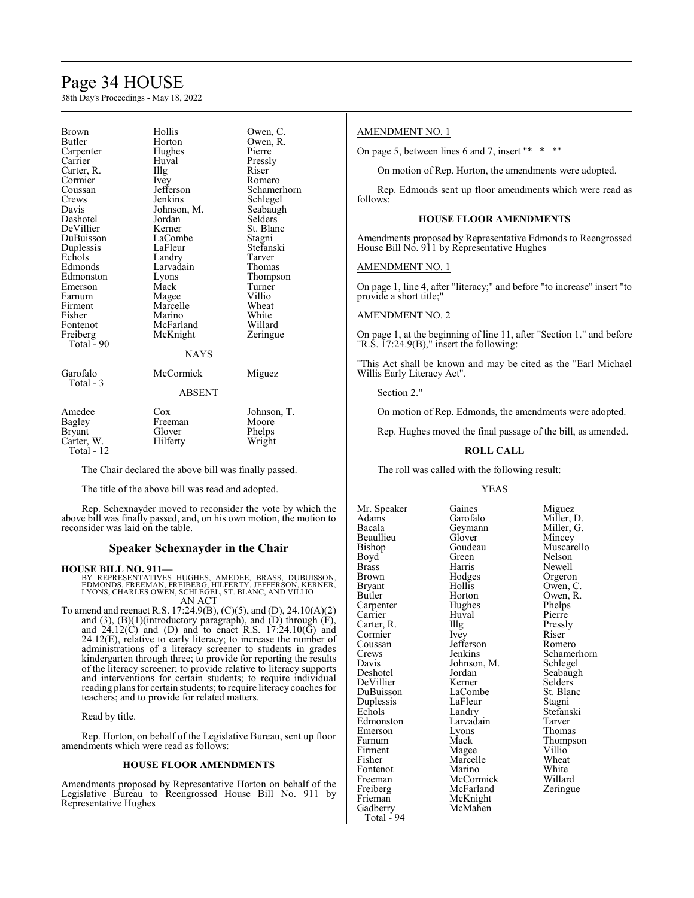## Page 34 HOUSE

38th Day's Proceedings - May 18, 2022

| Hollis<br><b>Brown</b><br>Owen, C.<br><b>Butler</b><br>Owen, R.<br>Horton<br>Pierre<br>Hughes<br>Carpenter<br>Carrier<br>Huval<br>Pressly<br>Riser<br>Illg<br>Carter, R.<br>Cormier<br>Ivey<br>Romero<br>Jefferson<br>Schamerhorn<br>Coussan<br>Jenkins<br>Schlegel<br>Crews<br>Johnson, M.<br>Seabaugh<br>Davis<br>Selders<br>Deshotel<br>Jordan<br>DeVillier<br>St. Blanc<br>Kerner<br>LaCombe<br>DuBuisson<br>Stagni<br>Duplessis<br>LaFleur<br>Stefanski |        |        |        |
|--------------------------------------------------------------------------------------------------------------------------------------------------------------------------------------------------------------------------------------------------------------------------------------------------------------------------------------------------------------------------------------------------------------------------------------------------------------|--------|--------|--------|
|                                                                                                                                                                                                                                                                                                                                                                                                                                                              |        |        |        |
|                                                                                                                                                                                                                                                                                                                                                                                                                                                              |        |        |        |
|                                                                                                                                                                                                                                                                                                                                                                                                                                                              |        |        |        |
|                                                                                                                                                                                                                                                                                                                                                                                                                                                              |        |        |        |
|                                                                                                                                                                                                                                                                                                                                                                                                                                                              |        |        |        |
|                                                                                                                                                                                                                                                                                                                                                                                                                                                              |        |        |        |
|                                                                                                                                                                                                                                                                                                                                                                                                                                                              |        |        |        |
|                                                                                                                                                                                                                                                                                                                                                                                                                                                              |        |        |        |
|                                                                                                                                                                                                                                                                                                                                                                                                                                                              |        |        |        |
|                                                                                                                                                                                                                                                                                                                                                                                                                                                              |        |        |        |
|                                                                                                                                                                                                                                                                                                                                                                                                                                                              |        |        |        |
|                                                                                                                                                                                                                                                                                                                                                                                                                                                              |        |        |        |
|                                                                                                                                                                                                                                                                                                                                                                                                                                                              |        |        |        |
|                                                                                                                                                                                                                                                                                                                                                                                                                                                              | Echols | Landry | Tarver |
| Edmonds<br>Larvadain<br>Thomas                                                                                                                                                                                                                                                                                                                                                                                                                               |        |        |        |
| Edmonston<br>Thompson<br>Lyons                                                                                                                                                                                                                                                                                                                                                                                                                               |        |        |        |
| Mack<br>Turner<br>Emerson                                                                                                                                                                                                                                                                                                                                                                                                                                    |        |        |        |
| Villio<br>Magee<br>Farnum                                                                                                                                                                                                                                                                                                                                                                                                                                    |        |        |        |
| Marcelle<br>Wheat<br>Firment                                                                                                                                                                                                                                                                                                                                                                                                                                 |        |        |        |
| White<br>Fisher<br>Marino                                                                                                                                                                                                                                                                                                                                                                                                                                    |        |        |        |
| Willard<br>McFarland<br>Fontenot                                                                                                                                                                                                                                                                                                                                                                                                                             |        |        |        |
|                                                                                                                                                                                                                                                                                                                                                                                                                                                              |        |        |        |
| Freiberg<br>McKnight<br>Zeringue<br>Total - 90                                                                                                                                                                                                                                                                                                                                                                                                               |        |        |        |
|                                                                                                                                                                                                                                                                                                                                                                                                                                                              |        |        |        |
| <b>NAYS</b>                                                                                                                                                                                                                                                                                                                                                                                                                                                  |        |        |        |
| Garofalo<br>McCormick<br>Miguez                                                                                                                                                                                                                                                                                                                                                                                                                              |        |        |        |
| Total - 3                                                                                                                                                                                                                                                                                                                                                                                                                                                    |        |        |        |
| <b>ABSENT</b>                                                                                                                                                                                                                                                                                                                                                                                                                                                |        |        |        |
| Amedee<br>Cox<br>Johnson, T.                                                                                                                                                                                                                                                                                                                                                                                                                                 |        |        |        |
| Bagley<br>Moore<br>Freeman                                                                                                                                                                                                                                                                                                                                                                                                                                   |        |        |        |
| Glover<br>Phelps<br><b>Bryant</b>                                                                                                                                                                                                                                                                                                                                                                                                                            |        |        |        |
| Hilferty                                                                                                                                                                                                                                                                                                                                                                                                                                                     |        |        |        |
| Wright<br>Carter, W.<br>Total - 12                                                                                                                                                                                                                                                                                                                                                                                                                           |        |        |        |

The Chair declared the above bill was finally passed.

The title of the above bill was read and adopted.

Rep. Schexnayder moved to reconsider the vote by which the above bill was finally passed, and, on his own motion, the motion to reconsider was laid on the table.

#### **Speaker Schexnayder in the Chair**

#### **HOUSE BILL NO. 911—**

BY REPRESENTATIVES HUGHES, AMEDEE, BRASS, DUBUISSON,<br>EDMONDS, FREEMAN, FREIBERG, HILFERTY, JEFFERSON, KERNER, LYONS, CHARLES OWEN, SCHLEGEL, ST. BLANC, AND VILLIO AN ACT

To amend and reenact R.S. 17:24.9(B), (C)(5), and (D), 24.10(A)(2) and  $(3)$ ,  $(B)(1)$ (introductory paragraph), and  $(D)$  through  $(F)$ , and  $24.12(C)$  and (D) and to enact R.S.  $17:24.10(\bar{G})$  and  $24.12(E)$ , relative to early literacy; to increase the number of administrations of a literacy screener to students in grades kindergarten through three; to provide for reporting the results of the literacy screener; to provide relative to literacy supports and interventions for certain students; to require individual reading plans for certain students; to require literacy coaches for teachers; and to provide for related matters.

Read by title.

Rep. Horton, on behalf of the Legislative Bureau, sent up floor amendments which were read as follows:

#### **HOUSE FLOOR AMENDMENTS**

Amendments proposed by Representative Horton on behalf of the Legislative Bureau to Reengrossed House Bill No. 911 by Representative Hughes

#### AMENDMENT NO. 1

On page 5, between lines 6 and 7, insert "\* \* \*"

On motion of Rep. Horton, the amendments were adopted.

Rep. Edmonds sent up floor amendments which were read as follows:

#### **HOUSE FLOOR AMENDMENTS**

Amendments proposed by Representative Edmonds to Reengrossed House Bill No. 911 by Representative Hughes

#### AMENDMENT NO. 1

On page 1, line 4, after "literacy;" and before "to increase" insert "to provide a short title;"

#### AMENDMENT NO. 2

On page 1, at the beginning of line 11, after "Section 1." and before "R.S.  $\overline{17:24.9(B)}$ ," insert the following:

"This Act shall be known and may be cited as the "Earl Michael Willis Early Literacy Act".

Section 2."

On motion of Rep. Edmonds, the amendments were adopted.

Rep. Hughes moved the final passage of the bill, as amended.

#### **ROLL CALL**

The roll was called with the following result:

McMahen

#### YEAS

Beaullieu Glover<br>Bishop Goudeau Coussan Jefferson<br>Crews Ienkins Davis Johnson, M.<br>Deshotel Jordan DeVillier Kerner<br>DuBuisson LaCombe Duplessis LaFleu<br>Echols Landry Emerson Lyons<br>Farnum Mack Freiberg McFarland Zeringue Frieman McKnight<br>Gadberry McMahen

Total -  $94$ 

Mr. Speaker Gaines Miguez<br>Adams Garofalo Miller, I Adams Garofalo Miller, D.<br>Bacala Geymann Miller, G. Geymann Miller,<br>Glover Mincey Bishop Goudeau Muscarello<br>Boyd Green Nelson Boyd Green Nelson<br>Brass Harris Newell Brass Harris Newell Brown Hodges Orgeron<br>Bryant Hollis Owen, C Bryant Hollis Owen, C. Horton Owen, R.<br>Hughes Phelps Carpenter Hughes Phelps Carrier Huval Pierre<br>Carter, R. Illg Pressly Carter, R. Illg Pressl<br>
Cormier Ivey Riser Cormier Ivey Riser<br>Coussan Jefferson Romero Crews Jenkins Schamerhorn<br>
Davis Johnson, M. Schlegel Jordan Seabaugh<br>Kerner Selders LaCombe<br>LaFleur Stagni Landry Stefanski<br>Larvadain Tarver Edmonston Larvadain Tarver<br>
Emerson Lyons Thomas Farnum Mack Thompson<br>
Firment Magee Villio Firment Magee Villio<br>Fisher Marcelle Wheat Marcelle Wheat<br>
Marino White Fontenot Marino White<br>
Freeman McCormick Willard Freeman McCormick Willard<br>Freiberg McFarland Zeringue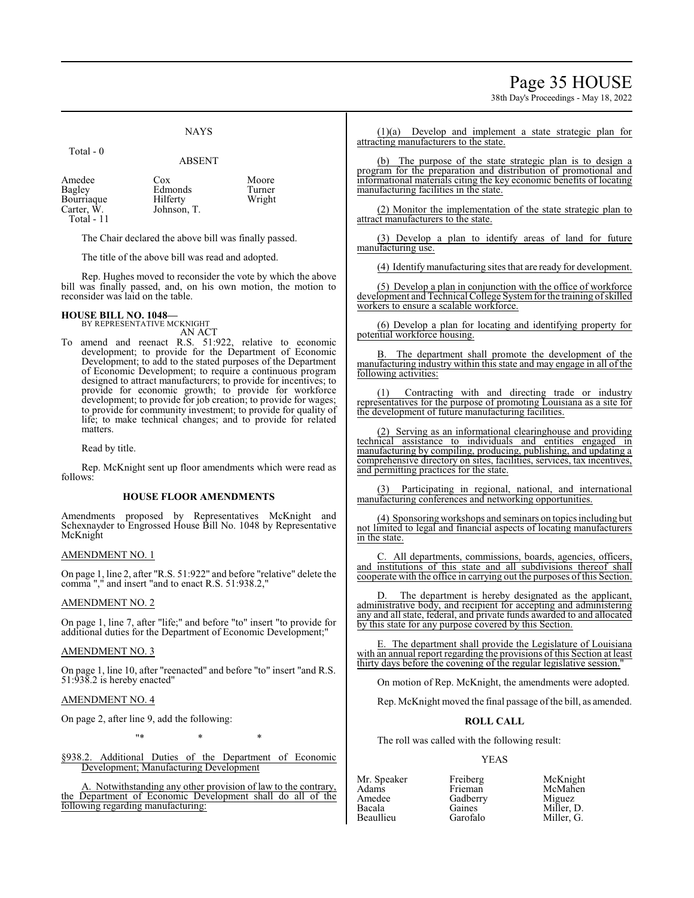### Page 35 HOUSE

38th Day's Proceedings - May 18, 2022

#### **NAYS**

#### Total - 0

#### ABSENT

| Amedee     | Cox         | Moore  |
|------------|-------------|--------|
| Bagley     | Edmonds     | Turner |
| Bourriaque | Hilferty    | Wright |
| Carter, W. | Johnson, T. |        |
| Total - 11 |             |        |

The Chair declared the above bill was finally passed.

The title of the above bill was read and adopted.

Rep. Hughes moved to reconsider the vote by which the above bill was finally passed, and, on his own motion, the motion to reconsider was laid on the table.

### **HOUSE BILL NO. 1048—** BY REPRESENTATIVE MCKNIGHT

AN ACT

To amend and reenact R.S. 51:922, relative to economic development; to provide for the Department of Economic Development; to add to the stated purposes of the Department of Economic Development; to require a continuous program designed to attract manufacturers; to provide for incentives; to provide for economic growth; to provide for workforce development; to provide for job creation; to provide for wages; to provide for community investment; to provide for quality of life; to make technical changes; and to provide for related matters.

Read by title.

Rep. McKnight sent up floor amendments which were read as follows:

#### **HOUSE FLOOR AMENDMENTS**

Amendments proposed by Representatives McKnight and Schexnayder to Engrossed House Bill No. 1048 by Representative McKnight

#### AMENDMENT NO. 1

On page 1, line 2, after "R.S. 51:922" and before "relative" delete the comma "," and insert "and to enact R.S. 51:938.2,"

#### AMENDMENT NO. 2

On page 1, line 7, after "life;" and before "to" insert "to provide for additional duties for the Department of Economic Development;"

#### AMENDMENT NO. 3

On page 1, line 10, after "reenacted" and before "to" insert "and R.S. 51:938.2 is hereby enacted"

#### AMENDMENT NO. 4

On page 2, after line 9, add the following:

"\* \* \*

§938.2. Additional Duties of the Department of Economic Development; Manufacturing Development

A. Notwithstanding any other provision of law to the contrary, the Department of Economic Development shall do all of the following regarding manufacturing:

(1)(a) Develop and implement a state strategic plan for attracting manufacturers to the state.

(b) The purpose of the state strategic plan is to design a program for the preparation and distribution of promotional and informational materials citing the key economic benefits of locating manufacturing facilities in the state.

(2) Monitor the implementation of the state strategic plan to attract manufacturers to the state.

(3) Develop a plan to identify areas of land for future manufacturing use.

(4) Identify manufacturing sites that are ready for development.

(5) Develop a plan in conjunction with the office of workforce development and Technical College System for the training of skilled workers to ensure a scalable workforce.

(6) Develop a plan for locating and identifying property for potential workforce housing.

B. The department shall promote the development of the manufacturing industry within this state and may engage in all of the following activities:

(1) Contracting with and directing trade or industry representatives for the purpose of promoting Louisiana as a site for the development of future manufacturing facilities.

(2) Serving as an informational clearinghouse and providing technical assistance to individuals and entities engaged in manufacturing by compiling, producing, publishing, and updating a comprehensive directory on sites, facilities, services, tax incentives, and permitting practices for the state.

Participating in regional, national, and international manufacturing conferences and networking opportunities.

(4) Sponsoring workshops and seminars on topics including but not limited to legal and financial aspects of locating manufacturers in the state.

C. All departments, commissions, boards, agencies, officers, and institutions of this state and all subdivisions thereof shall cooperate with the office in carrying out the purposes of this Section.

The department is hereby designated as the applicant, administrative body, and recipient for accepting and administering any and all state, federal, and private funds awarded to and allocated by this state for any purpose covered by this Section.

The department shall provide the Legislature of Louisiana with an annual report regarding the provisions of this Section at least thirty days before the covening of the regular legislative session."

On motion of Rep. McKnight, the amendments were adopted.

Rep. McKnight moved the final passage of the bill, as amended.

#### **ROLL CALL**

The roll was called with the following result:

Gadberry<br>Gaines

#### YEAS

| ivii. opeane |  |
|--------------|--|
| Adams        |  |
| Amedee       |  |
| Bacala       |  |
| Beaullieu    |  |
|              |  |

Mr. Speaker Freiberg McKnight McMahen<br>Miguez Gaines Miller, D.<br>Garofalo Miller, G. Miller, G.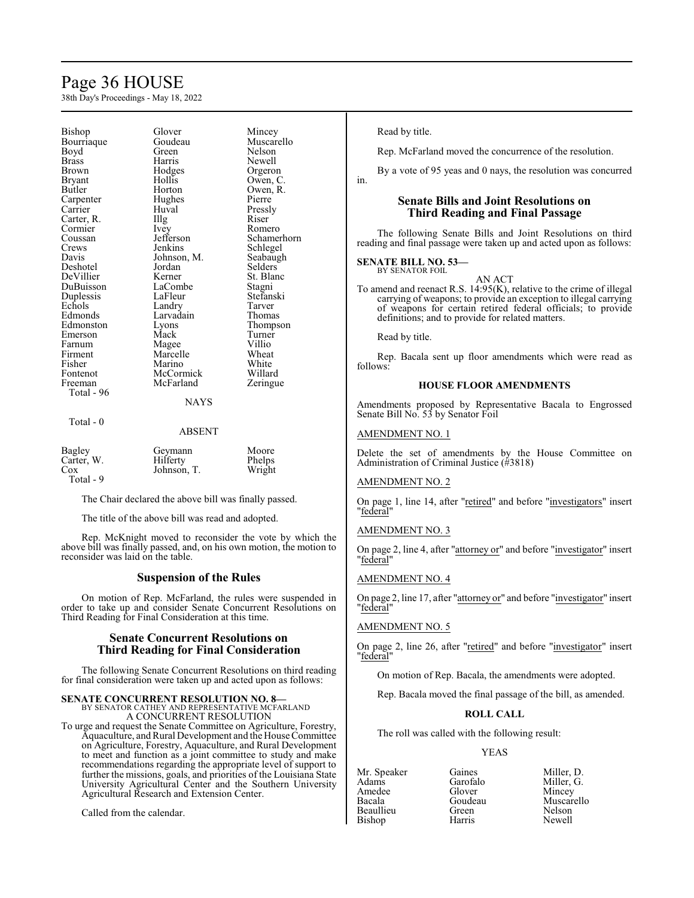## Page 36 HOUSE

38th Day's Proceedings - May 18, 2022

| Bishop                | Glover      | Mincey      |
|-----------------------|-------------|-------------|
| Bourriaque            | Goudeau     | Muscarello  |
| Boyd                  | Green       | Nelson      |
| Brass                 | Harris      | Newell      |
| <b>Brown</b>          | Hodges      | Orgeron     |
| <b>Bryant</b>         | Hollis      | Owen, C.    |
| Butler                | Horton      | Owen, R.    |
| Carpenter             | Hughes      | Pierre      |
| Carrier               | Huval       | Pressly     |
| Carter, R.            | Illg        | Riser       |
| Cormier               | Ivey        | Romero      |
| Coussan               | Jefferson   | Schamerhorn |
| Crews                 | Jenkins     | Schlegel    |
| Davis                 | Johnson, M. | Seabaugh    |
| Deshotel              | Jordan      | Selders     |
| DeVillier             | Kerner      | St. Blanc   |
| DuBuisson             | LaCombe     | Stagni      |
| Duplessis             | LaFleur     | Stefanski   |
| Echols                | Landry      | Tarver      |
| Edmonds               | Larvadain   | Thomas      |
| Edmonston             | Lyons       | Thompson    |
| Emerson               | Mack        | Turner      |
|                       |             |             |
| Farnum                | Magee       | Villio      |
| Firment               | Marcelle    | Wheat       |
| Fisher                | Marino      | White       |
| Fontenot              | McCormick   | Willard     |
| Freeman<br>Total - 96 | McFarland   | Zeringue    |
|                       | NAYS        |             |
| Total - 0             | ABSENT      |             |
| Bagley                | Geymann     | Moore       |
| Carter, W.            | Hilferty    | Phelps      |
| $\cos$                | Johnson, T. | Wright      |

The Chair declared the above bill was finally passed.

The title of the above bill was read and adopted.

Total - 9

Rep. McKnight moved to reconsider the vote by which the above bill was finally passed, and, on his own motion, the motion to reconsider was laid on the table.

#### **Suspension of the Rules**

On motion of Rep. McFarland, the rules were suspended in order to take up and consider Senate Concurrent Resolutions on Third Reading for Final Consideration at this time.

#### **Senate Concurrent Resolutions on Third Reading for Final Consideration**

The following Senate Concurrent Resolutions on third reading for final consideration were taken up and acted upon as follows:

### **SENATE CONCURRENT RESOLUTION NO. 8—**

BY SENATOR CATHEY AND REPRESENTATIVE MCFARLAND A CONCURRENT RESOLUTION

To urge and request the Senate Committee on Agriculture, Forestry, Aquaculture, and Rural Development and the House Committee on Agriculture, Forestry, Aquaculture, and Rural Development to meet and function as a joint committee to study and make recommendations regarding the appropriate level of support to further the missions, goals, and priorities of the Louisiana State University Agricultural Center and the Southern University Agricultural Research and Extension Center.

Called from the calendar.

Read by title.

in.

Rep. McFarland moved the concurrence of the resolution.

By a vote of 95 yeas and 0 nays, the resolution was concurred

#### **Senate Bills and Joint Resolutions on Third Reading and Final Passage**

The following Senate Bills and Joint Resolutions on third reading and final passage were taken up and acted upon as follows:

#### **SENATE BILL NO. 53—** BY SENATOR FOIL

AN ACT

To amend and reenact R.S. 14:95(K), relative to the crime of illegal carrying of weapons; to provide an exception to illegal carrying of weapons for certain retired federal officials; to provide definitions; and to provide for related matters.

Read by title.

Rep. Bacala sent up floor amendments which were read as follows:

#### **HOUSE FLOOR AMENDMENTS**

Amendments proposed by Representative Bacala to Engrossed Senate Bill No. 53 by Senator Foil

#### AMENDMENT NO. 1

Delete the set of amendments by the House Committee on Administration of Criminal Justice (#3818)

#### AMENDMENT NO. 2

On page 1, line 14, after "retired" and before "investigators" insert "federal"

### AMENDMENT NO. 3

On page 2, line 4, after "attorney or" and before "investigator" insert "federal"

#### AMENDMENT NO. 4

On page 2, line 17, after "attorney or" and before "investigator" insert "federal"

#### AMENDMENT NO. 5

On page 2, line 26, after "retired" and before "investigator" insert "federal"

On motion of Rep. Bacala, the amendments were adopted.

Rep. Bacala moved the final passage of the bill, as amended.

#### **ROLL CALL**

The roll was called with the following result:

#### YEAS

Amedee Glover<br>Bacala Goudeau Bishop

Mr. Speaker Gaines Miller, D.<br>Adams Garofalo Miller, G. Garofalo Miller, G.<br>Glover Mincev Goudeau Muscarello<br>Green Nelson Beaullieu Green Nelson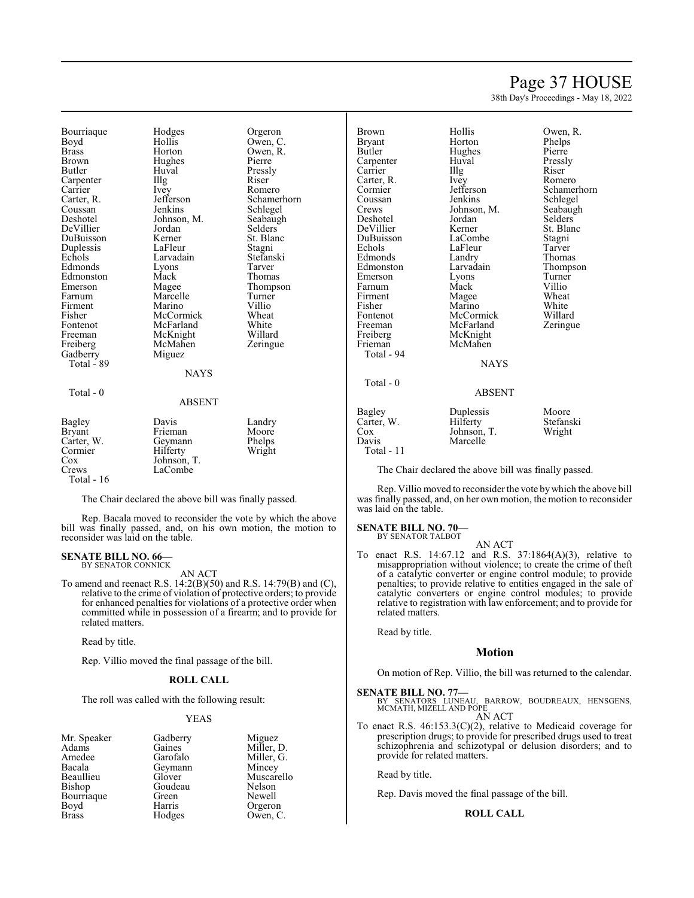### Page 37 HOUSE

38th Day's Proceedings - May 18, 2022

Bourriaque Hodges Orgeron<br>Boyd Hollis Owen, C Boyd Hollis Owen, C.<br>Brass Horton Owen, R. Brass Horton Owen, R. Brown Hughes<br>Butler Huval Carpenter Carrier Ivey Romero<br>Carter, R. Jefferson Schamer Carter, R. Sefferson Schamerhorn<br>
Coussan Jenkins Schlegel Coussan Jenkins Schlegel<br>Deshotel Johnson, M. Seabaugh DeVillier Jordan Selders<br>
DuBuisson Kerner St. Blanc DuBuisson Kerner St. Blanch<br>Duplessis LaFleur Stagni Duplessis LaFleur Stagni<br>Echols Larvadain Stefanski Edmonds Lyons<br>Edmonston Mack Edmonston Mack Thomas<br>
Emerson Magee Thomps Emerson Magee Thompson<br>Farnum Marcelle Turner Firment Marino Villio<br>Fisher McCormick Wheat Fisher McCormick Wheat<br>Fontenot McFarland White Fontenot McFarland White<br>
Freeman McKnight Willard Freeman McKnight Willard<br>
Freiberg McMahen Zeringue Gadberry Total - 89 Total - 0

Huval Pressly<br>Illg Riser Larvadain Stefans<br>Lyons Tarver Marcelle Turner<br>
Marino Villio McMahen<br>Miguez

Johnson, M. Seabaug<br>Jordan Selders

| Bagley<br><b>Bryant</b><br>Carter, W.<br>Cormier<br>Cox<br>Crews | Davis<br>Frieman<br>Geymann<br>Hilferty<br>Johnson, T.<br>LaCombe | Landry<br>Moore<br>Phelps<br>Wright |
|------------------------------------------------------------------|-------------------------------------------------------------------|-------------------------------------|
| Total - 16                                                       |                                                                   |                                     |

The Chair declared the above bill was finally passed.

Rep. Bacala moved to reconsider the vote by which the above bill was finally passed, and, on his own motion, the motion to reconsider was laid on the table.

NAYS

ABSENT

#### **SENATE BILL NO. 66—** BY SENATOR CONNICK

AN ACT

To amend and reenact R.S. 14:2(B)(50) and R.S. 14:79(B) and (C), relative to the crime of violation of protective orders; to provide for enhanced penalties for violations of a protective order when committed while in possession of a firearm; and to provide for related matters.

Read by title.

Rep. Villio moved the final passage of the bill.

#### **ROLL CALL**

The roll was called with the following result:

Goudeau<br>Green

#### YEAS

| Mr. Speaker |  |
|-------------|--|
| Adams       |  |
| Amedee      |  |
| Bacala      |  |
| Beaullieu   |  |
| Bishop      |  |
| Bourriaque  |  |
| Boyd        |  |
| Brass       |  |

Gadberry Miguez<br>Gaines Miller, 1 Gaines Miller, D.<br>Garofalo Miller, G. Miller, G. Geymann Mincey<br>Glover Muscar Muscarello<br>Nelson Green Newell<br>
Harris Orgerou Harris Orgeron<br>Hodges Owen, C Owen, C.

| Brown<br>Bryant<br>Butler<br>Carpenter<br>Carrier<br>Carter, R.<br>Cormier<br>Coussan<br>Crews<br>Deshotel<br>DeVillier<br>DuBuisson<br>Echols<br>Edmonds<br>Edmonston<br>Emerson<br>Farnum | Hollis<br>Horton<br>Hughes<br>Huval<br>Illg<br>Ivey<br>Jefferson<br>Jenkins<br>Johnson, M.<br>Jordan<br>Kerner<br>LaCombe<br>LaFleur<br>Landry<br>Larvadain<br>Lyons<br>Mack | Owen, R.<br>Phelps<br>Pierre<br>Pressly<br>Riser<br>Romero<br>Schamerh<br>Schlegel<br>Seabaugh<br>Selders<br>St. Blanc<br>Stagni<br>Tarver<br>Thomas<br>Thompson<br>Turner<br>Villio |
|---------------------------------------------------------------------------------------------------------------------------------------------------------------------------------------------|------------------------------------------------------------------------------------------------------------------------------------------------------------------------------|--------------------------------------------------------------------------------------------------------------------------------------------------------------------------------------|
| Fisher<br>Fontenot<br>Freeman<br>Freiberg                                                                                                                                                   | Magee<br>Marino<br>McCormick<br>McFarland<br>McKnight                                                                                                                        | White<br>Willard<br>Zeringue                                                                                                                                                         |
| Frieman<br>Total - 94                                                                                                                                                                       | McMahen<br><b>NAYS</b>                                                                                                                                                       |                                                                                                                                                                                      |
| Total - 0                                                                                                                                                                                   | <b>ABSENT</b>                                                                                                                                                                |                                                                                                                                                                                      |
| Bagley<br>$\mathbf{v}$                                                                                                                                                                      | Duplessis                                                                                                                                                                    | Moore<br>$\cdots$                                                                                                                                                                    |

Phelps<br>Pierre Jefferson Schamerhorn<br>Jenkins Schlegel Schlegel<br>Seabaugh St. Blanc<br>Stagni Thompson

### ABSENT

Bagley Duplessis Moore<br>Carter, W. Hilferty Stefanski Carter, W. Hilferty Stefans<br>Cox Johnson, T. Wright Cox Johnson, T.<br>Davis Marcelle Marcelle Total - 11

The Chair declared the above bill was finally passed.

Rep. Villio moved to reconsider the vote bywhich the above bill was finally passed, and, on her own motion, the motion to reconsider was laid on the table.

#### **SENATE BILL NO. 70—** BY SENATOR TALBOT

AN ACT

To enact R.S. 14:67.12 and R.S. 37:1864(A)(3), relative to misappropriation without violence; to create the crime of theft of a catalytic converter or engine control module; to provide penalties; to provide relative to entities engaged in the sale of catalytic converters or engine control modules; to provide relative to registration with law enforcement; and to provide for related matters.

Read by title.

#### **Motion**

On motion of Rep. Villio, the bill was returned to the calendar.

**SENATE BILL NO. 77—**<br>BY SENATORS LUNEAU, BARROW, BOUDREAUX, HENSGENS,<br>MCMATH, MIZELL AND POPE AN ACT

To enact R.S. 46:153.3(C)(2), relative to Medicaid coverage for prescription drugs; to provide for prescribed drugs used to treat schizophrenia and schizotypal or delusion disorders; and to provide for related matters.

Read by title.

Rep. Davis moved the final passage of the bill.

#### **ROLL CALL**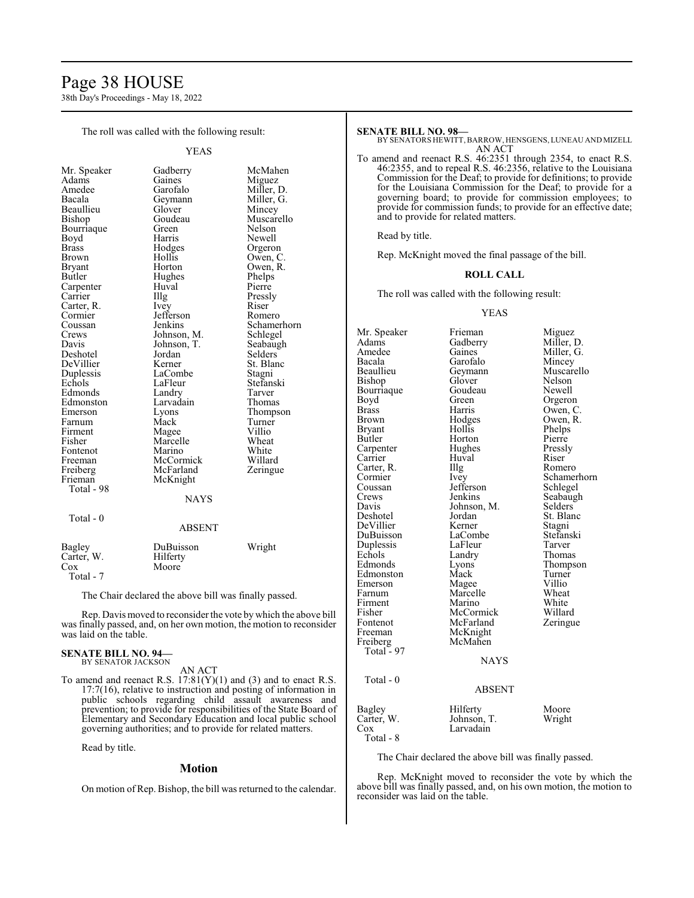### Page 38 HOUSE

38th Day's Proceedings - May 18, 2022

The roll was called with the following result:

YEAS

| Mr. Speaker  | Gadberry      | McMahen     |
|--------------|---------------|-------------|
| Adams        | Gaines        | Miguez      |
| Amedee       | Garofalo      | Miller, D.  |
| Bacala       | Geymann       | Miller, G.  |
| Beaullieu    | Glover        | Mincey      |
| Bishop       | Goudeau       | Muscarello  |
| Bourriaque   | Green         | Nelson      |
| Boyd         | Harris        | Newell      |
| <b>Brass</b> | Hodges        | Orgeron     |
| Brown        | Hollis        | Owen, C.    |
| Bryant       | Horton        | Owen, R.    |
| Butler       | Hughes        | Phelps      |
| Carpenter    | Huval         | Pierre      |
| Carrier      | Illg          | Pressly     |
| Carter, R.   | Ivey          | Riser       |
| Cormier      | Jefferson     | Romero      |
| Coussan      | Jenkins       | Schamerhorn |
| Crews        | Johnson, M.   | Schlegel    |
| Davis        | Johnson, T.   | Seabaugh    |
| Deshotel     | Jordan        | Selders     |
| DeVillier    | Kerner        | St. Blanc   |
| Duplessis    | LaCombe       | Stagni      |
| Echols       | LaFleur       | Stefanski   |
| Edmonds      | Landry        | Tarver      |
| Edmonston    | Larvadain     | Thomas      |
| Emerson      | Lyons         | Thompson    |
| Farnum       | Mack          | Turner      |
| Firment      | Magee         | Villio      |
| Fisher       | Marcelle      | Wheat       |
| Fontenot     | Marino        | White       |
| Freeman      | McCormick     | Willard     |
| Freiberg     | McFarland     | Zeringue    |
| Frieman      | McKnight      |             |
| Total - 98   |               |             |
|              | NAYS          |             |
|              |               |             |
| Total - 0    |               |             |
|              | <b>ABSENT</b> |             |
| Bagley       | DuBuisson     | Wright      |
| Carter, W.   | Hilferty      |             |
| $\cos$       | Moore         |             |
| Total - 7    |               |             |

The Chair declared the above bill was finally passed.

Rep. Davis moved to reconsider the vote by which the above bill was finally passed, and, on her own motion, the motion to reconsider was laid on the table.

#### **SENATE BILL NO. 94—** BY SENATOR JACKSON

AN ACT

To amend and reenact R.S.  $17:81(Y)(1)$  and (3) and to enact R.S. 17:7(16), relative to instruction and posting of information in public schools regarding child assault awareness and prevention; to provide for responsibilities of the State Board of Elementary and Secondary Education and local public school governing authorities; and to provide for related matters.

Read by title.

#### **Motion**

On motion of Rep. Bishop, the bill was returned to the calendar.

#### **SENATE BILL NO. 98—**

BY SENATORS HEWITT,BARROW, HENSGENS, LUNEAU AND MIZELL AN ACT

To amend and reenact R.S. 46:2351 through 2354, to enact R.S. 46:2355, and to repeal R.S. 46:2356, relative to the Louisiana Commission for the Deaf; to provide for definitions; to provide for the Louisiana Commission for the Deaf; to provide for a governing board; to provide for commission employees; to provide for commission funds; to provide for an effective date; and to provide for related matters.

Read by title.

Rep. McKnight moved the final passage of the bill.

#### **ROLL CALL**

The roll was called with the following result:

#### YEAS

Mr. Speaker Frieman Miguez<br>Adams Gadberry Miller, 1 Adams Gadberry Miller, D.<br>Amedee Gaines Miller, G. Amedee Gaines Miller, G.<br>Bacala Garofalo Mincey Bacala Garofalo<br>Beaullieu Geymann Geymann Muscarello<br>Glover Nelson Bishop Glover Nelson<br>Bourriaque Goudeau Newell Bourriaque Goude<br>Boyd Green Boyd Green Orgeron<br>Brass Harris Owen, C Brass Harris Owen, C.<br>Brown Hodges Owen, R. Brown Hodges Owen, R.<br>Bryant Hollis Phelps Bryant Hollis Phelps<br>Butler Horton Pierre Horton Pierre<br>Hughes Pressly Carpenter Hughes Pressl<br>Carrier Huval Riser Carrier Huval Riser<br>Carter, R. Illg Romero Carter, R. Illg<br>Cormier Ivev Cormier Ivey Schamerhorn<br>Coussan Jefferson Schlegel Coussan Jefferson<br>Crews Jenkins Crews Jenkins Seabaugh<br>
Davis Johnson, M. Selders Johnson, M. Selders<br>Jordan St. Blanc Deshotel Jordan St. Blanck St. Blanck St. Blanck St. Blanck St. Blanck St. Blanck St. Blanck St. Blanck St. Blanck St. Blanck St. Blanck St. Blanck St. Blanck St. Blanck St. Blanck St. Blanck St. Blanck St. Blanck St. Blan DeVillier Kerner Stagni<br>
DuBuisson LaCombe Stefanski LaCombe Stefans<br>LaFleur Tarver Duplessis LaFleur Tarver Echols Landry<br>Edmonds Lyons Lyons Thompson<br>Mack Turner Edmonston Mack Turner<br>Emerson Magee Villio Emerson Magee Villio<br>
Farnum Marcelle Wheat Marcelle Wheat<br>
Marino White Firment Marino White<br>
Fisher McCormick Willard Fisher McCormick Willard<br>Fontenot McFarland Zeringue Fontenot McFarland<br>Freeman McKnight McKnight<br>McMahen Freiberg Total - 97 NAYS Total - 0 ABSENT Bagley Hilferty Moore<br>Carter, W. Johnson, T. Wright Carter, W. Johnson, T.<br>Cox Larvadain Larvadain

Total - 8

The Chair declared the above bill was finally passed.

Rep. McKnight moved to reconsider the vote by which the above bill was finally passed, and, on his own motion, the motion to reconsider was laid on the table.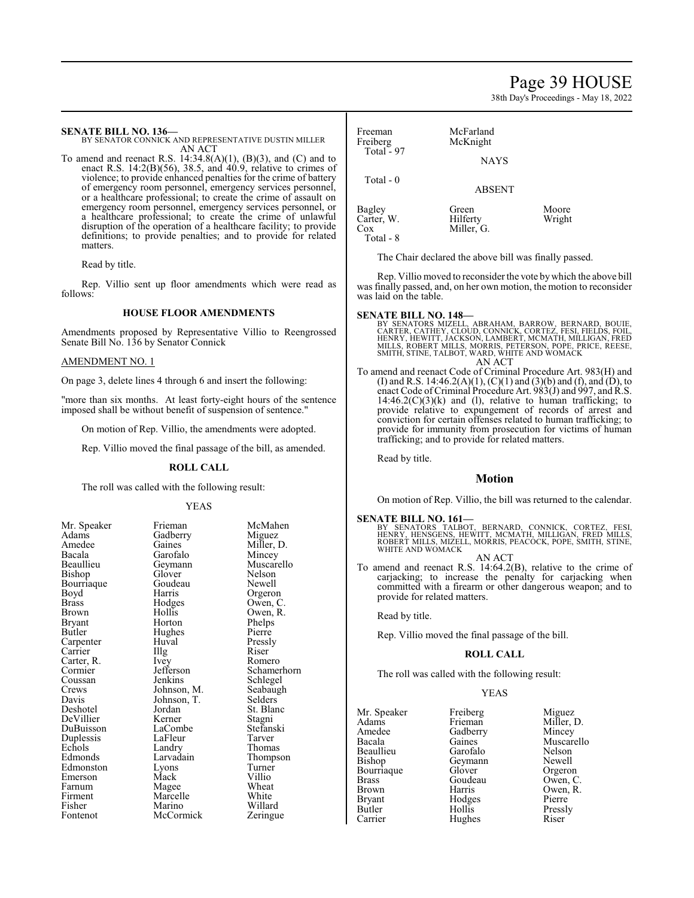### Page 39 HOUSE

38th Day's Proceedings - May 18, 2022

**SENATE BILL NO. 136—** BY SENATOR CONNICK AND REPRESENTATIVE DUSTIN MILLER

AN ACT To amend and reenact R.S.  $14:34.8(A)(1)$ ,  $(B)(3)$ , and  $(C)$  and to enact R.S. 14:2(B)(56), 38.5, and  $\overline{40.9}$ , relative to crimes of violence; to provide enhanced penalties for the crime of battery of emergency room personnel, emergency services personnel, or a healthcare professional; to create the crime of assault on emergency room personnel, emergency services personnel, or a healthcare professional; to create the crime of unlawful disruption of the operation of a healthcare facility; to provide definitions; to provide penalties; and to provide for related matters.

Read by title.

Rep. Villio sent up floor amendments which were read as follows:

#### **HOUSE FLOOR AMENDMENTS**

Amendments proposed by Representative Villio to Reengrossed Senate Bill No. 136 by Senator Connick

#### AMENDMENT NO. 1

On page 3, delete lines 4 through 6 and insert the following:

"more than six months. At least forty-eight hours of the sentence imposed shall be without benefit of suspension of sentence."

On motion of Rep. Villio, the amendments were adopted.

Rep. Villio moved the final passage of the bill, as amended.

#### **ROLL CALL**

The roll was called with the following result:

#### YEAS

| Mr. Speaker | Frieman     | McMahen    |
|-------------|-------------|------------|
| Adams       | Gadberry    | Miguez     |
| Amedee      | Gaines      | Miller, D. |
| Bacala      | Garofalo    | Mincey     |
| Beaullieu   | Geymann     | Muscarello |
| Bishop      | Glover      | Nelson     |
| Bourriaque  | Goudeau     | Newell     |
| Boyd        | Harris      | Orgeron    |
| Brass       | Hodges      | Owen, C.   |
| Brown       | Hollis      | Owen, R.   |
| Bryant      | Horton      | Phelps     |
| Butler      | Hughes      | Pierre     |
| Carpenter   | Huval       | Pressly    |
| Carrier     | Illg        | Riser      |
| Carter, R.  | Ivey        | Romero     |
| Cormier     | Jefferson   | Schamerho: |
| Coussan     | Jenkins     | Schlegel   |
| Crews       | Johnson, M. | Seabaugh   |
| Davis       | Johnson, T. | Selders    |
| Deshotel    | Jordan      | St. Blanc  |
| DeVillier   | Kerner      | Stagni     |
| DuBuisson   | LaCombe     | Stefanski  |
| Duplessis   | LaFleur     | Tarver     |
| Echols      | Landry      | Thomas     |
| Edmonds     | Larvadain   | Thompson   |
| Edmonston   | Lyons       | Turner     |
| Emerson     | Mack        | Villio     |
| Farnum      | Magee       | Wheat      |
| Firment     | Marcelle    | White      |
| Fisher      | Marino      | Willard    |
| Fontenot    | McCormick   | Zeringue   |

Dwen, C Schamerhorn Thompson<br>Turner Zeringue

Freeman McFarland<br>Freiberg McKnight McKnight Total  $-97$ NAYS Total - 0 ABSENT Bagley Green Moore<br>Carter, W. Hilferty Wright Carter, W.<br>Cox

The Chair declared the above bill was finally passed.

Miller, G.

Rep. Villio moved to reconsider the vote bywhich the above bill was finally passed, and, on her own motion, the motion to reconsider was laid on the table.

Total - 8

- **SENATE BILL NO. 148—**<br>BY SENATORS MIZELL, ABRAHAM, BARROW, BERNARD, BOUIE,<br>CARTER, CATHEY, CLOUD, CONNICK, CORTEZ, FESI, FIELDS, FOIL,<br>HENRY, HEWITT, JACKSON, LAMBERT, MCMATH, MILLIGAN, FRED MILLS, ROBERT MILLS, MORRIS, PETERSON, POPE, PRICE, REESE, SMITH, STINE, TALBOT, WARD, WHITE AND WOMACK AN ACT
- To amend and reenact Code of Criminal Procedure Art. 983(H) and (I) and R.S. 14:46.2(A)(1), (C)(1) and (3)(b) and (f), and (D), to enact Code of Criminal Procedure Art. 983(J) and 997, and R.S.  $14:46.2(C)(3)(k)$  and (1), relative to human trafficking; to provide relative to expungement of records of arrest and conviction for certain offenses related to human trafficking; to provide for immunity from prosecution for victims of human trafficking; and to provide for related matters.

Read by title.

#### **Motion**

On motion of Rep. Villio, the bill was returned to the calendar.

**SENATE BILL NO. 161—**<br>BY SENATORS TALBOT, BERNARD, CONNICK, CORTEZ, FESI,<br>HENRY, HENSGENS, HEWITT, MCMATH, MILLIGAN, FRED MILLS,<br>ROBERT MILLS, MIZELL, MORRIS, PEACOCK, POPE, SMITH, STINE, WHITE AND WOMACK

AN ACT To amend and reenact R.S. 14:64.2(B), relative to the crime of carjacking; to increase the penalty for carjacking when committed with a firearm or other dangerous weapon; and to provide for related matters.

Read by title.

Rep. Villio moved the final passage of the bill.

#### **ROLL CALL**

The roll was called with the following result:

YEAS

Mr. Speaker Freiberg Miguez<br>
Adams Frieman Miller Adams Frieman Miller, D.<br>Amedee Gadberry Mincey Amedee Gadberry Mincey<br>Bacala Gaines Muscar Bacala Gaines Muscarello<br>Beaullieu Garofalo Nelson Beaullieu Garofalo Nelson<br>Bishop Geymann Newell Bourriaque Glover Orgeron<br>Brass Goudeau Owen, C. Brass Goudeau<br>Brown Harris Brown Harris Owen, R.<br>Bryant Hodges Pierre Bryant Hodges Pierre<br>
Butler Hollis Pressly Butler Hollis Pressly Carrier Hughes Riser

Geymann Newell<br>Glover Orgeron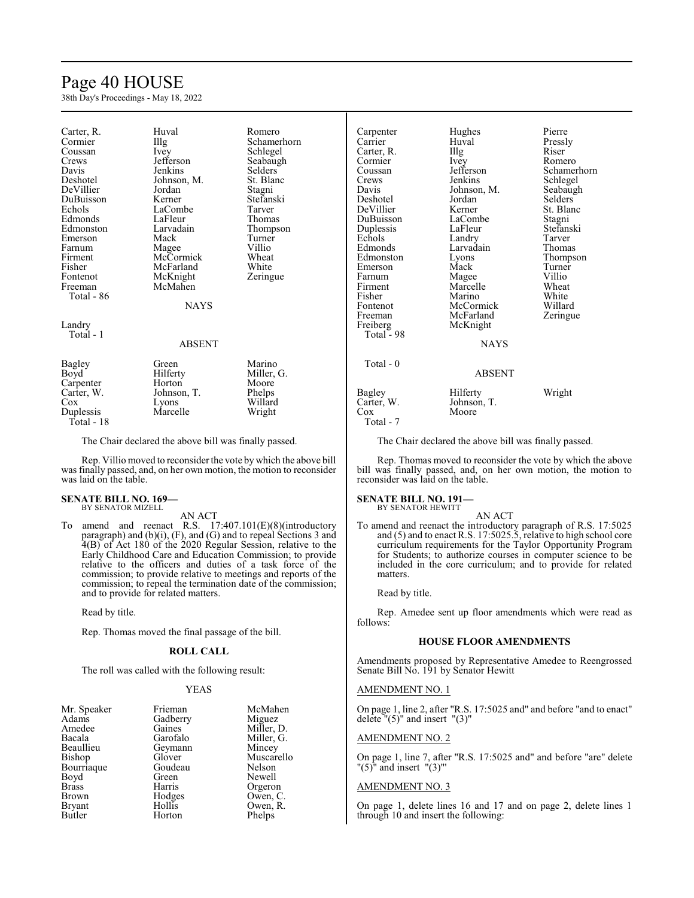### Page 40 HOUSE

38th Day's Proceedings - May 18, 2022

| Carter, R.<br>Cormier<br>Coussan<br>Crews<br>Davis<br>Deshotel<br>DeVillier<br>DuBuisson<br>Echols<br>Edmonds<br>Edmonston<br>Emerson<br>Farnum | Huval<br>Illg<br>Ivey<br>Jefferson<br>Jenkins<br>Johnson, M.<br>Jordan<br>Kerner<br>LaCombe<br>LaFleur<br>Larvadain<br>Mack<br>Magee | Romero<br>Schamerhorn<br>Schlegel<br>Seabaugh<br>Selders<br>St. Blanc<br>Stagni<br>Stefanski<br>Tarver<br>Thomas<br>Thompson<br>Turner<br>Villio |
|-------------------------------------------------------------------------------------------------------------------------------------------------|--------------------------------------------------------------------------------------------------------------------------------------|--------------------------------------------------------------------------------------------------------------------------------------------------|
| Firment                                                                                                                                         | McCormick                                                                                                                            | Wheat                                                                                                                                            |
| Fisher                                                                                                                                          | McFarland                                                                                                                            | White                                                                                                                                            |
| Fontenot                                                                                                                                        | McKnight                                                                                                                             | Zeringue                                                                                                                                         |
| Freeman<br>Total - 86                                                                                                                           | McMahen                                                                                                                              |                                                                                                                                                  |
|                                                                                                                                                 | <b>NAYS</b>                                                                                                                          |                                                                                                                                                  |
| Landry<br>Total - 1                                                                                                                             |                                                                                                                                      |                                                                                                                                                  |
|                                                                                                                                                 | ABSENT                                                                                                                               |                                                                                                                                                  |
| Bagley<br>Boyd<br>Carpenter<br>Carter, W.<br>Cox<br>Duplessis<br>Total - 18                                                                     | Green<br>Hilferty<br>Horton<br>Johnson, T.<br>Lyons<br>Marcelle                                                                      | Marino<br>Miller, G.<br>Moore<br>Phelps<br>Willard<br>Wright                                                                                     |

The Chair declared the above bill was finally passed.

Rep. Villio moved to reconsider the vote by which the above bill was finally passed, and, on her own motion, the motion to reconsider was laid on the table.

#### **SENATE BILL NO. 169—** BY SENATOR MIZELL

AN ACT

To amend and reenact R.S. 17:407.101(E)(8)(introductory paragraph) and (b)(i), (F), and (G) and to repeal Sections 3 and 4(B) of Act 180 of the 2020 Regular Session, relative to the Early Childhood Care and Education Commission; to provide relative to the officers and duties of a task force of the commission; to provide relative to meetings and reports of the commission; to repeal the termination date of the commission; and to provide for related matters.

Read by title.

Rep. Thomas moved the final passage of the bill.

#### **ROLL CALL**

The roll was called with the following result:

#### YEAS

| Mr. Speaker   | Frieman  | McMahen    |
|---------------|----------|------------|
| Adams         | Gadberry | Miguez     |
| Amedee        | Gaines   | Miller, D. |
| Bacala        | Garofalo | Miller, G. |
| Beaullieu     | Geymann  | Mincey     |
| Bishop        | Glover   | Muscarello |
| Bourriaque    | Goudeau  | Nelson     |
| Boyd          | Green    | Newell     |
| <b>Brass</b>  | Harris   | Orgeron    |
| <b>Brown</b>  | Hodges   | Owen, C.   |
| <b>Bryant</b> | Hollis   | Owen, R.   |
| Butler        | Horton   | Phelps     |

| Carpenter              | Hughes        | Pierre         |
|------------------------|---------------|----------------|
| Carrier                | Huval         | Pressly        |
| Carter, R.             | Illg          | Riser          |
| Cormier                | Ivey          | Romero         |
| Coussan                | Jefferson     | Schamerhorn    |
| Crews                  | Jenkins       | Schlegel       |
| Davis                  | Johnson, M.   | Seabaugh       |
| Deshotel               | Jordan        | <b>Selders</b> |
| DeVillier              | Kerner        | St. Blanc      |
| DuBuisson              | LaCombe       | Stagni         |
| Duplessis              | LaFleur       | Stefanski      |
| Echols                 | Landry        | Tarver         |
| Edmonds                | Larvadain     | Thomas         |
| Edmonston              | Lyons         | Thompson       |
| Emerson                | Mack          | Turner         |
| Farnum                 | Magee         | Villio         |
| Firment                | Marcelle      | Wheat          |
| Fisher                 | Marino        | White          |
| Fontenot               | McCormick     | Willard        |
|                        | McFarland     |                |
| Freeman                |               | Zeringue       |
| Freiberg<br>Total - 98 | McKnight      |                |
|                        | <b>NAYS</b>   |                |
|                        |               |                |
| Total - 0              |               |                |
|                        | <b>ABSENT</b> |                |
| Bagley                 | Hilferty      | Wright         |
| Carter, W.             | Johnson, T.   |                |
| Cox                    | Moore         |                |

The Chair declared the above bill was finally passed.

Rep. Thomas moved to reconsider the vote by which the above bill was finally passed, and, on her own motion, the motion to reconsider was laid on the table.

#### **SENATE BILL NO. 191—** BY SENATOR HEWITT

Total - 7

AN ACT

To amend and reenact the introductory paragraph of R.S. 17:5025 and (5) and to enact R.S. 17:5025.5, relative to high school core curriculum requirements for the Taylor Opportunity Program for Students; to authorize courses in computer science to be included in the core curriculum; and to provide for related matters.

Read by title.

Rep. Amedee sent up floor amendments which were read as follows:

#### **HOUSE FLOOR AMENDMENTS**

Amendments proposed by Representative Amedee to Reengrossed Senate Bill No. 191 by Senator Hewitt

#### AMENDMENT NO. 1

On page 1, line 2, after "R.S. 17:5025 and" and before "and to enact" delete  $"(5)"$  and insert  $"(3)"$ 

#### AMENDMENT NO. 2

On page 1, line 7, after "R.S. 17:5025 and" and before "are" delete " $(5)$ " and insert " $(3)$ "

#### AMENDMENT NO. 3

On page 1, delete lines 16 and 17 and on page 2, delete lines 1 through 10 and insert the following: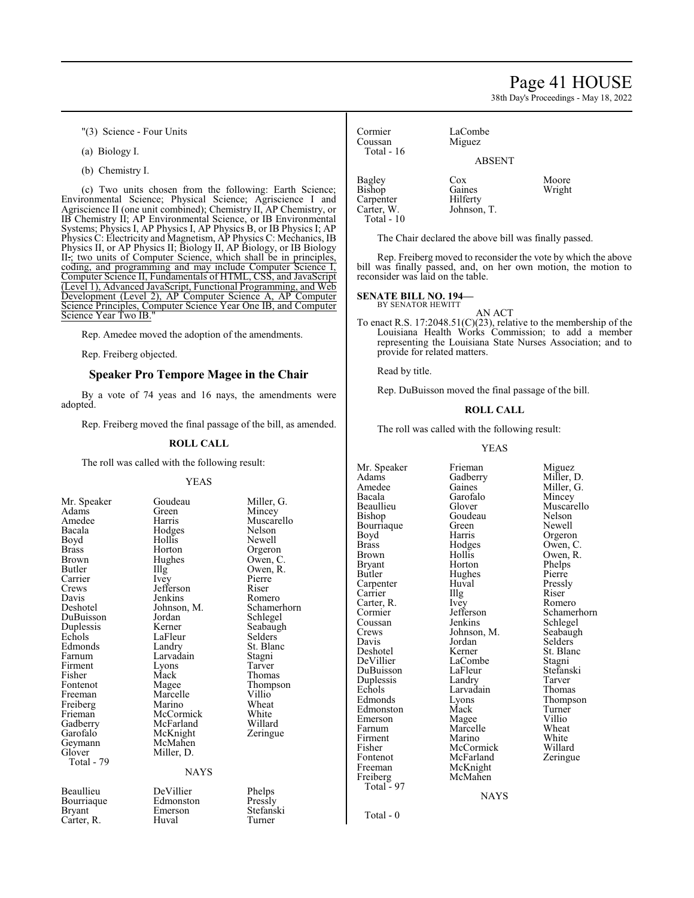### Page 41 HOUSE

38th Day's Proceedings - May 18, 2022

"(3) Science - Four Units

(a) Biology I.

(b) Chemistry I.

(c) Two units chosen from the following: Earth Science; Environmental Science; Physical Science; Agriscience I and Agriscience II (one unit combined); Chemistry II, AP Chemistry, or IB Chemistry II; AP Environmental Science, or IB Environmental Systems; Physics I, AP Physics I, AP Physics B, or IB Physics I; AP Physics C: Electricity and Magnetism, AP Physics C: Mechanics, IB Physics II, or AP Physics II; Biology II, AP Biology, or IB Biology II.; two units of Computer Science, which shall be in principles, coding, and programming and may include Computer Science I, Computer Science II, Fundamentals of HTML, CSS, and JavaScript (Level 1), Advanced JavaScript, Functional Programming, and Web Development (Level 2), AP Computer Science A, AP Computer Science Principles, Computer Science Year One IB, and Computer Science Year Two IB."

Rep. Amedee moved the adoption of the amendments.

Rep. Freiberg objected.

#### **Speaker Pro Tempore Magee in the Chair**

By a vote of 74 yeas and 16 nays, the amendments were adopted.

Rep. Freiberg moved the final passage of the bill, as amended.

#### **ROLL CALL**

The roll was called with the following result:

#### YEAS

Mr. Speaker Goudeau Miller, G.<br>Adams Green Mincey Adams Green Mincey Amedee Harris Muscarello<br>
Bacala Hodges Nelson Bacala Hodges Nelson Boyd Hollis Newell Brass Horton Orgeron Brown Hughes Owen, C Brown Hughes Owen, C.<br>Butler IIIg Owen, R. Butler IIIg Owen, R.<br>Carrier Ivev Pierre Carrier Ivey Pierre Crews Jefferson Riser<br>
Davis Jenkins Romero Davis Jenkins<br>Deshotel Johnson, M. Deshotel Johnson, M. Schamerhorn<br>DuBuisson Jordan Schlegel Duplessis Kerner Seabaugh<br>Echols LaFleur Selders Edmonds Landry St. Bla<br>
Farnum Larvadain Stagni Farnum Larvadain Stagni<br>Firment Lyons Tarver Firment Lyons<br>Fisher Mack Fisher Mack Thomas<br>
Fontenot Magee Thomps Fontenot Magee Thompson<br>
Freeman Marcelle Villio Freiberg Marino Wheat<br>
Frieman McCormick White Frieman McCormick White<br>Gadberry McFarland Willard Gadberry McFarland Willard<br>Garofalo McKnight Zeringue Garofalo McKnight<br>Geymann McMahen Geymann McMahen<br>Glover Miller, D. Total - 79 Beaullieu DeVillier Phelps<br>Bourriaque Edmonston Pressly Bourriaque Edmonston<br>Brvant Emerson

Carter, R.

Jordan Schlegel<br>Kerner Seabaugh LaFleur Selders<br>
Landry St. Blanc Marcelle Villio<sup>V</sup><br>Marino Wheat Miller, D. NAYS

Emerson Stefanski<br>Huval Turner

Cormier LaCombe<br>Coussan Miguez Total - 16 Bagley Cox Moore<br>Bishop Gaines Wright Bishop Gaines<br>Carpenter Hilferty

Carpenter<br>Carter, W

Total - 10

ABSENT

The Chair declared the above bill was finally passed.

Johnson, T.

Miguez

Rep. Freiberg moved to reconsider the vote by which the above bill was finally passed, and, on her own motion, the motion to reconsider was laid on the table.

#### **SENATE BILL NO. 194—**

BY SENATOR HEWITT

AN ACT To enact R.S. 17:2048.51(C)(23), relative to the membership of the Louisiana Health Works Commission; to add a member representing the Louisiana State Nurses Association; and to provide for related matters.

Read by title.

Rep. DuBuisson moved the final passage of the bill.

#### **ROLL CALL**

The roll was called with the following result:

#### YEAS

Mr. Speaker Frieman Miguez<br>Adams Gadberry Miller, D. Adams Gadberry<br>Amedee Gaines Bacala Garofalo<br>Beaullieu Glover Bourriaque Green<br>Boyd Harris Carter, R. Ivey<br>Cormier Jefferson Freiberg Total  $-97$ 

Bishop Goudeau Nelson<br>Bourriaque Green Newell Boyd **Harris** Orgeron<br>Brass Hodges Owen, C Brass Hodges Owen, C. Brown Hollis Owen, R.<br>Bryant Horton Phelps Bryant Horton Phelps<br>Butler Hughes Pierre Hughes Pierre<br>Huval Pressly Carpenter Huval Press<br>Carrier Huyal Riser Carrier Illg Riser<br>Carter. R. Ivev Romero Coussan Jenkins Schlegel<br>Crews Johnson, M. Seabaugh Crews Johnson, M. Seabaughter Seabaughter Seabaughter Seabaughter Seabaughter Seabaughter Seabaughter Seabaughter Seabaughter Seabaughter Seabaughter Seabaughter Seabaughter Seabaughter Seabaughter Seabaughter Seabaughter Davis Jordan Selders Deshotel Kerner St. Blanc<br>DeVillier LaCombe Stagni LaCombe<br>
LaFleur Stefanski DuBuisson LaFleur Stefans<br>Duplessis Landry Tarver Duplessis Landry Tarver Echols Larvadain<br>Edmonds Lyons Edmonston Mack Turner<br>Emerson Magee Villio Emerson Magee Villio<br>Farnum Marcelle Wheat Farnum Marcelle Wheat<br>Firment Marino White Firment Marino White<br>
Fisher McCormick Willard Fisher McCormick Willard<br>Fontenot McFarland Zeringue Fontenot McFarland<br>Freeman McKnight McKnight<br>McMahen

Amedee Gaines Miller, G.<br>Bacala Garofalo Mincey Glover Muscarello<br>Goudeau Nelson Cormier Jefferson Schamerhorn<br>
Coussan Jenkins Schlegel Eyons Thompson<br>
Mack Turner

**NAYS** 

Total - 0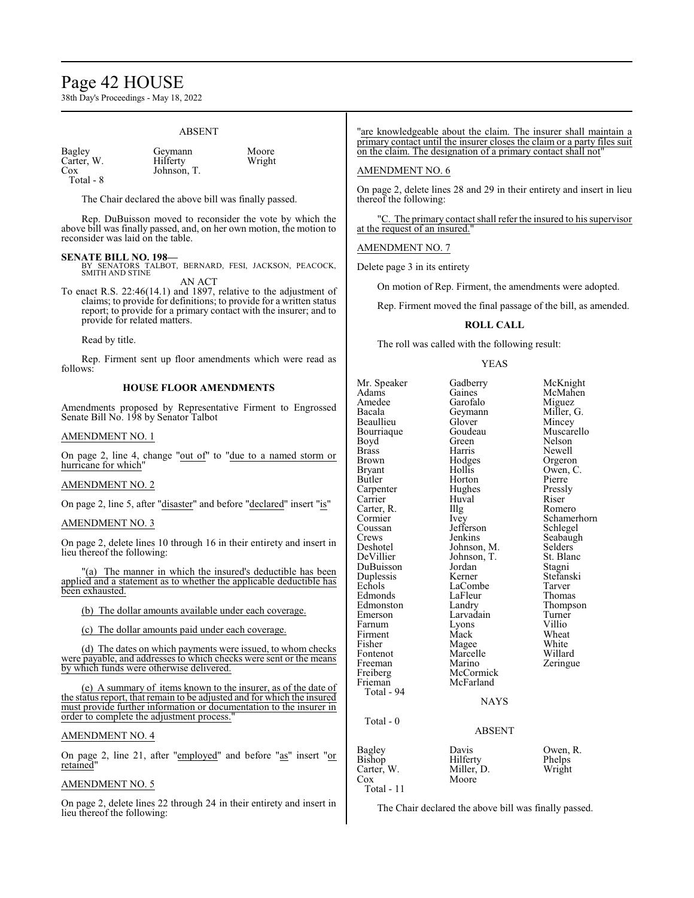### Page 42 HOUSE

38th Day's Proceedings - May 18, 2022

#### ABSENT

Carter, W.<br>Cox Total - 8

Bagley Geymann Moore<br>Carter, W. Hilferty Wright Johnson, T.

The Chair declared the above bill was finally passed.

Rep. DuBuisson moved to reconsider the vote by which the above bill was finally passed, and, on her own motion, the motion to reconsider was laid on the table.

#### **SENATE BILL NO. 198—**

- BY SENATORS TALBOT, BERNARD, FESI, JACKSON, PEACOCK, SMITH AND STINE AN ACT
- To enact R.S. 22:46(14.1) and 1897, relative to the adjustment of claims; to provide for definitions; to provide for a written status report; to provide for a primary contact with the insurer; and to provide for related matters.

Read by title.

Rep. Firment sent up floor amendments which were read as follows:

#### **HOUSE FLOOR AMENDMENTS**

Amendments proposed by Representative Firment to Engrossed Senate Bill No. 198 by Senator Talbot

#### AMENDMENT NO. 1

On page 2, line 4, change "out of" to "due to a named storm or hurricane for which"

#### AMENDMENT NO. 2

On page 2, line 5, after "disaster" and before "declared" insert "is"

#### AMENDMENT NO. 3

On page 2, delete lines 10 through 16 in their entirety and insert in lieu thereof the following:

"(a) The manner in which the insured's deductible has been applied and a statement as to whether the applicable deductible has been exhausted.

(b) The dollar amounts available under each coverage.

(c) The dollar amounts paid under each coverage.

(d) The dates on which payments were issued, to whom checks were payable, and addresses to which checks were sent or the means by which funds were otherwise delivered.

(e) A summary of items known to the insurer, as of the date of the status report, that remain to be adjusted and for which the insured must provide further information or documentation to the insurer in order to complete the adjustment process.

#### AMENDMENT NO. 4

On page 2, line 21, after "employed" and before "as" insert "or retained"

#### AMENDMENT NO. 5

On page 2, delete lines 22 through 24 in their entirety and insert in lieu thereof the following:

#### 'are knowledgeable about the claim. The insurer shall maintain a primary contact until the insurer closes the claim or a party files suit on the claim. The designation of a primary contact shall not"

#### AMENDMENT NO. 6

On page 2, delete lines 28 and 29 in their entirety and insert in lieu thereof the following:

"C. The primary contact shall refer the insured to his supervisor at the request of an insured.

#### AMENDMENT NO. 7

Delete page 3 in its entirety

On motion of Rep. Firment, the amendments were adopted.

Rep. Firment moved the final passage of the bill, as amended.

#### **ROLL CALL**

The roll was called with the following result:

#### YEAS

| Mr. Speaker<br>Adams<br>Amedee<br>Bacala<br>Beaullieu<br>Bourriaque<br>Boyd<br><b>Brass</b><br><b>Brown</b><br><b>Bryant</b><br>Butler<br>Carpenter<br>Carrier<br>Carter, R.<br>Cormier<br>Coussan<br>Crews<br>Deshotel<br>DeVillier<br>DuBuisson<br>Duplessis<br>Echols<br>Edmonds<br>Edmonston<br>Emerson<br>Farnum<br>Firment<br>Fisher<br>Fontenot<br>Freeman<br>Freiberg<br>Frieman | Gadberry<br>Gaines<br>Garofalo<br>Geymann<br>Glover<br>Goudeau<br>Green<br>Harris<br>Hodges<br>Hollis<br>Horton<br>Hughes<br>Huval<br>IIIg<br>Ivey<br>Jefferson<br>Jenkins<br>Johnson, M.<br>Johnson, T.<br>Jordan<br>Kerner<br>LaCombe<br>LaFleur<br>Landry<br>Larvadain<br>Lyons<br>Mack<br>Magee<br>Marcelle<br>Marino<br>McCormick<br>McFarland | McKnight<br>McMahen<br>Miguez<br>Miller, G.<br>Mincey<br>Muscarello<br><b>Nelson</b><br>Newell<br>Orgeron<br>Owen, C.<br>Pierre<br>Pressly<br>Riser<br>Romero<br>Schamerhorn<br>Schlegel<br>Seabaugh<br>Selders<br>St. Blanc<br>Stagni<br>Stefanski<br>Tarver<br>Thomas<br>Thompson<br>Turner<br>Villio<br>Wheat<br>White<br>Willard<br>Zeringue |
|------------------------------------------------------------------------------------------------------------------------------------------------------------------------------------------------------------------------------------------------------------------------------------------------------------------------------------------------------------------------------------------|-----------------------------------------------------------------------------------------------------------------------------------------------------------------------------------------------------------------------------------------------------------------------------------------------------------------------------------------------------|--------------------------------------------------------------------------------------------------------------------------------------------------------------------------------------------------------------------------------------------------------------------------------------------------------------------------------------------------|
| Total - 94                                                                                                                                                                                                                                                                                                                                                                               | <b>NAYS</b>                                                                                                                                                                                                                                                                                                                                         |                                                                                                                                                                                                                                                                                                                                                  |
| Total - $0$                                                                                                                                                                                                                                                                                                                                                                              | <b>ABSENT</b>                                                                                                                                                                                                                                                                                                                                       |                                                                                                                                                                                                                                                                                                                                                  |
| Bagley<br>Bishop<br>Carter, W.<br>Cox                                                                                                                                                                                                                                                                                                                                                    | Davis<br>Hilferty<br>Miller, D.<br>Moore                                                                                                                                                                                                                                                                                                            | Owen, R.<br>Phelps<br>Wright                                                                                                                                                                                                                                                                                                                     |

Total - 11

The Chair declared the above bill was finally passed.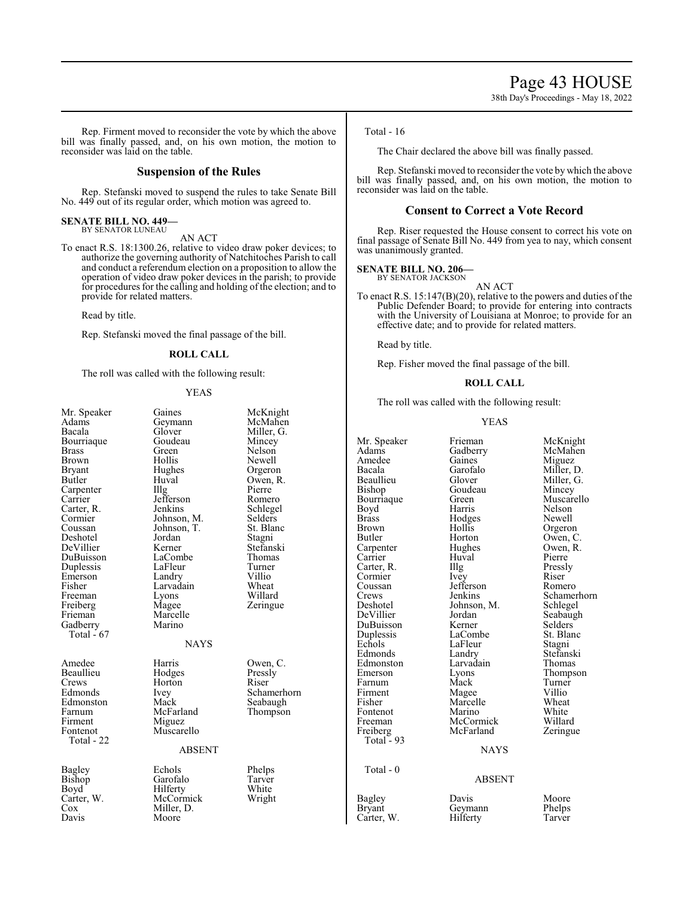Rep. Firment moved to reconsider the vote by which the above bill was finally passed, and, on his own motion, the motion to reconsider was laid on the table.

#### **Suspension of the Rules**

Rep. Stefanski moved to suspend the rules to take Senate Bill No. 449 out of its regular order, which motion was agreed to.

#### **SENATE BILL NO. 449—** BY SENATOR LUNEAU

AN ACT

To enact R.S. 18:1300.26, relative to video draw poker devices; to authorize the governing authority of Natchitoches Parish to call and conduct a referendum election on a proposition to allow the operation of video draw poker devices in the parish; to provide for procedures for the calling and holding of the election; and to provide for related matters.

Read by title.

Rep. Stefanski moved the final passage of the bill.

#### **ROLL CALL**

The roll was called with the following result:

#### YEAS

| Mr. Speaker<br>Adams<br>Bacala<br>Bourriaque<br>Brass<br>Brown<br>Bryant<br>Butler<br>Carpenter<br>Carrier<br>Carter, R.<br>Cormier<br>Coussan<br>Deshotel<br>DeVillier<br>DuBuisson<br>Duplessis<br>Emerson<br>Fisher<br>Freeman<br>Freiberg<br>Frieman<br>Gadberry<br>Total $-67$ | Gaines<br>Geymann<br>Glover<br>Goudeau<br>Green<br>Hollis<br>Hughes<br>Huval<br>Illg<br>Jefferson<br>Jenkins<br>Johnson, M.<br>Johnson, T.<br>Jordan<br>Kerner<br>LaCombe<br>LaFleur<br>Landry<br>Larvadain<br>Lyons<br>Magee<br>Marcelle<br>Marino | McKnight<br>McMahen<br>Miller, G.<br>Mincey<br>Nelson<br>Newell<br>Orgeron<br>Owen, R.<br>Pierre<br>Romero<br>Schlegel<br>Selders<br>St. Blanc<br>Stagni<br>Stefanski<br>Thomas<br>Turner<br>Villio<br>Wheat<br>Willard<br>Zeringue |
|-------------------------------------------------------------------------------------------------------------------------------------------------------------------------------------------------------------------------------------------------------------------------------------|-----------------------------------------------------------------------------------------------------------------------------------------------------------------------------------------------------------------------------------------------------|-------------------------------------------------------------------------------------------------------------------------------------------------------------------------------------------------------------------------------------|
| Amedee<br>Beaullieu<br>Crews<br>Edmonds<br>Edmonston<br>Farnum<br>Firment<br>Fontenot<br>Total - 22                                                                                                                                                                                 | <b>NAYS</b><br>Harris<br>Hodges<br>Horton<br>Ivey<br>Mack<br>McFarland<br>Miguez<br>Muscarello<br><b>ABSENT</b>                                                                                                                                     | Owen, C.<br>Pressly<br>Riser<br>Schamerhorn<br>Seabaugh<br>Thompson                                                                                                                                                                 |
| Bagley<br>Bishop<br>Boyd<br>Carter, W.<br>Cox<br>Davis                                                                                                                                                                                                                              | Echols<br>Garofalo<br>Hilferty<br>McCormick<br>Miller, D.<br>Moore                                                                                                                                                                                  | Phelps<br>Tarver<br>White<br>Wright                                                                                                                                                                                                 |

Total - 16

The Chair declared the above bill was finally passed.

Rep. Stefanski moved to reconsider the vote by which the above bill was finally passed, and, on his own motion, the motion to reconsider was laid on the table.

#### **Consent to Correct a Vote Record**

Rep. Riser requested the House consent to correct his vote on final passage of Senate Bill No. 449 from yea to nay, which consent was unanimously granted.

#### **SENATE BILL NO. 206—**

BY SENATOR JACKSON

AN ACT To enact R.S. 15:147(B)(20), relative to the powers and duties of the Public Defender Board; to provide for entering into contracts with the University of Louisiana at Monroe; to provide for an effective date; and to provide for related matters.

Read by title.

Rep. Fisher moved the final passage of the bill.

#### **ROLL CALL**

The roll was called with the following result:

#### YEAS

| ler, G.    |               |               |             |
|------------|---------------|---------------|-------------|
| cey        | Mr. Speaker   | Frieman       | McKnight    |
| son        | Adams         | Gadberry      | McMahen     |
| vell       | Amedee        | Gaines        | Miguez      |
| eron       | Bacala        | Garofalo      | Miller, D.  |
| en, R.     | Beaullieu     | Glover        | Miller, G.  |
| re         | Bishop        | Goudeau       | Mincey      |
| nero       | Bourriaque    | Green         | Muscarello  |
| legel      | Boyd          | Harris        | Nelson      |
| lers       | <b>Brass</b>  | Hodges        | Newell      |
| 3lanc      | <b>Brown</b>  | Hollis        | Orgeron     |
| mi         | Butler        | Horton        | Owen, C.    |
| anski      | Carpenter     | Hughes        | Owen, R.    |
| mas        | Carrier       | Huval         | Pierre      |
| ner        | Carter, R.    | Illg          | Pressly     |
| io         | Cormier       | Ivey          | Riser       |
| eat        | Coussan       | Jefferson     | Romero      |
| lard       | Crews         | Jenkins       | Schamerhorn |
| ngue       | Deshotel      | Johnson, M.   | Schlegel    |
|            | DeVillier     | Jordan        | Seabaugh    |
|            | DuBuisson     | Kerner        | Selders     |
|            | Duplessis     | LaCombe       | St. Blanc   |
|            | Echols        | LaFleur       | Stagni      |
|            | Edmonds       | Landry        | Stefanski   |
| en, C.     | Edmonston     | Larvadain     | Thomas      |
| sly        | Emerson       | Lyons         | Thompson    |
| P.         | Farnum        | Mack          | Turner      |
| amerhorn   | Firment       | Magee         | Villio      |
| oaugh      | Fisher        | Marcelle      | Wheat       |
| mpson      | Fontenot      | Marino        | White       |
|            | Freeman       | McCormick     | Willard     |
|            | Freiberg      | McFarland     | Zeringue    |
|            | Total - 93    |               |             |
|            |               | <b>NAYS</b>   |             |
| lps        | Total - 0     |               |             |
| /er<br>ite |               | <b>ABSENT</b> |             |
| ght        | Bagley        | Davis         | Moore       |
|            | <b>Bryant</b> | Geymann       | Phelps      |
|            | Carter, W.    | Hilferty      | Tarver      |
|            |               |               |             |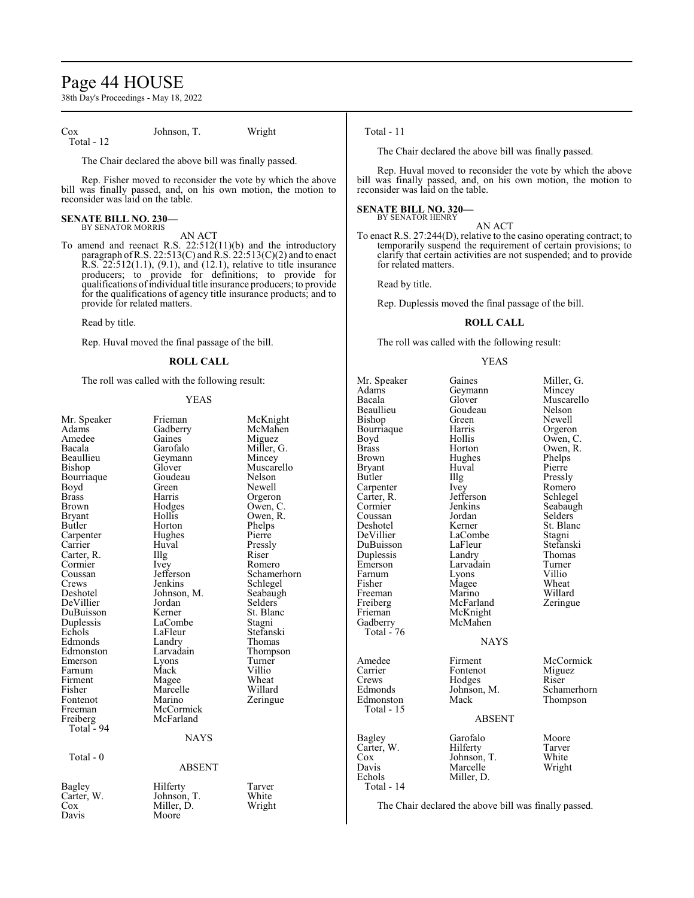### Page 44 HOUSE

38th Day's Proceedings - May 18, 2022

Cox Johnson, T. Wright Total - 12

The Chair declared the above bill was finally passed.

Rep. Fisher moved to reconsider the vote by which the above bill was finally passed, and, on his own motion, the motion to reconsider was laid on the table.

#### **SENATE BILL NO. 230—** BY SENATOR MORRIS

AN ACT

To amend and reenact R.S. 22:512(11)(b) and the introductory paragraph of R.S. 22:513(C) and R.S. 22:513(C)(2) and to enact R.S. 22:512(1.1), (9.1), and (12.1), relative to title insurance producers; to provide for definitions; to provide for qualifications ofindividual title insurance producers; to provide for the qualifications of agency title insurance products; and to provide for related matters.

Read by title.

Rep. Huval moved the final passage of the bill.

#### **ROLL CALL**

The roll was called with the following result:

#### YEAS

| Mr. Speaker          | Frieman       | McKnight    |
|----------------------|---------------|-------------|
| Adams                | Gadberry      | McMahen     |
| Amedee               | Gaines        | Miguez      |
| Bacala               | Garofalo      | Miller, G.  |
| Beaullieu            | Geymann       | Mincey      |
| Bishop               | Glover        | Muscarello  |
| Bourriaque           | Goudeau       | Nelson      |
| Boyd                 | Green         | Newell      |
| Brass                | Harris        | Orgeron     |
| <b>Brown</b>         | Hodges        | Owen, C.    |
| <b>Bryant</b>        | Hollis        | Owen, R.    |
| Butler               | Horton        | Phelps      |
| Carpenter            | Hughes        | Pierre      |
| Carrier              | Huval         | Pressly     |
| Carter, R.           | Illg          | Riser       |
| Cormier              | Ivey          | Romero      |
| Coussan              | Jefferson     | Schamerhorn |
| Crews                | Jenkins       | Schlegel    |
| Deshotel             | Johnson, M.   | Seabaugh    |
| DeVillier            | Jordan        | Selders     |
| DuBuisson            | Kerner        | St. Blanc   |
| Duplessis            | LaCombe       | Stagni      |
| Echols               | LaFleur       | Stefanski   |
| Edmonds              | Landry        | Thomas      |
| Edmonston            | Larvadain     | Thompson    |
| Emerson              | Lyons         | Turner      |
| Farnum               | Mack          | Villio      |
| Firment              | Magee         | Wheat       |
| Fisher               | Marcelle      | Willard     |
| Fontenot             | Marino        | Zeringue    |
| Freeman              | McCormick     |             |
| Freiberg             | McFarland     |             |
| Total $-94$          |               |             |
|                      | <b>NAYS</b>   |             |
| Total - 0            |               |             |
|                      | <b>ABSENT</b> |             |
|                      | Hilferty      | Tarver      |
| Bagley<br>Carter, W. | Johnson, T.   | White       |
| Cox                  | Miller, D.    | Wright      |
| Davis                | Moore         |             |
|                      |               |             |
|                      |               |             |

#### Total - 11

The Chair declared the above bill was finally passed.

Rep. Huval moved to reconsider the vote by which the above bill was finally passed, and, on his own motion, the motion to reconsider was laid on the table.

#### **SENATE BILL NO. 320—** BY SENATOR HENRY

AN ACT

To enact R.S. 27:244(D), relative to the casino operating contract; to temporarily suspend the requirement of certain provisions; to clarify that certain activities are not suspended; and to provide for related matters.

Read by title.

Rep. Duplessis moved the final passage of the bill.

#### **ROLL CALL**

The roll was called with the following result:

#### YEAS

Mr. Speaker Gaines Miller, G. Adams Geymann<br>Bacala Glover Beaullieu Goudeau Nelson<br>Bishop Green Newell Bishop Green Newell<br>Bourriaque Harris Orgeron Bourriaque Harris<br>Boyd Hollis Boyd Hollis Owen, C.<br>Brass Horton Owen, R. Brass Horton Owen, R.<br>Brown Hughes Phelps Phelps Hughes Phelps<br>Huval Pierre Bryant Huv<br>Butler Hllg Carpenter Ivey Romero<br>Carter, R. Jefferson Schlegel Carter, R. Jefferson Schwarter, R. September 31, 1987 Coussan Jordan<br>Deshotel Kerner Deshotel Kerner St. Blanc<br>DeVillier LaCombe Stagni DuBuisson LaFleur Stefanski Duplessis Landry Thoma<br>
Emerson Larvadain Turner Larvadain Turner<br>Lyons Villio Farnum Lyons Villio<br>
Fisher Magee Wheat Fisher Magee Wheat<br>
Freeman Marino Willard Freeman Marino<br>Freiberg McFarland Freiberg McFarland Zeringue<br>
Frieman McKnight Frieman McKnight<br>Gadberry McMahen McMahen Total -  $76$ Amedee Firment McCormick<br>Carrier Fontenot Miguez Carrier Fontenot Migue<br>Crews Hodges Riser Crews Hodges<br>Edmonds Johnson, M. Edmonston Total - 15 Bagley Garofalo Moore<br>Carter, W. Hilferty Tarver Carter, W. Hilferty Tarver<br>
Cox Johnson, T. White Cox Johnson, T. White<br>Davis Marcelle Wright Davis Marcelle<br>
Fchols Miller D Miller, D.

Glover Muscarello<br>Goudeau Nelson Illg Pressly<br>Ivey Romero Jenkins Seabaugh<br>Jordan Selders LaCombe<br>LaFleur Stagni<br>Stefanski

#### NAYS

Johnson, M. Schamerhorn<br>Mack Thompson

Total - 14

ABSENT

The Chair declared the above bill was finally passed.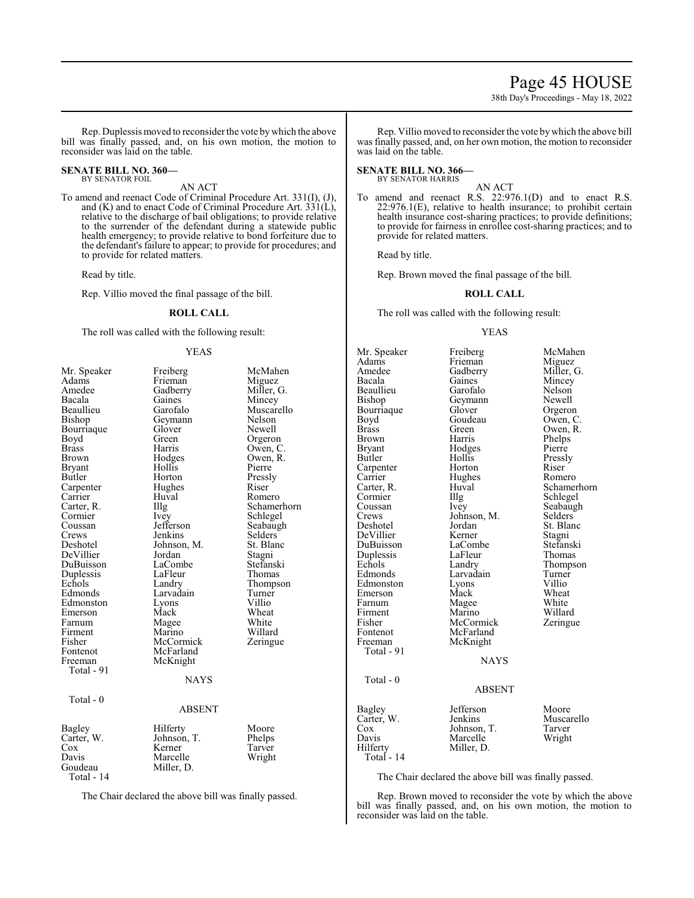### Page 45 HOUSE

38th Day's Proceedings - May 18, 2022

McMahen **Miguez** Miller, G. Mincey Nelson Newell Orgeron Owen, C. Owen, R. Phelps Pierre Pressly<br>Riser

Romero Schamerhorn Schlegel Seabaugh Selders<sup>'</sup> St. Blanc Stagni Stefanski Thomas Thompson Turner<br>Villio

Wheat White Willard Zeringue

Rep. Duplessis moved to reconsider the vote bywhich the above bill was finally passed, and, on his own motion, the motion to reconsider was laid on the table.

#### **SENATE BILL NO. 360—** BY SENATOR FOIL

AN ACT

To amend and reenact Code of Criminal Procedure Art. 331(I), (J), and (K) and to enact Code of Criminal Procedure Art.  $331(L)$ , relative to the discharge of bail obligations; to provide relative to the surrender of the defendant during a statewide public health emergency; to provide relative to bond forfeiture due to the defendant's failure to appear; to provide for procedures; and to provide for related matters.

Read by title.

Rep. Villio moved the final passage of the bill.

#### **ROLL CALL**

The roll was called with the following result:

#### YEAS

| Mr. Speaker | Freiberg      | McMahen     |
|-------------|---------------|-------------|
| Adams       | Frieman       | Miguez      |
| Amedee      | Gadberry      | Miller, G.  |
| Bacala      | Gaines        | Mincey      |
| Beaullieu   | Garofalo      | Muscarello  |
| Bishop      | Geymann       | Nelson      |
| Bourriaque  | Glover        | Newell      |
| Boyd        | Green         | Orgeron     |
| Brass       | Harris        | Owen, C.    |
| Brown       | Hodges        | Owen, R.    |
| Bryant      | Hollis        | Pierre      |
| Butler      | Horton        | Pressly     |
| Carpenter   | Hughes        | Riser       |
| Carrier     | Huval         | Romero      |
| Carter, R.  | Illg          | Schamerhorn |
| Cormier     | <i>lvey</i>   | Schlegel    |
| Coussan     | Jefferson     | Seabaugh    |
| Crews       | Jenkins       | Selders     |
| Deshotel    | Johnson, M.   | St. Blanc   |
| DeVillier   | Jordan        | Stagni      |
| DuBuisson   | LaCombe       | Stefanski   |
| Duplessis   | LaFleur       | Thomas      |
| Echols      | Landry        | Thompson    |
| Edmonds     | Larvadain     | Turner      |
| Edmonston   | Lyons         | Villio      |
| Emerson     | Mack          | Wheat       |
| Farnum      | Magee         | White       |
| Firment     | Marino        | Willard     |
| Fisher      | McCormick     | Zeringue    |
| Fontenot    | McFarland     |             |
| Freeman     | McKnight      |             |
| Total - 91  |               |             |
|             | <b>NAYS</b>   |             |
|             |               |             |
| Total - 0   |               |             |
|             | <b>ABSENT</b> |             |
| Bagley      | Hilferty      | Moore       |
| Carter, W.  | Johnson, T.   | Phelps      |
| Cox         | Kerner        | Tarver      |
| Davis       | Marcelle      | Wright      |
| Goudeau     | Miller, D.    |             |
| Total - 14  |               |             |

The Chair declared the above bill was finally passed.

Rep. Villio moved to reconsider the vote bywhich the above bill was finally passed, and, on her own motion, the motion to reconsider was laid on the table.

#### **SENATE BILL NO. 366—** BY SENATOR HARRIS

AN ACT

To amend and reenact R.S. 22:976.1(D) and to enact R.S. 22:976.1(E), relative to health insurance; to prohibit certain health insurance cost-sharing practices; to provide definitions; to provide for fairness in enrollee cost-sharing practices; and to provide for related matters.

Read by title.

Rep. Brown moved the final passage of the bill.

#### **ROLL CALL**

The roll was called with the following result:

#### YEAS

| Mr. Speaker  | Freiberg      | McMa    |
|--------------|---------------|---------|
| Adams        | Frieman       | Migue   |
| Amedee       | Gadberry      | Miller. |
| Bacala       | Gaines        | Mince   |
| Beaullieu    | Garofalo      | Nelsor  |
| Bishop       | Geymann       | Newel   |
| Bourriaque   | Glover        | Orgero  |
| Boyd         | Goudeau       | Owen,   |
| <b>Brass</b> | Green         | Owen,   |
| Brown        | Harris        | Phelps  |
| Bryant       | Hodges        | Pierre  |
| Butler       | Hollis        | Pressly |
| Carpenter    | Horton        | Riser   |
| Carrier      | Hughes        | Romer   |
| Carter, R.   | Huval         | Scham   |
| Cormier      | Illg          | Schleg  |
| Coussan      | Ivey          | Seabau  |
| Crews        | Johnson, M.   | Selder  |
| Deshotel     | Jordan        | St. Bla |
| DeVillier    | Kerner        | Stagni  |
| DuBuisson    | LaCombe       | Stefan  |
| Duplessis    | LaFleur       | Thoma   |
| Echols       | Landry        | Thomp   |
| Edmonds      | Larvadain     | Turner  |
| Edmonston    | Lyons         | Villio  |
| Emerson      | Mack          | Wheat   |
| Farnum       | Magee         | White   |
| Firment      | Marino        | Willar  |
| Fisher       | McCormick     | Zering  |
| Fontenot     | McFarland     |         |
| Freeman      | McKnight      |         |
| Total - 91   |               |         |
|              | <b>NAYS</b>   |         |
|              |               |         |
| Total - 0    |               |         |
|              | <b>ABSENT</b> |         |
|              |               |         |
| Bagley       | Jefferson     | Moore   |
| Carter, W.   | Jenkins       | Musca   |
| Cox          | Johnson, T.   | Tarver  |
| Davis        | Marcelle      | Wrigh   |
| Hilferty     | Miller, D.    |         |
| Total - 14   |               |         |

Moore Muscarello<br>Tarver Wright

The Chair declared the above bill was finally passed.

Rep. Brown moved to reconsider the vote by which the above bill was finally passed, and, on his own motion, the motion to reconsider was laid on the table.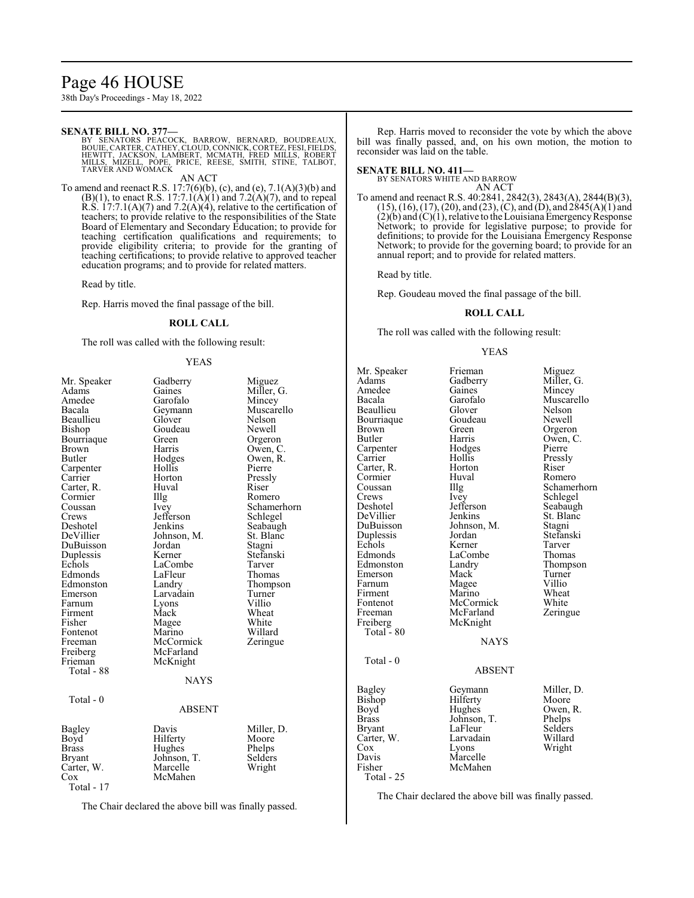### Page 46 HOUSE

38th Day's Proceedings - May 18, 2022

#### **SENATE BILL NO. 377—**

BY SENATORS PEACOCK, BARROW, BERNARD, BOUDREAUX,<br>BOUIE,CARTER,CATHEY,CLOUD,CONNICK,CORTEZ,FESI,FIELDS,<br>HEWITT,JACKSON, LAMBERT, MCMATH, FRED MILLS, ROBERT<br>MILLS, MIZELL, POPE, PRICE, REESE, SMITH, STINE, TALBOT,<br>TARVER AND

AN ACT

To amend and reenact R.S. 17:7(6)(b), (c), and (e), 7.1(A)(3)(b) and  $(B)(1)$ , to enact R.S. 17:7.1(A)(1) and 7.2(A)(7), and to repeal R.S.  $17:7.1(A)(7)$  and  $7.2(A)(4)$ , relative to the certification of teachers; to provide relative to the responsibilities of the State Board of Elementary and Secondary Education; to provide for teaching certification qualifications and requirements; to provide eligibility criteria; to provide for the granting of teaching certifications; to provide relative to approved teacher education programs; and to provide for related matters.

Read by title.

Rep. Harris moved the final passage of the bill.

#### **ROLL CALL**

The roll was called with the following result:

#### YEAS

| Mr. Speaker   | Gadberry    | Miguez      |
|---------------|-------------|-------------|
| Adams         | Gaines      | Miller, G.  |
| Amedee        | Garofalo    | Mincey      |
| Bacala        | Geymann     | Muscarello  |
| Beaullieu     | Glover      | Nelson      |
| Bishop        | Goudeau     | Newell      |
| Bourriaque    | Green       | Orgeron     |
| Brown         | Harris      | Owen, C.    |
| Butler        | Hodges      | Owen, R.    |
| Carpenter     | Hollis      | Pierre      |
| Carrier       | Horton      | Pressly     |
| Carter, R.    | Huval       | Riser       |
| Cormier       | Illg        | Romero      |
| Coussan       | Ivey        | Schamerhorn |
| Crews         | Jefferson   | Schlegel    |
| Deshotel      | Jenkins     | Seabaugh    |
| DeVillier     | Johnson, M. | St. Blanc   |
| DuBuisson     | Jordan      | Stagni      |
| Duplessis     | Kerner      | Stefanski   |
| Echols        | LaCombe     | Tarver      |
| Edmonds       | LaFleur     | Thomas      |
| Edmonston     | Landry      | Thompson    |
| Emerson       | Larvadain   | Turner      |
| Farnum        | Lyons       | Villio      |
| Firment       | Mack        | Wheat       |
| Fisher        | Magee       | White       |
| Fontenot      | Marino      | Willard     |
| Freeman       | McCormick   | Zeringue    |
| Freiberg      | McFarland   |             |
| Frieman       | McKnight    |             |
| Total - 88    |             |             |
|               | <b>NAYS</b> |             |
| Total - 0     |             |             |
|               | ABSENT      |             |
| Bagley        | Davis       | Miller, D.  |
| Boyd          | Hilferty    | Moore       |
| Brass         | Hughes      | Phelps      |
| <b>Bryant</b> | Johnson, T. | Selders     |
| Carter, W.    | Marcelle    | Wright      |
| $\cos$        | McMahen     |             |
| Total - 17    |             |             |

The Chair declared the above bill was finally passed.

Rep. Harris moved to reconsider the vote by which the above bill was finally passed, and, on his own motion, the motion to reconsider was laid on the table.

#### **SENATE BILL NO. 411—**

BY SENATORS WHITE AND BARROW AN ACT

To amend and reenact R.S. 40:2841, 2842(3), 2843(A), 2844(B)(3), (15), (16), (17), (20), and (23), (C), and (D), and 2845(A)(1) and  $(2)(b)$  and  $(C)(1)$ , relative to the Louisiana Emergency Response Network; to provide for legislative purpose; to provide for definitions; to provide for the Louisiana Emergency Response Network; to provide for the governing board; to provide for an annual report; and to provide for related matters.

Read by title.

Rep. Goudeau moved the final passage of the bill.

#### **ROLL CALL**

The roll was called with the following result:

#### YEAS

Mr. Speaker Frieman Miguez<br>Adams Gadberry Miller, G. Adams Gadberry<br>Amedee Gaines Amedee Gaines Mincey<br>Bacala Garofalo Muscar Beaullieu Glover Nelson<br>Bourriaque Goudeau Newell Bourriaque Goude<br>Brown Green Brown Green Green Orgeron<br>Butler Harris Owen, C Carpenter Hodge<br>Carrier Hollis Carter, R. Horton Riser<br>
Cormier Huval Romero Cormier Huv<br>Coussan Hllg Coussan Illg Schamerhorn<br>Crews Ivey Schlegel Crews Ivey Schlegel<br>Deshotel Jefferson Seabaugh Deshotel Jefferson Seabaugh<br>DeVillier Jenkins St. Blanc DeVillier Jenkins St. Blanc<br>DuBuisson Johnson, M. Stagni Duplessis Jordan Stefans<br>Echols Kerner Tarver Edmonds LaCombe Thomas<br>Edmonston Landry Thompson Edmonston Landry Thomp<br>Emerson Mack Turner Emerson Mack Turner<br>
Farnum Magee Villio Farnum Magee Villio<br>Firment Marino Wheat Firment Marino Wheat<br>
Fontenot McCormick White Fontenot McCormick White<br>
Freeman McFarland Zeringue Freeman McFarland<br>Freiberg McKnight Total  $-80$  Total - 0 Bagley Geymann<br>Bishop Hilferty Bishop Hilferty<br>Boyd Hughes Boyd Hughes<br>Brass Johnson Johnson, T.<br>LaFleur Bryant LaFleur<br>Carter, W. Larvadain Carter, W.<br>Cox Cox Lyons<br>Davis Marcel Davis Marcelle<br>Fisher McMahe **McMahen** 

Total - 25

Harris Owen, C.<br>Hodges Pierre Hollis Pressly<br>
Horton Riser Johnson, M. Stagni<br>Jordan Stefanski Kerner Tarver<br>LaCombe Thomas McKnight NAYS

Garofalo Muscarello<br>Glover Nelson

#### ABSENT

| Miller, D |
|-----------|
| Moore     |
| Owen, R.  |
| Phelps    |
| Selders   |
| Willard   |
| Wright    |
|           |
|           |

The Chair declared the above bill was finally passed.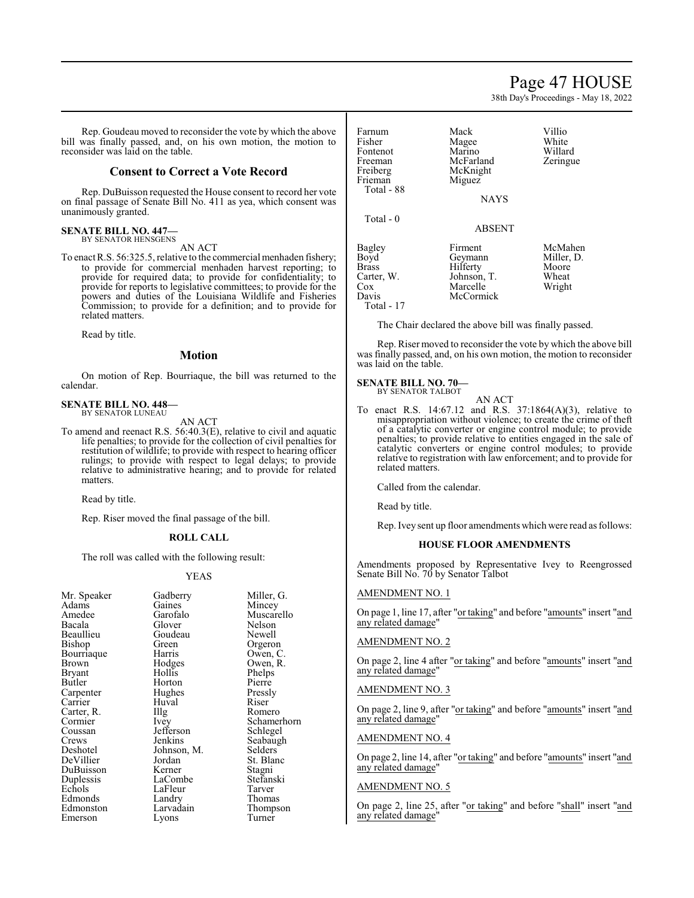38th Day's Proceedings - May 18, 2022

Rep. Goudeau moved to reconsider the vote by which the above bill was finally passed, and, on his own motion, the motion to reconsider was laid on the table.

#### **Consent to Correct a Vote Record**

Rep. DuBuisson requested the House consent to record her vote on final passage of Senate Bill No. 411 as yea, which consent was unanimously granted.

### **SENATE BILL NO. 447—** BY SENATOR HENSGENS

AN ACT

To enact R.S. 56:325.5, relative to the commercial menhaden fishery; to provide for commercial menhaden harvest reporting; to provide for required data; to provide for confidentiality; to provide for reports to legislative committees; to provide for the powers and duties of the Louisiana Wildlife and Fisheries Commission; to provide for a definition; and to provide for related matters.

Read by title.

#### **Motion**

On motion of Rep. Bourriaque, the bill was returned to the calendar.

#### **SENATE BILL NO. 448—** BY SENATOR LUNEAU

AN ACT

To amend and reenact R.S. 56:40.3(E), relative to civil and aquatic life penalties; to provide for the collection of civil penalties for restitution of wildlife; to provide with respect to hearing officer rulings; to provide with respect to legal delays; to provide relative to administrative hearing; and to provide for related matters.

Read by title.

Rep. Riser moved the final passage of the bill.

#### **ROLL CALL**

The roll was called with the following result:

#### YEAS

| Mr. Speaker   | Gadberry    | Miller      |
|---------------|-------------|-------------|
| Adams         | Gaines      | Mince       |
| Amedee        | Garofalo    | Musca       |
| Bacala        | Glover      | Nelson      |
| Beaullieu     | Goudeau     | Newel       |
| Bishop        | Green       | Orgero      |
| Bourriaque    | Harris      | Owen.       |
| <b>Brown</b>  | Hodges      | Owen,       |
| <b>Bryant</b> | Hollis      | Phelps      |
| Butler        | Horton      | Pierre      |
| Carpenter     | Hughes      | Pressl      |
| Carrier       | Huval       | Riser       |
| Carter, R.    | IIIg        | <b>Rome</b> |
| Cormier       | Ivey        | Schan       |
| Coussan       | Jefferson   | Schleg      |
| Crews         | Jenkins     | Seaba       |
| Deshotel      | Johnson, M. | Selder      |
| DeVillier     | Jordan      | St. Bla     |
| DuBuisson     | Kerner      | Stagni      |
| Duplessis     | LaCombe     | Stefan      |
| Echols        | LaFleur     | Tarvei      |
| Edmonds       | Landry      | Thoma       |
| Edmonston     | Larvadain   | Thomp       |
| Emerson       | Lyons       | Turne       |

Miller, G. Mincey Muscarello Nelson Newell Orgeron Owen, C. Owen, R. Phelps<br>Pierre Pressly<br>Riser Romero Schamerhorn Schlegel Seabaugh Selders<sup>7</sup> St. Blanc<br>Stagni Stefanski Tarver Thomas Thompson Turner

| Farnum<br>Fisher<br>Fontenot<br>Freeman<br>Freiberg<br>Frieman<br>Total - 88  | Mack<br>Magee<br>Marino<br>McFarland<br>McKnight<br>Miguez<br><b>NAYS</b> | Villio<br>White<br>Willard<br>Zeringue            |
|-------------------------------------------------------------------------------|---------------------------------------------------------------------------|---------------------------------------------------|
| Total - 0                                                                     | <b>ABSENT</b>                                                             |                                                   |
| Bagley<br>Boyd<br><b>Brass</b><br>Carter, W.<br>$\cos$<br>Davis<br>Total - 17 | Firment<br>Geymann<br>Hilferty<br>Johnson, T.<br>Marcelle<br>McCormick    | McMahen<br>Miller, D.<br>Moore<br>Wheat<br>Wright |

The Chair declared the above bill was finally passed.

Rep. Riser moved to reconsider the vote by which the above bill was finally passed, and, on his own motion, the motion to reconsider was laid on the table.

#### **SENATE BILL NO. 70— ALBOT**

| BY SENATOR T. |  |
|---------------|--|
|               |  |

AN ACT To enact R.S. 14:67.12 and R.S. 37:1864(A)(3), relative to misappropriation without violence; to create the crime of theft of a catalytic converter or engine control module; to provide penalties; to provide relative to entities engaged in the sale of catalytic converters or engine control modules; to provide relative to registration with law enforcement; and to provide for related matters.

Called from the calendar.

Read by title.

Rep. Ivey sent up floor amendments which were read as follows:

#### **HOUSE FLOOR AMENDMENTS**

Amendments proposed by Representative Ivey to Reengrossed Senate Bill No. 70 by Senator Talbot

#### AMENDMENT NO. 1

On page 1, line 17, after "or taking" and before "amounts" insert "and any related damage"

#### AMENDMENT NO. 2

On page 2, line 4 after "or taking" and before "amounts" insert "and any related damage"

#### AMENDMENT NO. 3

On page 2, line 9, after "or taking" and before "amounts" insert "and any related damage"

#### AMENDMENT NO. 4

On page 2, line 14, after "or taking" and before "amounts" insert "and any related damage"

#### AMENDMENT NO. 5

On page 2, line 25, after "or taking" and before "shall" insert "and any related damage"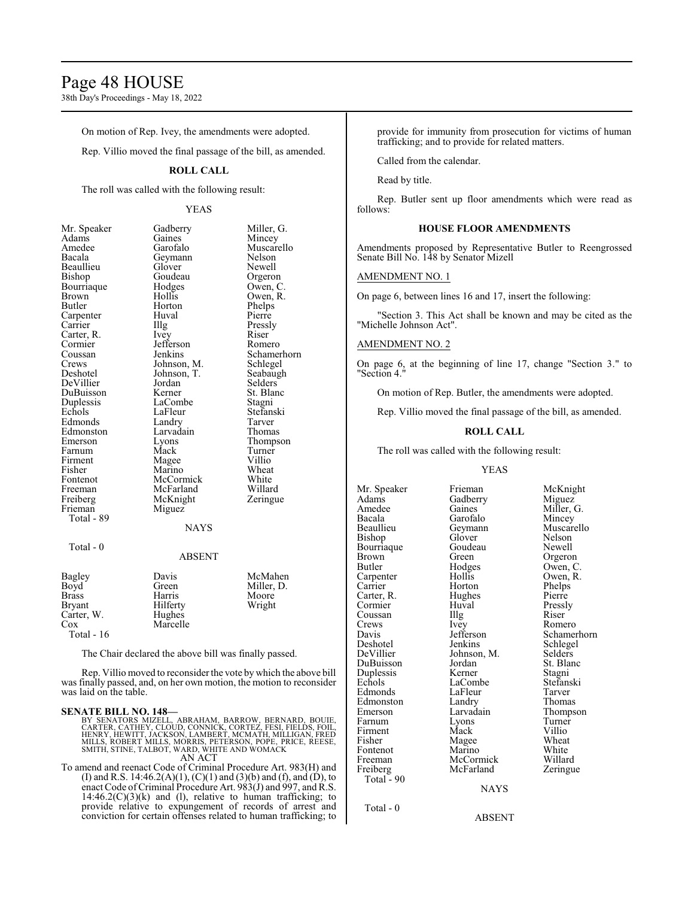### Page 48 HOUSE

38th Day's Proceedings - May 18, 2022

On motion of Rep. Ivey, the amendments were adopted.

Rep. Villio moved the final passage of the bill, as amended.

#### **ROLL CALL**

The roll was called with the following result:

#### YEAS

| Mr. Speaker | Gadberry    | Miller, G.  |
|-------------|-------------|-------------|
| Adams       | Gaines      | Mincey      |
| Amedee      | Garofalo    | Muscarello  |
| Bacala      | Geymann     | Nelson      |
| Beaullieu   | Glover      | Newell      |
| Bishop      | Goudeau     | Orgeron     |
| Bourriaque  | Hodges      | Owen, C.    |
| Brown       | Hollis      | Owen, R.    |
| Butler      | Horton      | Phelps      |
| Carpenter   | Huval       | Pierre      |
| Carrier     | Illg        | Pressly     |
| Carter, R.  | Ivey        | Riser       |
| Cormier     | Jefferson   | Romero      |
| Coussan     | Jenkins     | Schamerhorn |
| Crews       | Johnson, M. | Schlegel    |
| Deshotel    | Johnson, T. | Seabaugh    |
| DeVillier   | Jordan      | Selders     |
| DuBuisson   | Kerner      | St. Blanc   |
| Duplessis   | LaCombe     | Stagni      |
| Echols      | LaFleur     | Stefanski   |
| Edmonds     | Landry      | Tarver      |
| Edmonston   | Larvadain   | Thomas      |
| Emerson     | Lyons       | Thompson    |
| Farnum      | Mack        | Turner      |
| Firment     | Magee       | Villio      |
| Fisher      | Marino      | Wheat       |
| Fontenot    | McCormick   | White       |
| Freeman     | McFarland   | Willard     |
| Freiberg    | McKnight    | Zeringue    |
| Frieman     | Miguez      |             |
| Total - 89  |             |             |
|             | <b>NAYS</b> |             |
|             |             |             |
| Total - 0   |             |             |
|             | ABSENT      |             |

| Bagley<br>Boyd<br><b>Brass</b><br><b>Bryant</b> | Davis<br>Green<br>Harris<br>Hilferty | McMahen<br>Miller, D.<br>Moore<br>Wright |
|-------------------------------------------------|--------------------------------------|------------------------------------------|
| Carter, W.                                      | Hughes                               |                                          |
| Cox                                             | Marcelle                             |                                          |
| Total - $16$                                    |                                      |                                          |

The Chair declared the above bill was finally passed.

Rep. Villio moved to reconsider the vote by which the above bill was finally passed, and, on her own motion, the motion to reconsider was laid on the table.

#### **SENATE BILL NO. 148—**

BY SENATORS MIZELL, ABRAHAM, BARROW, BERNARD, BOUIE,<br>CARTER, CATHEY, CLOUD, CONNICK, CORTEZ, FESI, FIELDS, FOIL,<br>HENRY, HEWITT, JACKSON, LAMBERT, MCMATH, MILLIGAN, FRED<br>MILLS, ROBERT MILLS, MORRIS, PETERSON, POPE, PRICE, R AN ACT

To amend and reenact Code of Criminal Procedure Art. 983(H) and (I) and R.S. 14:46.2(A)(1), (C)(1) and (3)(b) and (f), and (D), to enact Code ofCriminal Procedure Art. 983(J) and 997, and R.S.  $14:46.2(C)(3)(k)$  and (l), relative to human trafficking; to provide relative to expungement of records of arrest and conviction for certain offenses related to human trafficking; to provide for immunity from prosecution for victims of human trafficking; and to provide for related matters.

Called from the calendar.

Read by title.

Rep. Butler sent up floor amendments which were read as follows:

#### **HOUSE FLOOR AMENDMENTS**

Amendments proposed by Representative Butler to Reengrossed Senate Bill No. 148 by Senator Mizell

#### AMENDMENT NO. 1

On page 6, between lines 16 and 17, insert the following:

"Section 3. This Act shall be known and may be cited as the "Michelle Johnson Act".

#### AMENDMENT NO. 2

On page 6, at the beginning of line 17, change "Section 3." to "Section 4."

On motion of Rep. Butler, the amendments were adopted.

Rep. Villio moved the final passage of the bill, as amended.

#### **ROLL CALL**

The roll was called with the following result:

#### YEAS

Mr. Speaker Frieman McKnight<br>Adams Gadberry Miguez Adams Gadberry<br>Amedee Gaines Amedee Gaines Miller, G.<br>Bacala Garofalo Mincey Bacala Garofalo<br>Beaullieu Geymann Beaullieu Geymann Muscarello<br>Bishop Glover Nelson Bourriaque Goude<br>Brown Green Brown Green Green Orgeron<br>Butler Hodges Owen, C Carpenter Hollis Owen,<br>
Carrier Horton Phelps Carter, R. Hughe<br>Cormier Huval Coussan Illg<br>Crews Ivey Crews Ivey Romero<br>
Davis Jefferson Schame Deshotel Jenkins Schlege<br>DeVillier Johnson M. Selders DuBuisson Jordan St. Bla<br>
Duplessis Kerner Stagni Duplessis Kerner Stagni<br>
Echols LaCombe Stefanski Edmonds LaFleur Tarver<br>Edmonston Landry Thomas Edmonston Landry<br>Emerson Larvadain Farnum Lyons Turner<br>
Firment Mack Villio Firment Mack Villio<br>Fisher Mage Wheat Fontenot Marino White<br>Freeman McCormick Willard Freiberg McFarland Zeringue Total - 90 Total - 0

Glover Nelson<br>Goudeau Newell Horton Phelps<br>Hughes Pierre Huval Pressly<br>
Illg Riser LaCombe Stefans<br>LaFleur Tarver Magee Wheat<br>
Marino White

Hodges Owen, C.<br>Hollis Owen, R. Jefferson Schamerhorn<br>Jenkins Schlegel Johnson, M. Selders<br>Jordan St. Blanc Larvadain Thompson<br>Lyons Turner McCormick Willard<br>
McFarland Zeringue

#### NAYS

ABSENT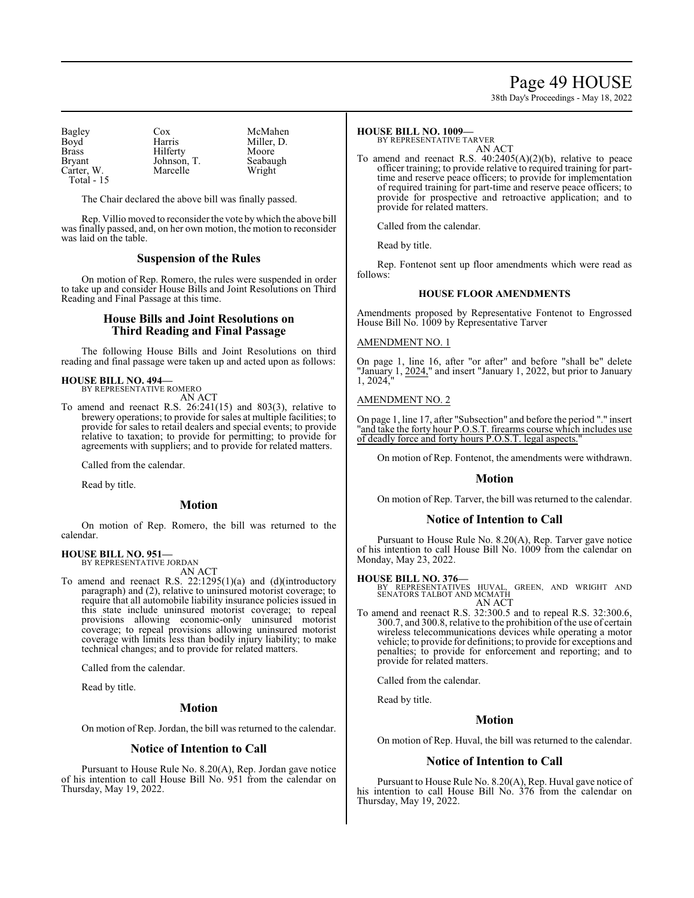### Page 49 HOUSE

38th Day's Proceedings - May 18, 2022

| Bagley        | Cox         | McMahen    |
|---------------|-------------|------------|
| Boyd          | Harris      | Miller, D. |
| <b>Brass</b>  | Hilferty    | Moore      |
| <b>Bryant</b> | Johnson, T. | Seabaugh   |
| Carter, W.    | Marcelle    | Wright     |
| Total - $15$  |             |            |

The Chair declared the above bill was finally passed.

Rep. Villio moved to reconsider the vote bywhich the above bill was finally passed, and, on her own motion, the motion to reconsider was laid on the table.

#### **Suspension of the Rules**

On motion of Rep. Romero, the rules were suspended in order to take up and consider House Bills and Joint Resolutions on Third Reading and Final Passage at this time.

#### **House Bills and Joint Resolutions on Third Reading and Final Passage**

The following House Bills and Joint Resolutions on third reading and final passage were taken up and acted upon as follows:

#### **HOUSE BILL NO. 494—** BY REPRESENTATIVE ROMERO

AN ACT

To amend and reenact R.S. 26:241(15) and 803(3), relative to brewery operations; to provide for sales at multiple facilities; to provide for sales to retail dealers and special events; to provide relative to taxation; to provide for permitting; to provide for agreements with suppliers; and to provide for related matters.

Called from the calendar.

Read by title.

#### **Motion**

On motion of Rep. Romero, the bill was returned to the calendar.

### **HOUSE BILL NO. 951—**

BY REPRESENTATIVE JORDAN AN ACT

To amend and reenact R.S. 22:1295(1)(a) and (d)(introductory paragraph) and (2), relative to uninsured motorist coverage; to require that all automobile liability insurance policies issued in this state include uninsured motorist coverage; to repeal provisions allowing economic-only uninsured motorist coverage; to repeal provisions allowing uninsured motorist coverage with limits less than bodily injury liability; to make technical changes; and to provide for related matters.

Called from the calendar.

Read by title.

#### **Motion**

On motion of Rep. Jordan, the bill was returned to the calendar.

#### **Notice of Intention to Call**

Pursuant to House Rule No. 8.20(A), Rep. Jordan gave notice of his intention to call House Bill No. 951 from the calendar on Thursday, May 19, 2022.

#### **HOUSE BILL NO. 1009—**

BY REPRESENTATIVE TARVER

AN ACT To amend and reenact R.S. 40:2405(A)(2)(b), relative to peace officer training; to provide relative to required training for parttime and reserve peace officers; to provide for implementation of required training for part-time and reserve peace officers; to provide for prospective and retroactive application; and to provide for related matters.

Called from the calendar.

Read by title.

Rep. Fontenot sent up floor amendments which were read as follows:

#### **HOUSE FLOOR AMENDMENTS**

Amendments proposed by Representative Fontenot to Engrossed House Bill No. 1009 by Representative Tarver

#### AMENDMENT NO. 1

On page 1, line 16, after "or after" and before "shall be" delete "January 1, 2024," and insert "January 1, 2022, but prior to January  $1, 2024,$ "

#### AMENDMENT NO. 2

On page 1, line 17, after "Subsection" and before the period "." insert "and take the forty hour P.O.S.T. firearms course which includes use of deadly force and forty hours P.O.S.T. legal aspects."

On motion of Rep. Fontenot, the amendments were withdrawn.

#### **Motion**

On motion of Rep. Tarver, the bill was returned to the calendar.

#### **Notice of Intention to Call**

Pursuant to House Rule No. 8.20(A), Rep. Tarver gave notice of his intention to call House Bill No. 1009 from the calendar on Monday, May 23, 2022.

**HOUSE BILL NO. 376—** BY REPRESENTATIVES HUVAL, GREEN, AND WRIGHT AND SENATORS TALBOT AND MCMATH AN ACT

To amend and reenact R.S. 32:300.5 and to repeal R.S. 32:300.6, 300.7, and 300.8, relative to the prohibition of the use of certain wireless telecommunications devices while operating a motor vehicle; to provide for definitions; to provide for exceptions and penalties; to provide for enforcement and reporting; and to provide for related matters.

Called from the calendar.

Read by title.

#### **Motion**

On motion of Rep. Huval, the bill was returned to the calendar.

#### **Notice of Intention to Call**

Pursuant to House Rule No. 8.20(A), Rep. Huval gave notice of his intention to call House Bill No. 376 from the calendar on Thursday, May 19, 2022.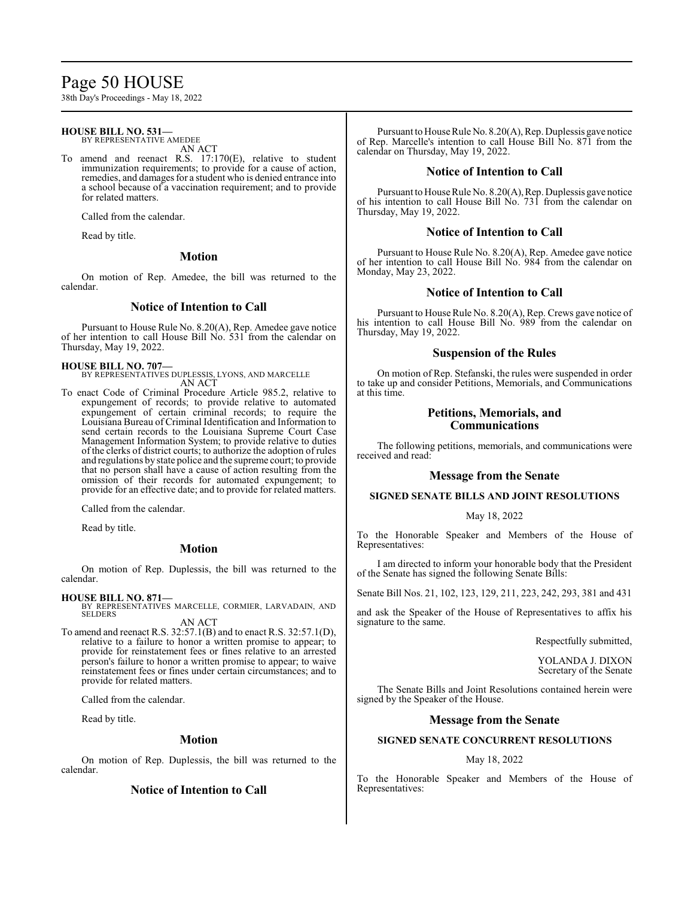### Page 50 HOUSE

38th Day's Proceedings - May 18, 2022

#### **HOUSE BILL NO. 531—** BY REPRESENTATIVE AMEDEE

AN ACT

To amend and reenact R.S. 17:170(E), relative to student immunization requirements; to provide for a cause of action, remedies, and damages for a student who is denied entrance into a school because of a vaccination requirement; and to provide for related matters.

Called from the calendar.

Read by title.

#### **Motion**

On motion of Rep. Amedee, the bill was returned to the calendar.

#### **Notice of Intention to Call**

Pursuant to House Rule No. 8.20(A), Rep. Amedee gave notice of her intention to call House Bill No. 531 from the calendar on Thursday, May 19, 2022.

**HOUSE BILL NO. 707—** BY REPRESENTATIVES DUPLESSIS, LYONS, AND MARCELLE AN ACT

To enact Code of Criminal Procedure Article 985.2, relative to expungement of records; to provide relative to automated expungement of certain criminal records; to require the Louisiana Bureau of Criminal Identification and Information to send certain records to the Louisiana Supreme Court Case Management Information System; to provide relative to duties of the clerks of district courts; to authorize the adoption of rules and regulations by state police and the supreme court; to provide that no person shall have a cause of action resulting from the omission of their records for automated expungement; to provide for an effective date; and to provide for related matters.

Called from the calendar.

Read by title.

#### **Motion**

On motion of Rep. Duplessis, the bill was returned to the calendar.

#### **HOUSE BILL NO. 871—**

BY REPRESENTATIVES MARCELLE, CORMIER, LARVADAIN, AND SELDERS AN ACT

To amend and reenact R.S. 32:57.1(B) and to enact R.S. 32:57.1(D), relative to a failure to honor a written promise to appear; to provide for reinstatement fees or fines relative to an arrested person's failure to honor a written promise to appear; to waive reinstatement fees or fines under certain circumstances; and to provide for related matters.

Called from the calendar.

Read by title.

#### **Motion**

On motion of Rep. Duplessis, the bill was returned to the calendar.

#### **Notice of Intention to Call**

Pursuant to House Rule No. 8.20(A), Rep. Duplessis gave notice of Rep. Marcelle's intention to call House Bill No. 871 from the calendar on Thursday, May 19, 2022.

#### **Notice of Intention to Call**

Pursuant to House Rule No. 8.20(A), Rep. Duplessis gave notice of his intention to call House Bill No. 731 from the calendar on Thursday, May 19, 2022.

#### **Notice of Intention to Call**

Pursuant to House Rule No. 8.20(A), Rep. Amedee gave notice of her intention to call House Bill No. 984 from the calendar on Monday, May 23, 2022.

#### **Notice of Intention to Call**

Pursuant to House Rule No. 8.20(A), Rep. Crews gave notice of his intention to call House Bill No. 989 from the calendar on Thursday, May 19, 2022.

#### **Suspension of the Rules**

On motion of Rep. Stefanski, the rules were suspended in order to take up and consider Petitions, Memorials, and Communications at this time.

#### **Petitions, Memorials, and Communications**

The following petitions, memorials, and communications were received and read:

#### **Message from the Senate**

#### **SIGNED SENATE BILLS AND JOINT RESOLUTIONS**

#### May 18, 2022

To the Honorable Speaker and Members of the House of Representatives:

I am directed to inform your honorable body that the President of the Senate has signed the following Senate Bills:

Senate Bill Nos. 21, 102, 123, 129, 211, 223, 242, 293, 381 and 431

and ask the Speaker of the House of Representatives to affix his signature to the same.

Respectfully submitted,

YOLANDA J. DIXON Secretary of the Senate

The Senate Bills and Joint Resolutions contained herein were signed by the Speaker of the House.

#### **Message from the Senate**

#### **SIGNED SENATE CONCURRENT RESOLUTIONS**

#### May 18, 2022

To the Honorable Speaker and Members of the House of Representatives: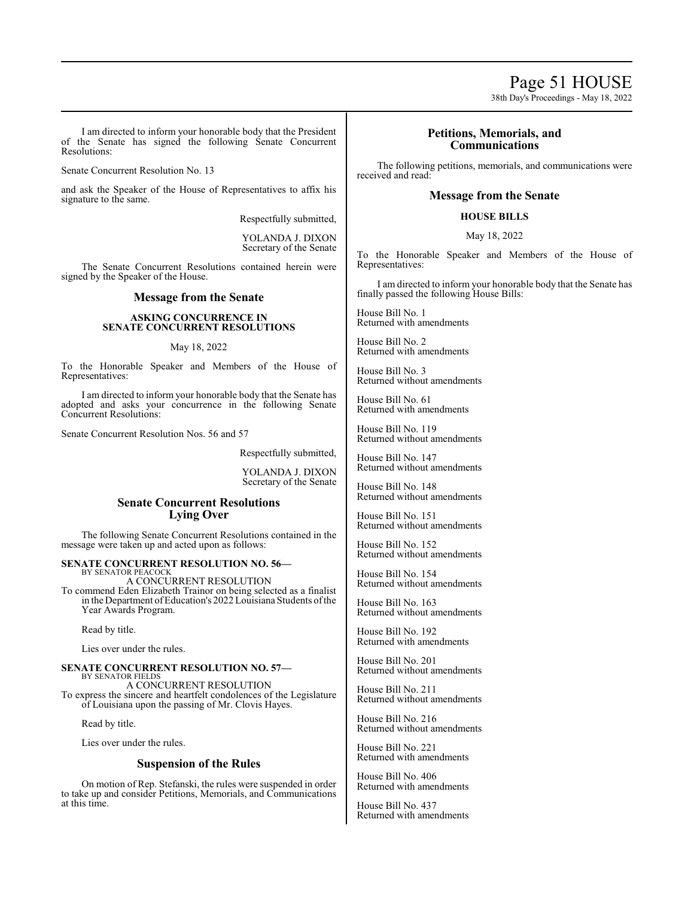Page 51 HOUSE

38th Day's Proceedings - May 18, 2022

I am directed to inform your honorable body that the President of the Senate has signed the following Senate Concurrent Resolutions:

Senate Concurrent Resolution No. 13

and ask the Speaker of the House of Representatives to affix his signature to the same.

Respectfully submitted,

YOLANDA J. DIXON Secretary of the Senate

The Senate Concurrent Resolutions contained herein were signed by the Speaker of the House.

#### **Message from the Senate**

#### **ASKING CONCURRENCE IN SENATE CONCURRENT RESOLUTIONS**

#### May 18, 2022

To the Honorable Speaker and Members of the House of Representatives:

I am directed to inform your honorable body that the Senate has adopted and asks your concurrence in the following Senate Concurrent Resolutions:

Senate Concurrent Resolution Nos. 56 and 57

Respectfully submitted,

YOLANDA J. DIXON Secretary of the Senate

#### **Senate Concurrent Resolutions Lying Over**

The following Senate Concurrent Resolutions contained in the message were taken up and acted upon as follows:

### **SENATE CONCURRENT RESOLUTION NO. 56—** BY SENATOR PEACOCK

A CONCURRENT RESOLUTION To commend Eden Elizabeth Trainor on being selected as a finalist in the Department ofEducation's 2022Louisiana Students ofthe Year Awards Program.

Read by title.

Lies over under the rules.

**SENATE CONCURRENT RESOLUTION NO. 57—** BY SENATOR FIELDS A CONCURRENT RESOLUTION To express the sincere and heartfelt condolences of the Legislature

of Louisiana upon the passing of Mr. Clovis Hayes.

Read by title.

Lies over under the rules.

#### **Suspension of the Rules**

On motion of Rep. Stefanski, the rules were suspended in order to take up and consider Petitions, Memorials, and Communications at this time.

#### **Petitions, Memorials, and Communications**

The following petitions, memorials, and communications were received and read:

#### **Message from the Senate**

#### **HOUSE BILLS**

#### May 18, 2022

To the Honorable Speaker and Members of the House of Representatives:

I am directed to inform your honorable body that the Senate has finally passed the following House Bills:

House Bill No. 1 Returned with amendments

House Bill No. 2 Returned with amendments

House Bill No. 3 Returned without amendments

House Bill No. 61 Returned with amendments

House Bill No. 119 Returned without amendments

House Bill No. 147 Returned without amendments

House Bill No. 148 Returned without amendments

House Bill No. 151 Returned without amendments

House Bill No. 152 Returned without amendments

House Bill No. 154 Returned without amendments

House Bill No. 163 Returned without amendments

House Bill No. 192 Returned with amendments

House Bill No. 201 Returned without amendments

House Bill No. 211 Returned without amendments

House Bill No. 216 Returned without amendments

House Bill No. 221 Returned with amendments

House Bill No. 406 Returned with amendments

House Bill No. 437 Returned with amendments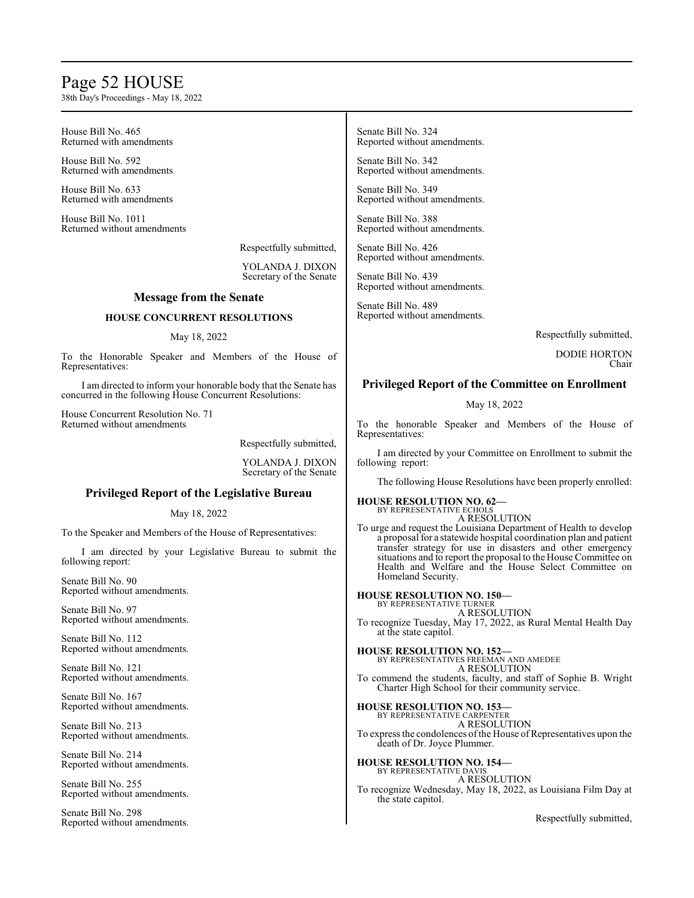### Page 52 HOUSE

38th Day's Proceedings - May 18, 2022

House Bill No. 465 Returned with amendments

House Bill No. 592 Returned with amendments

House Bill No. 633 Returned with amendments

House Bill No. 1011 Returned without amendments

Respectfully submitted,

YOLANDA J. DIXON Secretary of the Senate

#### **Message from the Senate**

#### **HOUSE CONCURRENT RESOLUTIONS**

#### May 18, 2022

To the Honorable Speaker and Members of the House of Representatives:

I am directed to inform your honorable body that the Senate has concurred in the following House Concurrent Resolutions:

House Concurrent Resolution No. 71 Returned without amendments

Respectfully submitted,

YOLANDA J. DIXON Secretary of the Senate

#### **Privileged Report of the Legislative Bureau**

May 18, 2022

To the Speaker and Members of the House of Representatives:

I am directed by your Legislative Bureau to submit the following report:

Senate Bill No. 90 Reported without amendments.

Senate Bill No. 97 Reported without amendments.

Senate Bill No. 112 Reported without amendments.

Senate Bill No. 121 Reported without amendments.

Senate Bill No. 167 Reported without amendments.

Senate Bill No. 213 Reported without amendments.

Senate Bill No. 214 Reported without amendments.

Senate Bill No. 255 Reported without amendments.

Senate Bill No. 298 Reported without amendments.

Senate Bill No. 324 Reported without amendments.

Senate Bill No. 342 Reported without amendments.

Senate Bill No. 349 Reported without amendments.

Senate Bill No. 388 Reported without amendments.

Senate Bill No. 426 Reported without amendments.

Senate Bill No. 439 Reported without amendments.

Senate Bill No. 489 Reported without amendments.

Respectfully submitted,

DODIE HORTON Chair

#### **Privileged Report of the Committee on Enrollment**

#### May 18, 2022

To the honorable Speaker and Members of the House of Representatives:

I am directed by your Committee on Enrollment to submit the following report:

The following House Resolutions have been properly enrolled:

#### **HOUSE RESOLUTION NO. 62—** BY REPRESENTATIVE ECHOLS

A RESOLUTION To urge and request the Louisiana Department of Health to develop a proposal for a statewide hospital coordination plan and patient transfer strategy for use in disasters and other emergency situations and to report the proposal to the House Committee on Health and Welfare and the House Select Committee on Homeland Security.

**HOUSE RESOLUTION NO. 150—** BY REPRESENTATIVE TURNER A RESOLUTION To recognize Tuesday, May 17, 2022, as Rural Mental Health Day at the state capitol.

**HOUSE RESOLUTION NO. 152—** BY REPRESENTATIVES FREEMAN AND AMEDEE A RESOLUTION

To commend the students, faculty, and staff of Sophie B. Wright Charter High School for their community service.

**HOUSE RESOLUTION NO. 153—** BY REPRESENTATIVE CARPENTER A RESOLUTION To express the condolences of the House of Representatives upon the death of Dr. Joyce Plummer.

**HOUSE RESOLUTION NO. 154—** BY REPRESENTATIVE DAVIS A RESOLUTION

To recognize Wednesday, May 18, 2022, as Louisiana Film Day at the state capitol.

Respectfully submitted,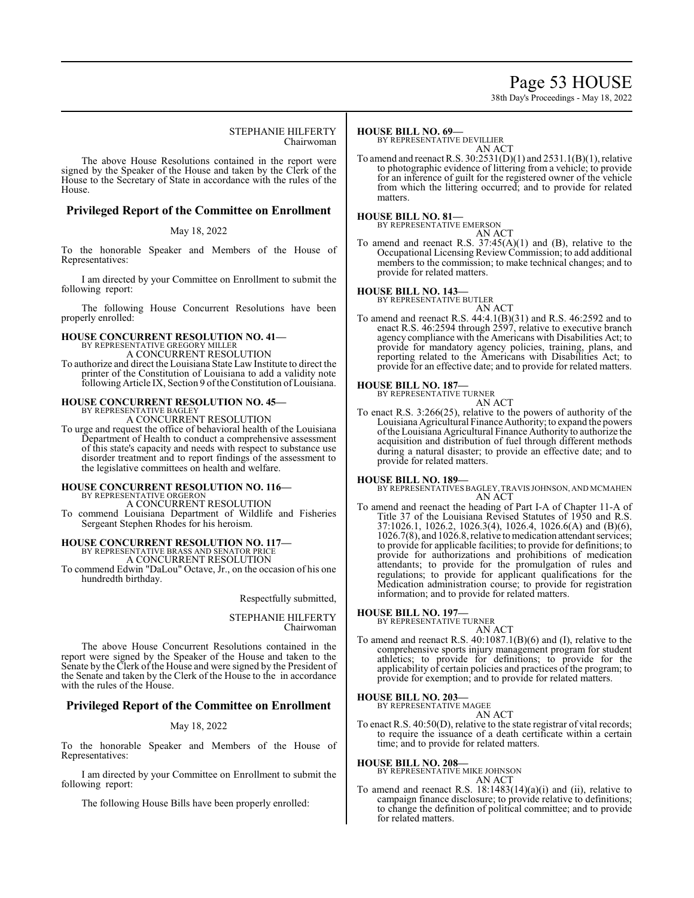## Page 53 HOUSE

38th Day's Proceedings - May 18, 2022

#### STEPHANIE HILFERTY Chairwoman

The above House Resolutions contained in the report were signed by the Speaker of the House and taken by the Clerk of the House to the Secretary of State in accordance with the rules of the House.

#### **Privileged Report of the Committee on Enrollment**

#### May 18, 2022

To the honorable Speaker and Members of the House of Representatives:

I am directed by your Committee on Enrollment to submit the following report:

The following House Concurrent Resolutions have been properly enrolled:

### **HOUSE CONCURRENT RESOLUTION NO. 41—**

BY REPRESENTATIVE GREGORY MILLER A CONCURRENT RESOLUTION

To authorize and direct the Louisiana State Law Institute to direct the printer of the Constitution of Louisiana to add a validity note following Article IX, Section 9 of the Constitution of Louisiana.

## **HOUSE CONCURRENT RESOLUTION NO. 45—** BY REPRESENTATIVE BAGLEY

A CONCURRENT RESOLUTION

To urge and request the office of behavioral health of the Louisiana Department of Health to conduct a comprehensive assessment of this state's capacity and needs with respect to substance use disorder treatment and to report findings of the assessment to the legislative committees on health and welfare.

### **HOUSE CONCURRENT RESOLUTION NO. 116—**

BY REPRESENTATIVE ORGERON

A CONCURRENT RESOLUTION

To commend Louisiana Department of Wildlife and Fisheries Sergeant Stephen Rhodes for his heroism.

## **HOUSE CONCURRENT RESOLUTION NO. 117—** BY REPRESENTATIVE BRASS AND SENATOR PRICE

A CONCURRENT RESOLUTION

To commend Edwin "DaLou" Octave, Jr., on the occasion of his one hundredth birthday.

#### Respectfully submitted,

#### STEPHANIE HILFERTY Chairwoman

The above House Concurrent Resolutions contained in the report were signed by the Speaker of the House and taken to the Senate by the Clerk of the House and were signed by the President of the Senate and taken by the Clerk of the House to the in accordance with the rules of the House.

#### **Privileged Report of the Committee on Enrollment**

#### May 18, 2022

To the honorable Speaker and Members of the House of Representatives:

I am directed by your Committee on Enrollment to submit the following report:

The following House Bills have been properly enrolled:

#### **HOUSE BILL NO. 69—**

BY REPRESENTATIVE DEVILLIER

AN ACT To amend and reenact R.S. 30:2531(D)(1) and 2531.1(B)(1), relative to photographic evidence of littering from a vehicle; to provide for an inference of guilt for the registered owner of the vehicle from which the littering occurred; and to provide for related matters.

### **HOUSE BILL NO. 81—** BY REPRESENTATIVE EMERSON

AN ACT

To amend and reenact R.S.  $37:45(A)(1)$  and (B), relative to the Occupational Licensing Review Commission; to add additional members to the commission; to make technical changes; and to provide for related matters.

### **HOUSE BILL NO. 143—** BY REPRESENTATIVE BUTLER

AN ACT To amend and reenact R.S. 44:4.1(B)(31) and R.S. 46:2592 and to enact R.S. 46:2594 through 2597, relative to executive branch agency compliance with the Americans with Disabilities Act; to provide for mandatory agency policies, training, plans, and reporting related to the Americans with Disabilities Act; to provide for an effective date; and to provide for related matters.

#### **HOUSE BILL NO. 187—**

BY REPRESENTATIVE TURNER AN ACT

To enact R.S. 3:266(25), relative to the powers of authority of the Louisiana Agricultural Finance Authority; to expand the powers ofthe Louisiana Agricultural Finance Authority to authorize the acquisition and distribution of fuel through different methods during a natural disaster; to provide an effective date; and to provide for related matters.

#### **HOUSE BILL NO. 189—**

BY REPRESENTATIVES BAGLEY, TRAVIS JOHNSON, AND MCMAHEN AN ACT

To amend and reenact the heading of Part I-A of Chapter 11-A of Title 37 of the Louisiana Revised Statutes of 1950 and R.S. 37:1026.1, 1026.2, 1026.3(4), 1026.4, 1026.6(A) and (B)(6), 1026.7(8), and 1026.8, relative to medication attendant services; to provide for applicable facilities; to provide for definitions; to provide for authorizations and prohibitions of medication attendants; to provide for the promulgation of rules and regulations; to provide for applicant qualifications for the Medication administration course; to provide for registration information; and to provide for related matters.

#### **HOUSE BILL NO. 197—**

BY REPRESENTATIVE TURNER AN ACT

To amend and reenact R.S. 40:1087.1(B)(6) and (I), relative to the comprehensive sports injury management program for student athletics; to provide for definitions; to provide for the applicability of certain policies and practices of the program; to provide for exemption; and to provide for related matters.

#### **HOUSE BILL NO. 203—**

BY REPRESENTATIVE MAGEE AN ACT

To enact R.S. 40:50(D), relative to the state registrar of vital records; to require the issuance of a death certificate within a certain time; and to provide for related matters.

#### **HOUSE BILL NO. 208—**

BY REPRESENTATIVE MIKE JOHNSON AN ACT

To amend and reenact R.S. 18:1483(14)(a)(i) and (ii), relative to campaign finance disclosure; to provide relative to definitions; to change the definition of political committee; and to provide for related matters.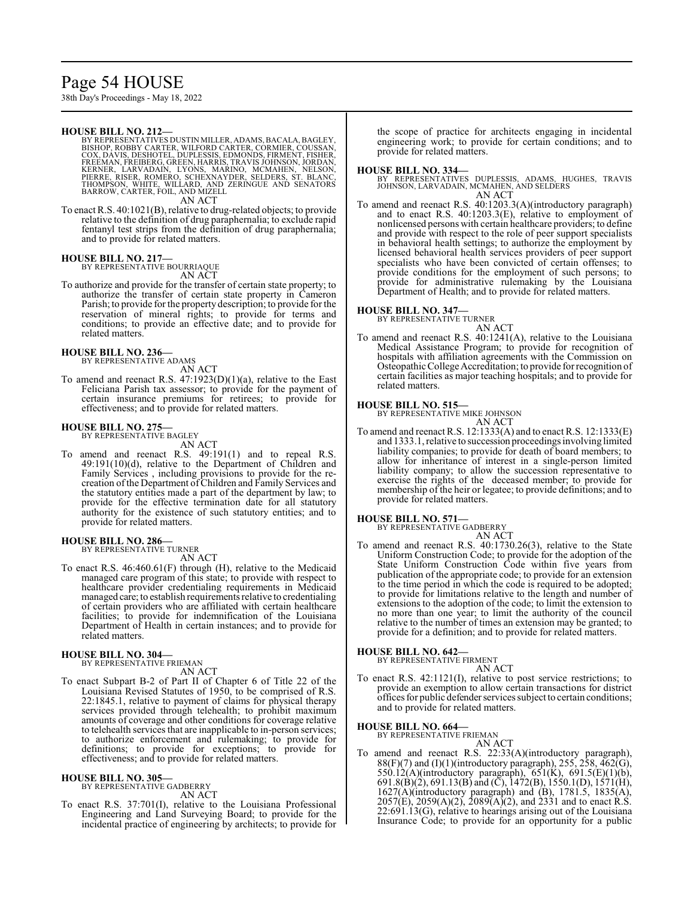### Page 54 HOUSE

38th Day's Proceedings - May 18, 2022

#### **HOUSE BILL NO. 212—**

BY REPRESENTATIVES DUSTIN MILLER, ADAMS, BACALA, BAGLEY,<br>BISHOP, ROBBY CARTER, WILFORD CARTER, CORMIER, COUSSAN,<br>COX, DAVIS, DESHOTEL, DUPLESSIS, EDMONDS, FIRMENT, FISHER,<br>FREEMAN, FREIBERG, GREEN, HARRIS, TRAVIS JOHNSON,

AN ACT

To enact R.S. 40:1021(B), relative to drug-related objects; to provide relative to the definition of drug paraphernalia; to exclude rapid fentanyl test strips from the definition of drug paraphernalia; and to provide for related matters.

### **HOUSE BILL NO. 217—** BY REPRESENTATIVE BOURRIAQUE

AN ACT

To authorize and provide for the transfer of certain state property; to authorize the transfer of certain state property in Cameron Parish; to provide for the property description; to provide for the reservation of mineral rights; to provide for terms and conditions; to provide an effective date; and to provide for related matters.

### **HOUSE BILL NO. 236—** BY REPRESENTATIVE ADAMS

AN ACT

To amend and reenact R.S. 47:1923(D)(1)(a), relative to the East Feliciana Parish tax assessor; to provide for the payment of certain insurance premiums for retirees; to provide for effectiveness; and to provide for related matters.

#### **HOUSE BILL NO. 275—**

BY REPRESENTATIVE BAGLEY AN ACT

To amend and reenact R.S. 49:191(1) and to repeal R.S. 49:191(10)(d), relative to the Department of Children and Family Services , including provisions to provide for the recreation ofthe Department ofChildren and Family Services and the statutory entities made a part of the department by law; to provide for the effective termination date for all statutory authority for the existence of such statutory entities; and to provide for related matters.

#### **HOUSE BILL NO. 286—** BY REPRESENTATIVE TURNER

AN ACT

To enact R.S. 46:460.61(F) through (H), relative to the Medicaid managed care program of this state; to provide with respect to healthcare provider credentialing requirements in Medicaid managed care; to establish requirements relative to credentialing of certain providers who are affiliated with certain healthcare facilities; to provide for indemnification of the Louisiana Department of Health in certain instances; and to provide for related matters.

#### **HOUSE BILL NO. 304—**

BY REPRESENTATIVE FRIEMAN

- AN ACT
- To enact Subpart B-2 of Part II of Chapter 6 of Title 22 of the Louisiana Revised Statutes of 1950, to be comprised of R.S. 22:1845.1, relative to payment of claims for physical therapy services provided through telehealth; to prohibit maximum amounts of coverage and other conditions for coverage relative to telehealth services that are inapplicable to in-person services; to authorize enforcement and rulemaking; to provide for definitions; to provide for exceptions; to provide for effectiveness; and to provide for related matters.

#### **HOUSE BILL NO. 305—**

BY REPRESENTATIVE GADBERRY AN ACT

To enact R.S. 37:701(I), relative to the Louisiana Professional Engineering and Land Surveying Board; to provide for the incidental practice of engineering by architects; to provide for the scope of practice for architects engaging in incidental engineering work; to provide for certain conditions; and to provide for related matters.

#### **HOUSE BILL NO. 334—**

- BY REPRESENTATIVES DUPLESSIS, ADAMS, HUGHES, TRAVIS JOHNSON, LARVADAIN, MCMAHEN, AND SELDERS AN ACT
- To amend and reenact R.S. 40:1203.3(A)(introductory paragraph) and to enact R.S. 40:1203.3(E), relative to employment of nonlicensed persons with certain healthcare providers; to define and provide with respect to the role of peer support specialists in behavioral health settings; to authorize the employment by licensed behavioral health services providers of peer support specialists who have been convicted of certain offenses; to provide conditions for the employment of such persons; to provide for administrative rulemaking by the Louisiana Department of Health; and to provide for related matters.

#### **HOUSE BILL NO. 347—**

BY REPRESENTATIVE TURNER AN ACT

To amend and reenact R.S. 40:1241(A), relative to the Louisiana Medical Assistance Program; to provide for recognition of hospitals with affiliation agreements with the Commission on Osteopathic College Accreditation; to provide for recognition of certain facilities as major teaching hospitals; and to provide for related matters.

#### **HOUSE BILL NO. 515—**

BY REPRESENTATIVE MIKE JOHNSON AN ACT

To amend and reenact R.S. 12:1333(A) and to enact R.S. 12:1333(E) and 1333.1, relative to succession proceedings involving limited liability companies; to provide for death of board members; to allow for inheritance of interest in a single-person limited liability company; to allow the succession representative to exercise the rights of the deceased member; to provide for membership of the heir or legatee; to provide definitions; and to provide for related matters.

#### **HOUSE BILL NO. 571—**

BY REPRESENTATIVE GADBERRY AN ACT

To amend and reenact R.S. 40:1730.26(3), relative to the State Uniform Construction Code; to provide for the adoption of the State Uniform Construction Code within five years from publication of the appropriate code; to provide for an extension to the time period in which the code is required to be adopted; to provide for limitations relative to the length and number of extensions to the adoption of the code; to limit the extension to no more than one year; to limit the authority of the council relative to the number of times an extension may be granted; to provide for a definition; and to provide for related matters.

#### **HOUSE BILL NO. 642—**

BY REPRESENTATIVE FIRMENT AN ACT

To enact R.S. 42:1121(I), relative to post service restrictions; to provide an exemption to allow certain transactions for district offices for public defender services subject to certain conditions; and to provide for related matters.

#### **HOUSE BILL NO. 664—**

BY REPRESENTATIVE FRIEMAN AN ACT

To amend and reenact R.S. 22:33(A)(introductory paragraph), 88(F)(7) and (I)(1)(introductory paragraph), 255, 258, 462(G), 550.12(A)(introductory paragraph), 651(K), 691.5(E)(1)(b), 691.8(B)(2), 691.13(B) and (C), 1472(B), 1550.1(D), 1571(H), 1627(A)(introductory paragraph) and (B), 1781.5, 1835(A),  $2057(E)$ ,  $2059(A)(2)$ ,  $2089(A)(2)$ , and  $2331$  and to enact R.S. 22:691.13(G), relative to hearings arising out of the Louisiana Insurance Code; to provide for an opportunity for a public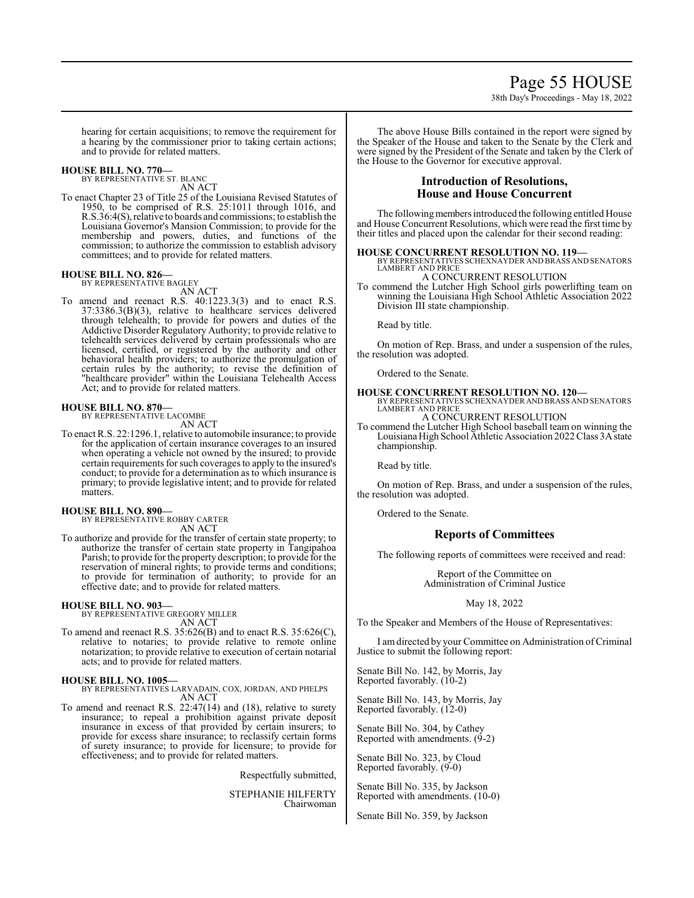## Page 55 HOUSE

38th Day's Proceedings - May 18, 2022

hearing for certain acquisitions; to remove the requirement for a hearing by the commissioner prior to taking certain actions; and to provide for related matters.

#### **HOUSE BILL NO. 770—**

BY REPRESENTATIVE ST. BLANC AN ACT

To enact Chapter 23 of Title 25 of the Louisiana Revised Statutes of 1950, to be comprised of R.S. 25:1011 through 1016, and R.S.36:4(S), relative to boards and commissions; to establish the Louisiana Governor's Mansion Commission; to provide for the membership and powers, duties, and functions of the commission; to authorize the commission to establish advisory committees; and to provide for related matters.

#### **HOUSE BILL NO. 826—** BY REPRESENTATIVE BAGLEY

AN ACT

To amend and reenact R.S. 40:1223.3(3) and to enact R.S. 37:3386.3(B)(3), relative to healthcare services delivered through telehealth; to provide for powers and duties of the Addictive Disorder Regulatory Authority; to provide relative to telehealth services delivered by certain professionals who are licensed, certified, or registered by the authority and other behavioral health providers; to authorize the promulgation of certain rules by the authority; to revise the definition of "healthcare provider" within the Louisiana Telehealth Access Act; and to provide for related matters.

#### **HOUSE BILL NO. 870—**

BY REPRESENTATIVE LACOMBE AN ACT

To enact R.S. 22:1296.1, relative to automobile insurance; to provide for the application of certain insurance coverages to an insured when operating a vehicle not owned by the insured; to provide certain requirements forsuch coverages to apply to the insured's conduct; to provide for a determination as to which insurance is primary; to provide legislative intent; and to provide for related matters.

**HOUSE BILL NO. 890—** BY REPRESENTATIVE ROBBY CARTER AN ACT

To authorize and provide for the transfer of certain state property; to authorize the transfer of certain state property in Tangipahoa Parish; to provide for the property description; to provide for the reservation of mineral rights; to provide terms and conditions; to provide for termination of authority; to provide for an effective date; and to provide for related matters.

**HOUSE BILL NO. 903—** BY REPRESENTATIVE GREGORY MILLER AN ACT

To amend and reenact R.S. 35:626(B) and to enact R.S. 35:626(C), relative to notaries; to provide relative to remote online notarization; to provide relative to execution of certain notarial acts; and to provide for related matters.

**HOUSE BILL NO. 1005—** BY REPRESENTATIVES LARVADAIN, COX, JORDAN, AND PHELPS AN ACT

To amend and reenact R.S. 22:47(14) and (18), relative to surety insurance; to repeal a prohibition against private deposit insurance in excess of that provided by certain insurers; to provide for excess share insurance; to reclassify certain forms of surety insurance; to provide for licensure; to provide for effectiveness; and to provide for related matters.

Respectfully submitted,

STEPHANIE HILFERTY Chairwoman

The above House Bills contained in the report were signed by the Speaker of the House and taken to the Senate by the Clerk and were signed by the President of the Senate and taken by the Clerk of the House to the Governor for executive approval.

#### **Introduction of Resolutions, House and House Concurrent**

The following members introduced the following entitled House and House Concurrent Resolutions, which were read the first time by their titles and placed upon the calendar for their second reading:

### **HOUSE CONCURRENT RESOLUTION NO. 119—** BY REPRESENTATIVES SCHEXNAYDER AND BRASS AND SENATORS

LAMBERT AND PRICE A CONCURRENT RESOLUTION

To commend the Lutcher High School girls powerlifting team on winning the Louisiana High School Athletic Association 2022 Division III state championship.

Read by title.

On motion of Rep. Brass, and under a suspension of the rules, the resolution was adopted.

Ordered to the Senate.

## **HOUSE CONCURRENT RESOLUTION NO. 120—** BY REPRESENTATIVES SCHEXNAYDER AND BRASS AND SENATORS LAMBERT AND PRICE

A CONCURRENT RESOLUTION

To commend the Lutcher High School baseball team on winning the Louisiana High School Athletic Association 2022 Class 3A state championship.

Read by title.

On motion of Rep. Brass, and under a suspension of the rules, the resolution was adopted.

Ordered to the Senate.

#### **Reports of Committees**

The following reports of committees were received and read:

Report of the Committee on Administration of Criminal Justice

#### May 18, 2022

To the Speaker and Members of the House of Representatives:

I amdirected by your Committee on Administration ofCriminal Justice to submit the following report:

Senate Bill No. 142, by Morris, Jay Reported favorably. (10-2)

Senate Bill No. 143, by Morris, Jay Reported favorably. (12-0)

Senate Bill No. 304, by Cathey Reported with amendments. (9-2)

Senate Bill No. 323, by Cloud Reported favorably. (9-0)

Senate Bill No. 335, by Jackson Reported with amendments. (10-0)

Senate Bill No. 359, by Jackson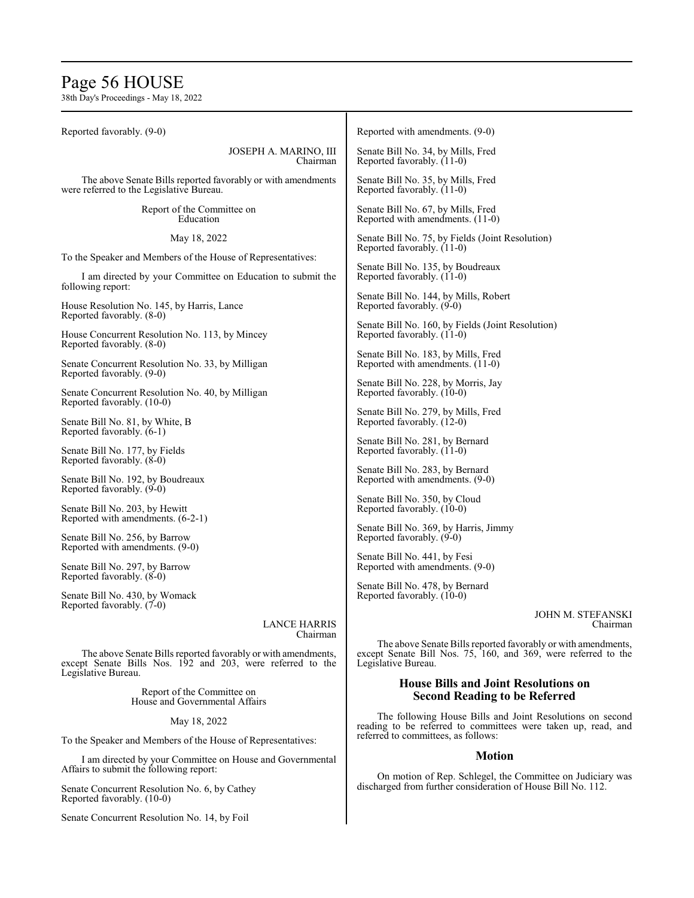## Page 56 HOUSE

38th Day's Proceedings - May 18, 2022

| Reported favorably. (9-0)                                                       | Reported with amendments. (9-0)                                                                                                                                   |  |
|---------------------------------------------------------------------------------|-------------------------------------------------------------------------------------------------------------------------------------------------------------------|--|
| JOSEPH A. MARINO, III                                                           | Senate Bill No. 34, by Mills, Fred                                                                                                                                |  |
| Chairman                                                                        | Reported favorably. (11-0)                                                                                                                                        |  |
| The above Senate Bills reported favorably or with amendments                    | Senate Bill No. 35, by Mills, Fred                                                                                                                                |  |
| were referred to the Legislative Bureau.                                        | Reported favorably. (11-0)                                                                                                                                        |  |
| Report of the Committee on                                                      | Senate Bill No. 67, by Mills, Fred                                                                                                                                |  |
| Education                                                                       | Reported with amendments. (11-0)                                                                                                                                  |  |
| May 18, 2022                                                                    | Senate Bill No. 75, by Fields (Joint Resolution)<br>Reported favorably. (11-0)                                                                                    |  |
| To the Speaker and Members of the House of Representatives:                     | Senate Bill No. 135, by Boudreaux                                                                                                                                 |  |
| I am directed by your Committee on Education to submit the<br>following report: | Reported favorably. (11-0)                                                                                                                                        |  |
| House Resolution No. 145, by Harris, Lance                                      | Senate Bill No. 144, by Mills, Robert                                                                                                                             |  |
| Reported favorably. (8-0)                                                       | Reported favorably. (9-0)                                                                                                                                         |  |
| House Concurrent Resolution No. 113, by Mincey                                  | Senate Bill No. 160, by Fields (Joint Resolution)                                                                                                                 |  |
| Reported favorably. (8-0)                                                       | Reported favorably. (11-0)                                                                                                                                        |  |
| Senate Concurrent Resolution No. 33, by Milligan                                | Senate Bill No. 183, by Mills, Fred                                                                                                                               |  |
| Reported favorably. (9-0)                                                       | Reported with amendments. (11-0)                                                                                                                                  |  |
| Senate Concurrent Resolution No. 40, by Milligan                                | Senate Bill No. 228, by Morris, Jay                                                                                                                               |  |
| Reported favorably. (10-0)                                                      | Reported favorably. (10-0)                                                                                                                                        |  |
| Senate Bill No. 81, by White, B                                                 | Senate Bill No. 279, by Mills, Fred                                                                                                                               |  |
| Reported favorably. (6-1)                                                       | Reported favorably. (12-0)                                                                                                                                        |  |
| Senate Bill No. 177, by Fields                                                  | Senate Bill No. 281, by Bernard                                                                                                                                   |  |
| Reported favorably. (8-0)                                                       | Reported favorably. (11-0)                                                                                                                                        |  |
| Senate Bill No. 192, by Boudreaux                                               | Senate Bill No. 283, by Bernard                                                                                                                                   |  |
| Reported favorably. (9-0)                                                       | Reported with amendments. (9-0)                                                                                                                                   |  |
| Senate Bill No. 203, by Hewitt                                                  | Senate Bill No. 350, by Cloud                                                                                                                                     |  |
| Reported with amendments. (6-2-1)                                               | Reported favorably. (10-0)                                                                                                                                        |  |
| Senate Bill No. 256, by Barrow                                                  | Senate Bill No. 369, by Harris, Jimmy                                                                                                                             |  |
| Reported with amendments. (9-0)                                                 | Reported favorably. (9-0)                                                                                                                                         |  |
| Senate Bill No. 297, by Barrow                                                  | Senate Bill No. 441, by Fesi                                                                                                                                      |  |
| Reported favorably. (8-0)                                                       | Reported with amendments. (9-0)                                                                                                                                   |  |
| Senate Bill No. 430, by Womack                                                  | Senate Bill No. 478, by Bernard                                                                                                                                   |  |
| Reported favorably. (7-0)                                                       | Reported favorably. (10-0)                                                                                                                                        |  |
| <b>LANCE HARRIS</b>                                                             | JOHN M. STEFANSKI                                                                                                                                                 |  |
| Chairman                                                                        | Chairman                                                                                                                                                          |  |
| The above Senate Bills reported favorably or with amendments,                   | The above Senate Bills reported favorably or with amendments,                                                                                                     |  |
| except Senate Bills Nos. 192 and 203, were referred to the                      | except Senate Bill Nos. 75, 160, and 369, were referred to the                                                                                                    |  |
| Legislative Bureau.                                                             | Legislative Bureau.                                                                                                                                               |  |
| Report of the Committee on                                                      | <b>House Bills and Joint Resolutions on</b>                                                                                                                       |  |
| House and Governmental Affairs                                                  | <b>Second Reading to be Referred</b>                                                                                                                              |  |
| May 18, 2022                                                                    | The following House Bills and Joint Resolutions on second<br>reading to be referred to committees were taken up, read, and<br>referred to committees, as follows: |  |
| To the Speaker and Members of the House of Representatives:                     |                                                                                                                                                                   |  |
| I am directed by your Committee on House and Governmental                       | <b>Motion</b>                                                                                                                                                     |  |
| Affairs to submit the following report:                                         | On motion of Rep. Schlegel, the Committee on Judiciary was                                                                                                        |  |

discharged from further consideration of House Bill No. 112.

Senate Concurrent Resolution No. 6, by Cathey Reported favorably. (10-0)

Senate Concurrent Resolution No. 14, by Foil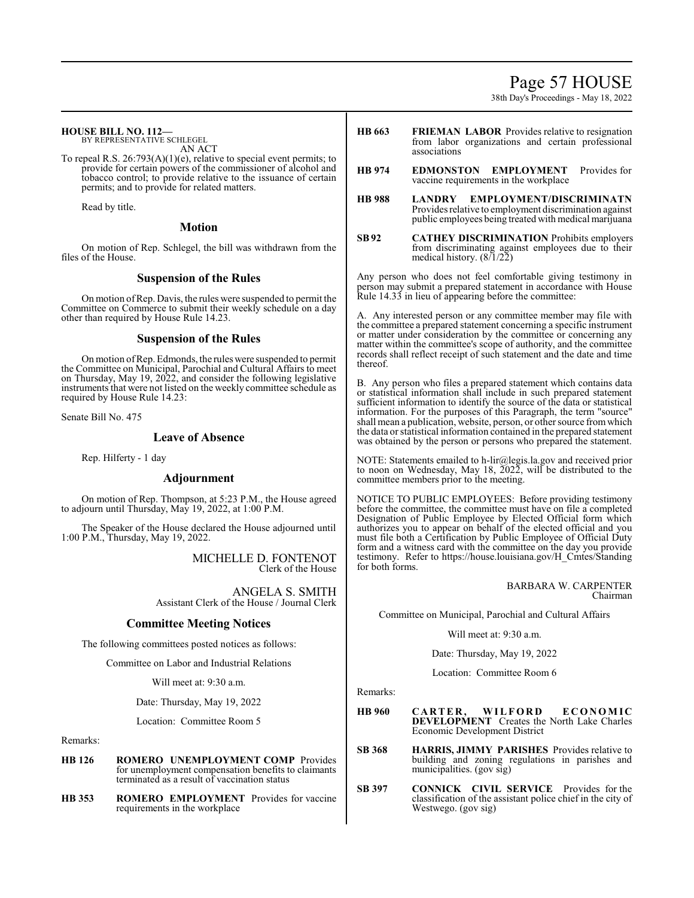### Page 57 HOUSE

38th Day's Proceedings - May 18, 2022

#### **HOUSE BILL NO. 112—**

BY REPRESENTATIVE SCHLEGEL AN ACT

To repeal R.S. 26:793(A)(1)(e), relative to special event permits; to provide for certain powers of the commissioner of alcohol and tobacco control; to provide relative to the issuance of certain permits; and to provide for related matters.

Read by title.

#### **Motion**

On motion of Rep. Schlegel, the bill was withdrawn from the files of the House.

#### **Suspension of the Rules**

On motion ofRep. Davis, the rules were suspended to permit the Committee on Commerce to submit their weekly schedule on a day other than required by House Rule 14.23.

#### **Suspension of the Rules**

On motion ofRep. Edmonds, the rules were suspended to permit the Committee on Municipal, Parochial and Cultural Affairs to meet on Thursday, May 19, 2022, and consider the following legislative instruments that were not listed on the weekly committee schedule as required by House Rule 14.23:

Senate Bill No. 475

#### **Leave of Absence**

Rep. Hilferty - 1 day

#### **Adjournment**

On motion of Rep. Thompson, at 5:23 P.M., the House agreed to adjourn until Thursday, May 19, 2022, at 1:00 P.M.

The Speaker of the House declared the House adjourned until 1:00 P.M., Thursday, May 19, 2022.

> MICHELLE D. FONTENOT Clerk of the House

ANGELA S. SMITH Assistant Clerk of the House / Journal Clerk

### **Committee Meeting Notices**

The following committees posted notices as follows:

Committee on Labor and Industrial Relations

Will meet at: 9:30 a.m.

Date: Thursday, May 19, 2022

Location: Committee Room 5

Remarks:

- **HB 126 ROMERO UNEMPLOYMENT COMP** Provides for unemployment compensation benefits to claimants terminated as a result of vaccination status
- **HB 353 ROMERO EMPLOYMENT** Provides for vaccine requirements in the workplace
- **HB 663 FRIEMAN LABOR** Provides relative to resignation from labor organizations and certain professional associations
- **HB 974 EDMONSTON EMPLOYMENT** Provides for vaccine requirements in the workplace
- **HB 988 LANDRY EMPLOYMENT/DISCRIMINATN**  Provides relative to employment discrimination against public employees being treated with medical marijuana
- **SB92 CATHEY DISCRIMINATION** Prohibits employers from discriminating against employees due to their medical history. (8/1/22)

Any person who does not feel comfortable giving testimony in person may submit a prepared statement in accordance with House Rule 14.33 in lieu of appearing before the committee:

A. Any interested person or any committee member may file with the committee a prepared statement concerning a specific instrument or matter under consideration by the committee or concerning any matter within the committee's scope of authority, and the committee records shall reflect receipt of such statement and the date and time thereof.

B. Any person who files a prepared statement which contains data or statistical information shall include in such prepared statement sufficient information to identify the source of the data or statistical information. For the purposes of this Paragraph, the term "source" shall mean a publication, website, person, or other source fromwhich the data or statistical information contained in the prepared statement was obtained by the person or persons who prepared the statement.

NOTE: Statements emailed to h-lir@legis.la.gov and received prior to noon on Wednesday, May 18,  $\overline{2022}$ , will be distributed to the committee members prior to the meeting.

NOTICE TO PUBLIC EMPLOYEES: Before providing testimony before the committee, the committee must have on file a completed Designation of Public Employee by Elected Official form which authorizes you to appear on behalf of the elected official and you must file both a Certification by Public Employee of Official Duty form and a witness card with the committee on the day you provide testimony. Refer to https://house.louisiana.gov/H\_Cmtes/Standing for both forms.

> BARBARA W. CARPENTER Chairman

Committee on Municipal, Parochial and Cultural Affairs

Will meet at: 9:30 a.m.

Date: Thursday, May 19, 2022

Location: Committee Room 6

Remarks:

- **HB 960 CA R TE R , WILF OR D E C ONOM IC DEVELOPMENT** Creates the North Lake Charles Economic Development District
- **SB 368 HARRIS, JIMMY PARISHES** Provides relative to building and zoning regulations in parishes and municipalities. (gov sig)
- **SB 397 CONNICK CIVIL SERVICE** Provides for the classification of the assistant police chief in the city of Westwego. (gov sig)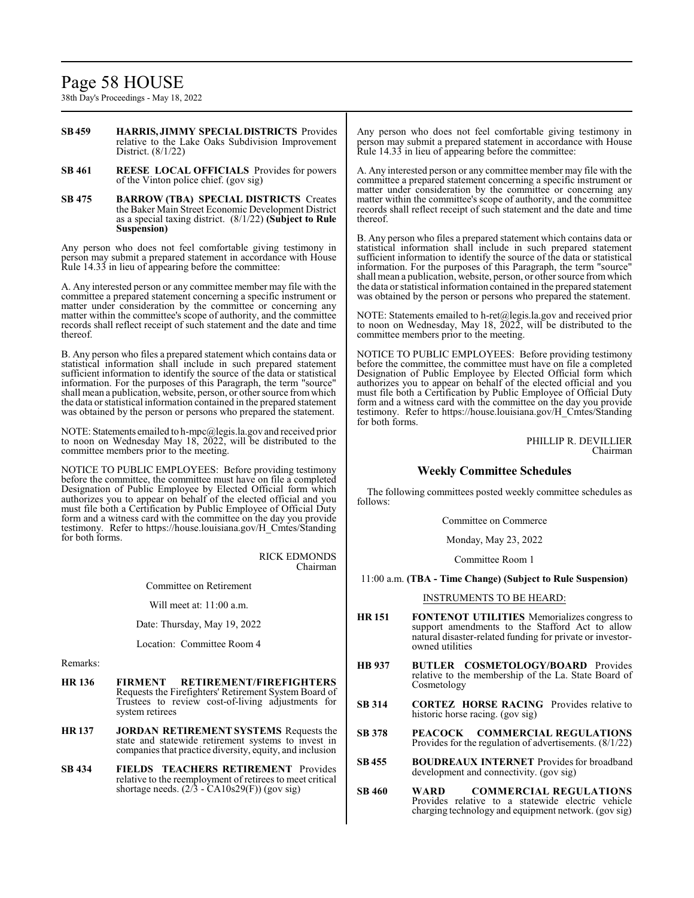## Page 58 HOUSE

38th Day's Proceedings - May 18, 2022

- **SB459 HARRIS, JIMMY SPECIALDISTRICTS** Provides relative to the Lake Oaks Subdivision Improvement District. (8/1/22)
- **SB 461 REESE LOCAL OFFICIALS** Provides for powers of the Vinton police chief. (gov sig)
- **SB 475 BARROW (TBA) SPECIAL DISTRICTS** Creates the Baker Main Street Economic Development District as a special taxing district. (8/1/22) **(Subject to Rule Suspension)**

Any person who does not feel comfortable giving testimony in person may submit a prepared statement in accordance with House Rule 14.33 in lieu of appearing before the committee:

A. Any interested person or any committee member may file with the committee a prepared statement concerning a specific instrument or matter under consideration by the committee or concerning any matter within the committee's scope of authority, and the committee records shall reflect receipt of such statement and the date and time thereof.

B. Any person who files a prepared statement which contains data or statistical information shall include in such prepared statement sufficient information to identify the source of the data or statistical information. For the purposes of this Paragraph, the term "source" shall mean a publication, website, person, or other source from which the data or statistical information contained in the prepared statement was obtained by the person or persons who prepared the statement.

NOTE: Statements emailed to h-mpc@legis.la.gov and received prior to noon on Wednesday May 18, 2022, will be distributed to the committee members prior to the meeting.

NOTICE TO PUBLIC EMPLOYEES: Before providing testimony before the committee, the committee must have on file a completed Designation of Public Employee by Elected Official form which authorizes you to appear on behalf of the elected official and you must file both a Certification by Public Employee of Official Duty form and a witness card with the committee on the day you provide testimony. Refer to https://house.louisiana.gov/H\_Cmtes/Standing for both forms.

> RICK EDMONDS Chairman

Committee on Retirement

Will meet at: 11:00 a.m.

Date: Thursday, May 19, 2022

Location: Committee Room 4

Remarks:

- **HR 136 FIRMENT RETIREMENT/FIREFIGHTERS**  Requests the Firefighters' Retirement System Board of Trustees to review cost-of-living adjustments for system retirees
- **HR 137 JORDAN RETIREMENT SYSTEMS** Requests the state and statewide retirement systems to invest in companies that practice diversity, equity, and inclusion
- **SB 434 FIELDS TEACHERS RETIREMENT** Provides relative to the reemployment of retirees to meet critical shortage needs.  $(2/3 - CA10s29(F))$  (gov sig)

Any person who does not feel comfortable giving testimony in person may submit a prepared statement in accordance with House Rule 14.33 in lieu of appearing before the committee:

A. Any interested person or any committee member may file with the committee a prepared statement concerning a specific instrument or matter under consideration by the committee or concerning any matter within the committee's scope of authority, and the committee records shall reflect receipt of such statement and the date and time thereof.

B. Any person who files a prepared statement which contains data or statistical information shall include in such prepared statement sufficient information to identify the source of the data or statistical information. For the purposes of this Paragraph, the term "source" shall mean a publication, website, person, or other source fromwhich the data or statistical information contained in the prepared statement was obtained by the person or persons who prepared the statement.

NOTE: Statements emailed to h-ret@legis.la.gov and received prior to noon on Wednesday, May 18,  $2022$ , will be distributed to the committee members prior to the meeting.

NOTICE TO PUBLIC EMPLOYEES: Before providing testimony before the committee, the committee must have on file a completed Designation of Public Employee by Elected Official form which authorizes you to appear on behalf of the elected official and you must file both a Certification by Public Employee of Official Duty form and a witness card with the committee on the day you provide testimony. Refer to https://house.louisiana.gov/H\_Cmtes/Standing for both forms.

> PHILLIP R. DEVILLIER Chairman

### **Weekly Committee Schedules**

The following committees posted weekly committee schedules as follows:

Committee on Commerce

Monday, May 23, 2022

Committee Room 1

#### 11:00 a.m. **(TBA - Time Change) (Subject to Rule Suspension)**

#### INSTRUMENTS TO BE HEARD:

- **HR 151 FONTENOT UTILITIES** Memorializes congress to support amendments to the Stafford Act to allow natural disaster-related funding for private or investorowned utilities
- **HB 937 BUTLER COSMETOLOGY/BOARD** Provides relative to the membership of the La. State Board of Cosmetology
- **SB 314 CORTEZ HORSE RACING** Provides relative to historic horse racing. (gov sig)
- **SB 378 PEACOCK COMMERCIAL REGULATIONS** Provides for the regulation of advertisements. (8/1/22)
- **SB 455 BOUDREAUX INTERNET** Provides for broadband development and connectivity. (gov sig)
- **SB 460 WARD COMMERCIAL REGULATIONS** Provides relative to a statewide electric vehicle charging technology and equipment network. (gov sig)